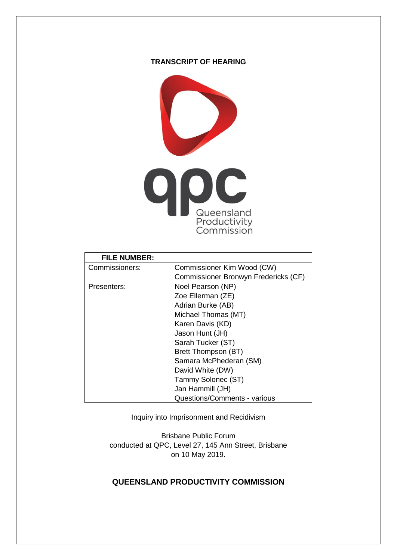## **TRANSCRIPT OF HEARING**



| <b>FILE NUMBER:</b> |                                      |
|---------------------|--------------------------------------|
| Commissioners:      | Commissioner Kim Wood (CW)           |
|                     | Commissioner Bronwyn Fredericks (CF) |
| Presenters:         | Noel Pearson (NP)                    |
|                     | Zoe Ellerman (ZE)                    |
|                     | Adrian Burke (AB)                    |
|                     | Michael Thomas (MT)                  |
|                     | Karen Davis (KD)                     |
|                     | Jason Hunt (JH)                      |
|                     | Sarah Tucker (ST)                    |
|                     | Brett Thompson (BT)                  |
|                     | Samara McPhederan (SM)               |
|                     | David White (DW)                     |
|                     | Tammy Solonec (ST)                   |
|                     | Jan Hammill (JH)                     |
|                     | Questions/Comments - various         |

Inquiry into Imprisonment and Recidivism

Brisbane Public Forum conducted at QPC, Level 27, 145 Ann Street, Brisbane on 10 May 2019.

## **QUEENSLAND PRODUCTIVITY COMMISSION**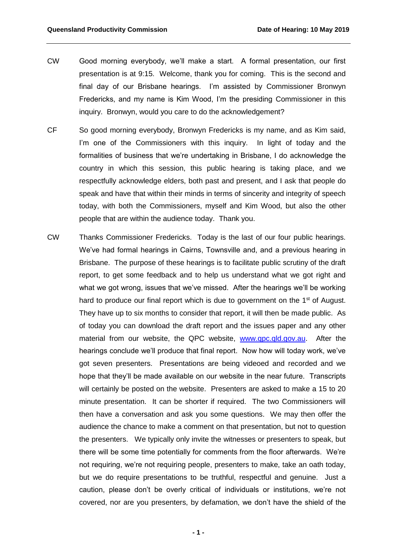- CW Good morning everybody, we'll make a start. A formal presentation, our first presentation is at 9:15. Welcome, thank you for coming. This is the second and final day of our Brisbane hearings. I'm assisted by Commissioner Bronwyn Fredericks, and my name is Kim Wood, I'm the presiding Commissioner in this inquiry. Bronwyn, would you care to do the acknowledgement?
- CF So good morning everybody, Bronwyn Fredericks is my name, and as Kim said, I'm one of the Commissioners with this inquiry. In light of today and the formalities of business that we're undertaking in Brisbane, I do acknowledge the country in which this session, this public hearing is taking place, and we respectfully acknowledge elders, both past and present, and I ask that people do speak and have that within their minds in terms of sincerity and integrity of speech today, with both the Commissioners, myself and Kim Wood, but also the other people that are within the audience today. Thank you.
- CW Thanks Commissioner Fredericks. Today is the last of our four public hearings. We've had formal hearings in Cairns, Townsville and, and a previous hearing in Brisbane. The purpose of these hearings is to facilitate public scrutiny of the draft report, to get some feedback and to help us understand what we got right and what we got wrong, issues that we've missed. After the hearings we'll be working hard to produce our final report which is due to government on the  $1<sup>st</sup>$  of August. They have up to six months to consider that report, it will then be made public. As of today you can download the draft report and the issues paper and any other material from our website, the QPC website, [www.qpc.qld.gov.au.](http://www.qpc.qld.gov.au/) After the hearings conclude we'll produce that final report. Now how will today work, we've got seven presenters. Presentations are being videoed and recorded and we hope that they'll be made available on our website in the near future. Transcripts will certainly be posted on the website. Presenters are asked to make a 15 to 20 minute presentation. It can be shorter if required. The two Commissioners will then have a conversation and ask you some questions. We may then offer the audience the chance to make a comment on that presentation, but not to question the presenters. We typically only invite the witnesses or presenters to speak, but there will be some time potentially for comments from the floor afterwards. We're not requiring, we're not requiring people, presenters to make, take an oath today, but we do require presentations to be truthful, respectful and genuine. Just a caution, please don't be overly critical of individuals or institutions, we're not covered, nor are you presenters, by defamation, we don't have the shield of the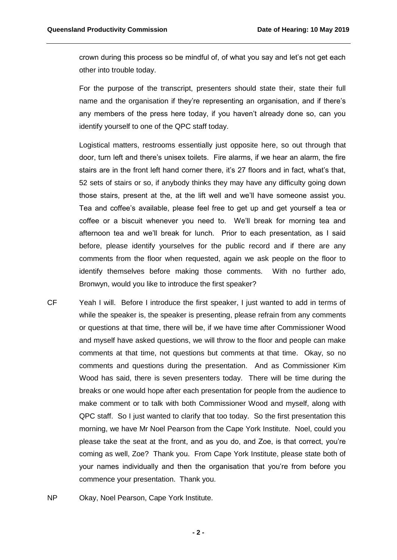crown during this process so be mindful of, of what you say and let's not get each other into trouble today.

For the purpose of the transcript, presenters should state their, state their full name and the organisation if they're representing an organisation, and if there's any members of the press here today, if you haven't already done so, can you identify yourself to one of the QPC staff today.

Logistical matters, restrooms essentially just opposite here, so out through that door, turn left and there's unisex toilets. Fire alarms, if we hear an alarm, the fire stairs are in the front left hand corner there, it's 27 floors and in fact, what's that, 52 sets of stairs or so, if anybody thinks they may have any difficulty going down those stairs, present at the, at the lift well and we'll have someone assist you. Tea and coffee's available, please feel free to get up and get yourself a tea or coffee or a biscuit whenever you need to. We'll break for morning tea and afternoon tea and we'll break for lunch. Prior to each presentation, as I said before, please identify yourselves for the public record and if there are any comments from the floor when requested, again we ask people on the floor to identify themselves before making those comments. With no further ado, Bronwyn, would you like to introduce the first speaker?

- CF Yeah I will. Before I introduce the first speaker, I just wanted to add in terms of while the speaker is, the speaker is presenting, please refrain from any comments or questions at that time, there will be, if we have time after Commissioner Wood and myself have asked questions, we will throw to the floor and people can make comments at that time, not questions but comments at that time. Okay, so no comments and questions during the presentation. And as Commissioner Kim Wood has said, there is seven presenters today. There will be time during the breaks or one would hope after each presentation for people from the audience to make comment or to talk with both Commissioner Wood and myself, along with QPC staff. So I just wanted to clarify that too today. So the first presentation this morning, we have Mr Noel Pearson from the Cape York Institute. Noel, could you please take the seat at the front, and as you do, and Zoe, is that correct, you're coming as well, Zoe? Thank you. From Cape York Institute, please state both of your names individually and then the organisation that you're from before you commence your presentation. Thank you.
- NP Okay, Noel Pearson, Cape York Institute.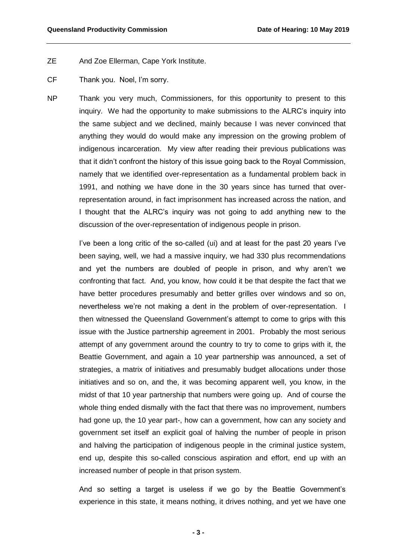## ZE And Zoe Ellerman, Cape York Institute.

- CF Thank you. Noel, I'm sorry.
- NP Thank you very much, Commissioners, for this opportunity to present to this inquiry. We had the opportunity to make submissions to the ALRC's inquiry into the same subject and we declined, mainly because I was never convinced that anything they would do would make any impression on the growing problem of indigenous incarceration. My view after reading their previous publications was that it didn't confront the history of this issue going back to the Royal Commission, namely that we identified over-representation as a fundamental problem back in 1991, and nothing we have done in the 30 years since has turned that overrepresentation around, in fact imprisonment has increased across the nation, and I thought that the ALRC's inquiry was not going to add anything new to the discussion of the over-representation of indigenous people in prison.

I've been a long critic of the so-called (ui) and at least for the past 20 years I've been saying, well, we had a massive inquiry, we had 330 plus recommendations and yet the numbers are doubled of people in prison, and why aren't we confronting that fact. And, you know, how could it be that despite the fact that we have better procedures presumably and better grilles over windows and so on, nevertheless we're not making a dent in the problem of over-representation. I then witnessed the Queensland Government's attempt to come to grips with this issue with the Justice partnership agreement in 2001. Probably the most serious attempt of any government around the country to try to come to grips with it, the Beattie Government, and again a 10 year partnership was announced, a set of strategies, a matrix of initiatives and presumably budget allocations under those initiatives and so on, and the, it was becoming apparent well, you know, in the midst of that 10 year partnership that numbers were going up. And of course the whole thing ended dismally with the fact that there was no improvement, numbers had gone up, the 10 year part-, how can a government, how can any society and government set itself an explicit goal of halving the number of people in prison and halving the participation of indigenous people in the criminal justice system, end up, despite this so-called conscious aspiration and effort, end up with an increased number of people in that prison system.

And so setting a target is useless if we go by the Beattie Government's experience in this state, it means nothing, it drives nothing, and yet we have one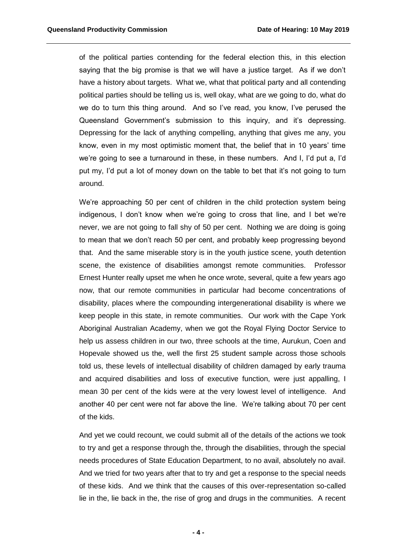of the political parties contending for the federal election this, in this election saying that the big promise is that we will have a justice target. As if we don't have a history about targets. What we, what that political party and all contending political parties should be telling us is, well okay, what are we going to do, what do we do to turn this thing around. And so I've read, you know, I've perused the Queensland Government's submission to this inquiry, and it's depressing. Depressing for the lack of anything compelling, anything that gives me any, you know, even in my most optimistic moment that, the belief that in 10 years' time we're going to see a turnaround in these, in these numbers. And I, I'd put a, I'd put my, I'd put a lot of money down on the table to bet that it's not going to turn around.

We're approaching 50 per cent of children in the child protection system being indigenous, I don't know when we're going to cross that line, and I bet we're never, we are not going to fall shy of 50 per cent. Nothing we are doing is going to mean that we don't reach 50 per cent, and probably keep progressing beyond that. And the same miserable story is in the youth justice scene, youth detention scene, the existence of disabilities amongst remote communities. Professor Ernest Hunter really upset me when he once wrote, several, quite a few years ago now, that our remote communities in particular had become concentrations of disability, places where the compounding intergenerational disability is where we keep people in this state, in remote communities. Our work with the Cape York Aboriginal Australian Academy, when we got the Royal Flying Doctor Service to help us assess children in our two, three schools at the time, Aurukun, Coen and Hopevale showed us the, well the first 25 student sample across those schools told us, these levels of intellectual disability of children damaged by early trauma and acquired disabilities and loss of executive function, were just appalling, I mean 30 per cent of the kids were at the very lowest level of intelligence. And another 40 per cent were not far above the line. We're talking about 70 per cent of the kids.

And yet we could recount, we could submit all of the details of the actions we took to try and get a response through the, through the disabilities, through the special needs procedures of State Education Department, to no avail, absolutely no avail. And we tried for two years after that to try and get a response to the special needs of these kids. And we think that the causes of this over-representation so-called lie in the, lie back in the, the rise of grog and drugs in the communities. A recent

**- 4 -**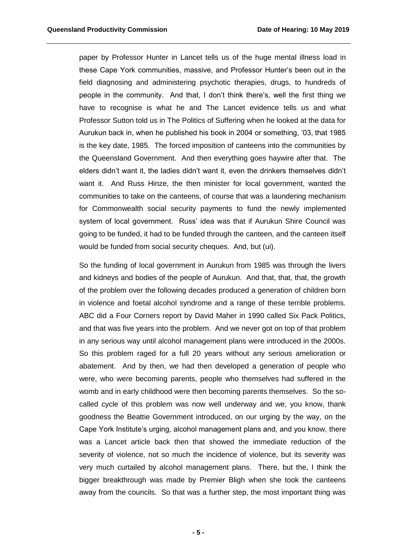paper by Professor Hunter in Lancet tells us of the huge mental illness load in these Cape York communities, massive, and Professor Hunter's been out in the field diagnosing and administering psychotic therapies, drugs, to hundreds of people in the community. And that, I don't think there's, well the first thing we have to recognise is what he and The Lancet evidence tells us and what Professor Sutton told us in The Politics of Suffering when he looked at the data for Aurukun back in, when he published his book in 2004 or something, '03, that 1985 is the key date, 1985. The forced imposition of canteens into the communities by the Queensland Government. And then everything goes haywire after that. The elders didn't want it, the ladies didn't want it, even the drinkers themselves didn't want it. And Russ Hinze, the then minister for local government, wanted the communities to take on the canteens, of course that was a laundering mechanism for Commonwealth social security payments to fund the newly implemented system of local government. Russ' idea was that if Aurukun Shire Council was going to be funded, it had to be funded through the canteen, and the canteen itself would be funded from social security cheques. And, but (ui).

So the funding of local government in Aurukun from 1985 was through the livers and kidneys and bodies of the people of Aurukun. And that, that, that, the growth of the problem over the following decades produced a generation of children born in violence and foetal alcohol syndrome and a range of these terrible problems. ABC did a Four Corners report by David Maher in 1990 called Six Pack Politics, and that was five years into the problem. And we never got on top of that problem in any serious way until alcohol management plans were introduced in the 2000s. So this problem raged for a full 20 years without any serious amelioration or abatement. And by then, we had then developed a generation of people who were, who were becoming parents, people who themselves had suffered in the womb and in early childhood were then becoming parents themselves. So the socalled cycle of this problem was now well underway and we, you know, thank goodness the Beattie Government introduced, on our urging by the way, on the Cape York Institute's urging, alcohol management plans and, and you know, there was a Lancet article back then that showed the immediate reduction of the severity of violence, not so much the incidence of violence, but its severity was very much curtailed by alcohol management plans. There, but the, I think the bigger breakthrough was made by Premier Bligh when she took the canteens away from the councils. So that was a further step, the most important thing was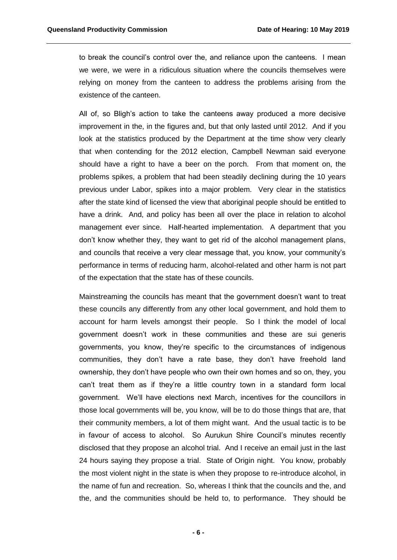to break the council's control over the, and reliance upon the canteens. I mean we were, we were in a ridiculous situation where the councils themselves were relying on money from the canteen to address the problems arising from the existence of the canteen.

All of, so Bligh's action to take the canteens away produced a more decisive improvement in the, in the figures and, but that only lasted until 2012. And if you look at the statistics produced by the Department at the time show very clearly that when contending for the 2012 election, Campbell Newman said everyone should have a right to have a beer on the porch. From that moment on, the problems spikes, a problem that had been steadily declining during the 10 years previous under Labor, spikes into a major problem. Very clear in the statistics after the state kind of licensed the view that aboriginal people should be entitled to have a drink. And, and policy has been all over the place in relation to alcohol management ever since. Half-hearted implementation. A department that you don't know whether they, they want to get rid of the alcohol management plans, and councils that receive a very clear message that, you know, your community's performance in terms of reducing harm, alcohol-related and other harm is not part of the expectation that the state has of these councils.

Mainstreaming the councils has meant that the government doesn't want to treat these councils any differently from any other local government, and hold them to account for harm levels amongst their people. So I think the model of local government doesn't work in these communities and these are sui generis governments, you know, they're specific to the circumstances of indigenous communities, they don't have a rate base, they don't have freehold land ownership, they don't have people who own their own homes and so on, they, you can't treat them as if they're a little country town in a standard form local government. We'll have elections next March, incentives for the councillors in those local governments will be, you know, will be to do those things that are, that their community members, a lot of them might want. And the usual tactic is to be in favour of access to alcohol. So Aurukun Shire Council's minutes recently disclosed that they propose an alcohol trial. And I receive an email just in the last 24 hours saying they propose a trial. State of Origin night. You know, probably the most violent night in the state is when they propose to re-introduce alcohol, in the name of fun and recreation. So, whereas I think that the councils and the, and the, and the communities should be held to, to performance. They should be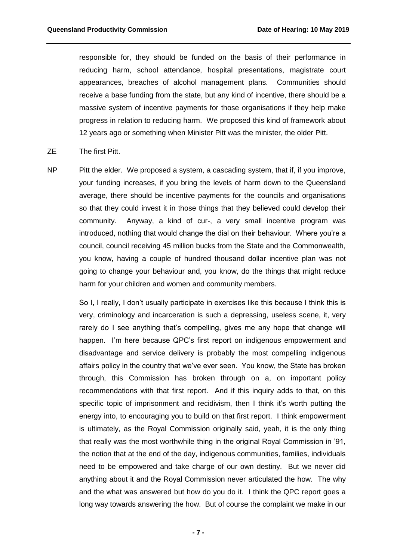responsible for, they should be funded on the basis of their performance in reducing harm, school attendance, hospital presentations, magistrate court appearances, breaches of alcohol management plans. Communities should receive a base funding from the state, but any kind of incentive, there should be a massive system of incentive payments for those organisations if they help make progress in relation to reducing harm. We proposed this kind of framework about 12 years ago or something when Minister Pitt was the minister, the older Pitt.

- ZE The first Pitt.
- NP Pitt the elder. We proposed a system, a cascading system, that if, if you improve, your funding increases, if you bring the levels of harm down to the Queensland average, there should be incentive payments for the councils and organisations so that they could invest it in those things that they believed could develop their community. Anyway, a kind of cur-, a very small incentive program was introduced, nothing that would change the dial on their behaviour. Where you're a council, council receiving 45 million bucks from the State and the Commonwealth, you know, having a couple of hundred thousand dollar incentive plan was not going to change your behaviour and, you know, do the things that might reduce harm for your children and women and community members.

So I, I really, I don't usually participate in exercises like this because I think this is very, criminology and incarceration is such a depressing, useless scene, it, very rarely do I see anything that's compelling, gives me any hope that change will happen. I'm here because QPC's first report on indigenous empowerment and disadvantage and service delivery is probably the most compelling indigenous affairs policy in the country that we've ever seen. You know, the State has broken through, this Commission has broken through on a, on important policy recommendations with that first report. And if this inquiry adds to that, on this specific topic of imprisonment and recidivism, then I think it's worth putting the energy into, to encouraging you to build on that first report. I think empowerment is ultimately, as the Royal Commission originally said, yeah, it is the only thing that really was the most worthwhile thing in the original Royal Commission in '91, the notion that at the end of the day, indigenous communities, families, individuals need to be empowered and take charge of our own destiny. But we never did anything about it and the Royal Commission never articulated the how. The why and the what was answered but how do you do it. I think the QPC report goes a long way towards answering the how. But of course the complaint we make in our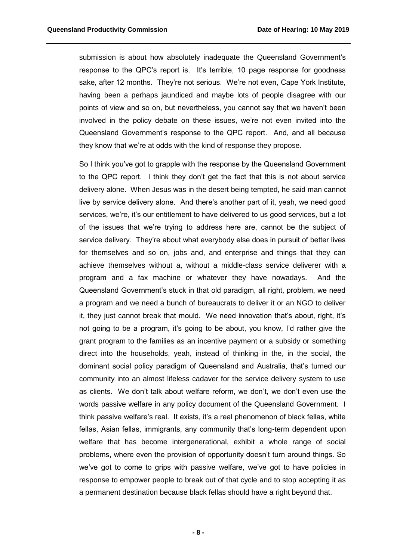submission is about how absolutely inadequate the Queensland Government's response to the QPC's report is. It's terrible, 10 page response for goodness sake, after 12 months. They're not serious. We're not even, Cape York Institute, having been a perhaps jaundiced and maybe lots of people disagree with our points of view and so on, but nevertheless, you cannot say that we haven't been involved in the policy debate on these issues, we're not even invited into the Queensland Government's response to the QPC report. And, and all because they know that we're at odds with the kind of response they propose.

So I think you've got to grapple with the response by the Queensland Government to the QPC report. I think they don't get the fact that this is not about service delivery alone. When Jesus was in the desert being tempted, he said man cannot live by service delivery alone. And there's another part of it, yeah, we need good services, we're, it's our entitlement to have delivered to us good services, but a lot of the issues that we're trying to address here are, cannot be the subject of service delivery. They're about what everybody else does in pursuit of better lives for themselves and so on, jobs and, and enterprise and things that they can achieve themselves without a, without a middle-class service deliverer with a program and a fax machine or whatever they have nowadays. And the Queensland Government's stuck in that old paradigm, all right, problem, we need a program and we need a bunch of bureaucrats to deliver it or an NGO to deliver it, they just cannot break that mould. We need innovation that's about, right, it's not going to be a program, it's going to be about, you know, I'd rather give the grant program to the families as an incentive payment or a subsidy or something direct into the households, yeah, instead of thinking in the, in the social, the dominant social policy paradigm of Queensland and Australia, that's turned our community into an almost lifeless cadaver for the service delivery system to use as clients. We don't talk about welfare reform, we don't, we don't even use the words passive welfare in any policy document of the Queensland Government. I think passive welfare's real. It exists, it's a real phenomenon of black fellas, white fellas, Asian fellas, immigrants, any community that's long-term dependent upon welfare that has become intergenerational, exhibit a whole range of social problems, where even the provision of opportunity doesn't turn around things. So we've got to come to grips with passive welfare, we've got to have policies in response to empower people to break out of that cycle and to stop accepting it as a permanent destination because black fellas should have a right beyond that.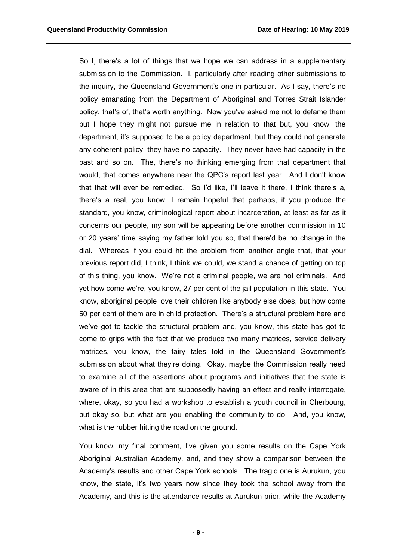So I, there's a lot of things that we hope we can address in a supplementary submission to the Commission. I, particularly after reading other submissions to the inquiry, the Queensland Government's one in particular. As I say, there's no policy emanating from the Department of Aboriginal and Torres Strait Islander policy, that's of, that's worth anything. Now you've asked me not to defame them but I hope they might not pursue me in relation to that but, you know, the department, it's supposed to be a policy department, but they could not generate any coherent policy, they have no capacity. They never have had capacity in the past and so on. The, there's no thinking emerging from that department that would, that comes anywhere near the QPC's report last year. And I don't know that that will ever be remedied. So I'd like, I'll leave it there, I think there's a, there's a real, you know, I remain hopeful that perhaps, if you produce the standard, you know, criminological report about incarceration, at least as far as it concerns our people, my son will be appearing before another commission in 10 or 20 years' time saying my father told you so, that there'd be no change in the dial. Whereas if you could hit the problem from another angle that, that your previous report did, I think, I think we could, we stand a chance of getting on top of this thing, you know. We're not a criminal people, we are not criminals. And yet how come we're, you know, 27 per cent of the jail population in this state. You know, aboriginal people love their children like anybody else does, but how come 50 per cent of them are in child protection. There's a structural problem here and we've got to tackle the structural problem and, you know, this state has got to come to grips with the fact that we produce two many matrices, service delivery matrices, you know, the fairy tales told in the Queensland Government's submission about what they're doing. Okay, maybe the Commission really need to examine all of the assertions about programs and initiatives that the state is aware of in this area that are supposedly having an effect and really interrogate, where, okay, so you had a workshop to establish a youth council in Cherbourg, but okay so, but what are you enabling the community to do. And, you know, what is the rubber hitting the road on the ground.

You know, my final comment, I've given you some results on the Cape York Aboriginal Australian Academy, and, and they show a comparison between the Academy's results and other Cape York schools. The tragic one is Aurukun, you know, the state, it's two years now since they took the school away from the Academy, and this is the attendance results at Aurukun prior, while the Academy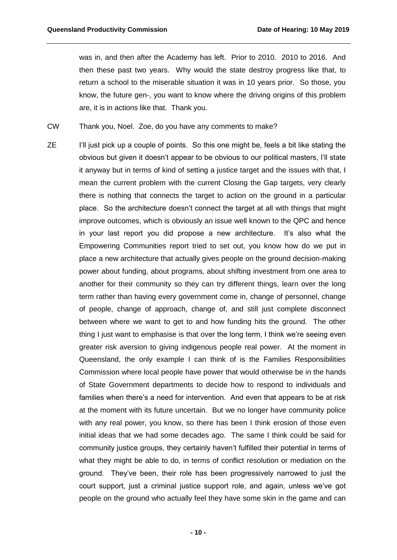was in, and then after the Academy has left. Prior to 2010. 2010 to 2016. And then these past two years. Why would the state destroy progress like that, to return a school to the miserable situation it was in 10 years prior. So those, you know, the future gen-, you want to know where the driving origins of this problem are, it is in actions like that. Thank you.

CW Thank you, Noel. Zoe, do you have any comments to make?

ZE I'll just pick up a couple of points. So this one might be, feels a bit like stating the obvious but given it doesn't appear to be obvious to our political masters, I'll state it anyway but in terms of kind of setting a justice target and the issues with that, I mean the current problem with the current Closing the Gap targets, very clearly there is nothing that connects the target to action on the ground in a particular place. So the architecture doesn't connect the target at all with things that might improve outcomes, which is obviously an issue well known to the QPC and hence in your last report you did propose a new architecture. It's also what the Empowering Communities report tried to set out, you know how do we put in place a new architecture that actually gives people on the ground decision-making power about funding, about programs, about shifting investment from one area to another for their community so they can try different things, learn over the long term rather than having every government come in, change of personnel, change of people, change of approach, change of, and still just complete disconnect between where we want to get to and how funding hits the ground. The other thing I just want to emphasise is that over the long term, I think we're seeing even greater risk aversion to giving indigenous people real power. At the moment in Queensland, the only example I can think of is the Families Responsibilities Commission where local people have power that would otherwise be in the hands of State Government departments to decide how to respond to individuals and families when there's a need for intervention. And even that appears to be at risk at the moment with its future uncertain. But we no longer have community police with any real power, you know, so there has been I think erosion of those even initial ideas that we had some decades ago. The same I think could be said for community justice groups, they certainly haven't fulfilled their potential in terms of what they might be able to do, in terms of conflict resolution or mediation on the ground. They've been, their role has been progressively narrowed to just the court support, just a criminal justice support role, and again, unless we've got people on the ground who actually feel they have some skin in the game and can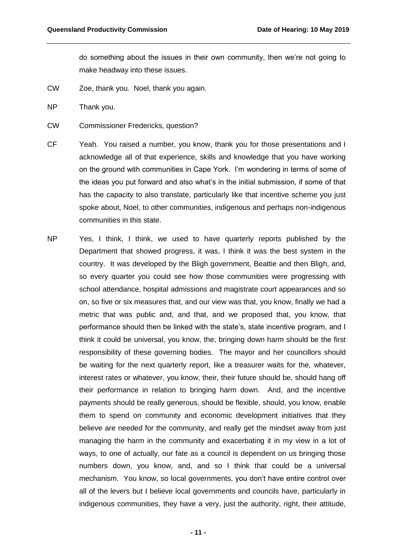do something about the issues in their own community, then we're not going to make headway into these issues.

- CW Zoe, thank you. Noel, thank you again.
- NP Thank you.
- CW Commissioner Fredericks, question?
- CF Yeah. You raised a number, you know, thank you for those presentations and I acknowledge all of that experience, skills and knowledge that you have working on the ground with communities in Cape York. I'm wondering in terms of some of the ideas you put forward and also what's in the initial submission, if some of that has the capacity to also translate, particularly like that incentive scheme you just spoke about, Noel, to other communities, indigenous and perhaps non-indigenous communities in this state.
- NP Yes, I think, I think, we used to have quarterly reports published by the Department that showed progress, it was, I think it was the best system in the country. It was developed by the Bligh government, Beattie and then Bligh, and, so every quarter you could see how those communities were progressing with school attendance, hospital admissions and magistrate court appearances and so on, so five or six measures that, and our view was that, you know, finally we had a metric that was public and, and that, and we proposed that, you know, that performance should then be linked with the state's, state incentive program, and I think it could be universal, you know, the, bringing down harm should be the first responsibility of these governing bodies. The mayor and her councillors should be waiting for the next quarterly report, like a treasurer waits for the, whatever, interest rates or whatever, you know, their, their future should be, should hang off their performance in relation to bringing harm down. And, and the incentive payments should be really generous, should be flexible, should, you know, enable them to spend on community and economic development initiatives that they believe are needed for the community, and really get the mindset away from just managing the harm in the community and exacerbating it in my view in a lot of ways, to one of actually, our fate as a council is dependent on us bringing those numbers down, you know, and, and so I think that could be a universal mechanism. You know, so local governments, you don't have entire control over all of the levers but I believe local governments and councils have, particularly in indigenous communities, they have a very, just the authority, right, their attitude,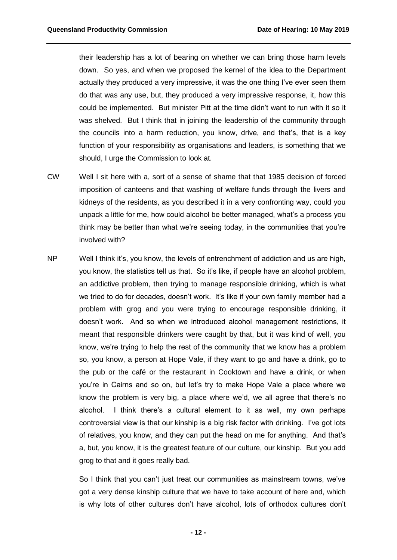their leadership has a lot of bearing on whether we can bring those harm levels down. So yes, and when we proposed the kernel of the idea to the Department actually they produced a very impressive, it was the one thing I've ever seen them do that was any use, but, they produced a very impressive response, it, how this could be implemented. But minister Pitt at the time didn't want to run with it so it was shelved. But I think that in joining the leadership of the community through the councils into a harm reduction, you know, drive, and that's, that is a key function of your responsibility as organisations and leaders, is something that we should, I urge the Commission to look at.

- CW Well I sit here with a, sort of a sense of shame that that 1985 decision of forced imposition of canteens and that washing of welfare funds through the livers and kidneys of the residents, as you described it in a very confronting way, could you unpack a little for me, how could alcohol be better managed, what's a process you think may be better than what we're seeing today, in the communities that you're involved with?
- NP Well I think it's, you know, the levels of entrenchment of addiction and us are high, you know, the statistics tell us that. So it's like, if people have an alcohol problem, an addictive problem, then trying to manage responsible drinking, which is what we tried to do for decades, doesn't work. It's like if your own family member had a problem with grog and you were trying to encourage responsible drinking, it doesn't work. And so when we introduced alcohol management restrictions, it meant that responsible drinkers were caught by that, but it was kind of well, you know, we're trying to help the rest of the community that we know has a problem so, you know, a person at Hope Vale, if they want to go and have a drink, go to the pub or the café or the restaurant in Cooktown and have a drink, or when you're in Cairns and so on, but let's try to make Hope Vale a place where we know the problem is very big, a place where we'd, we all agree that there's no alcohol. I think there's a cultural element to it as well, my own perhaps controversial view is that our kinship is a big risk factor with drinking. I've got lots of relatives, you know, and they can put the head on me for anything. And that's a, but, you know, it is the greatest feature of our culture, our kinship. But you add grog to that and it goes really bad.

So I think that you can't just treat our communities as mainstream towns, we've got a very dense kinship culture that we have to take account of here and, which is why lots of other cultures don't have alcohol, lots of orthodox cultures don't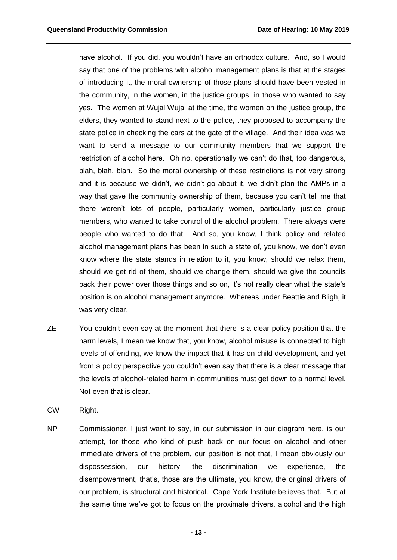have alcohol. If you did, you wouldn't have an orthodox culture. And, so I would say that one of the problems with alcohol management plans is that at the stages of introducing it, the moral ownership of those plans should have been vested in the community, in the women, in the justice groups, in those who wanted to say yes. The women at Wujal Wujal at the time, the women on the justice group, the elders, they wanted to stand next to the police, they proposed to accompany the state police in checking the cars at the gate of the village. And their idea was we want to send a message to our community members that we support the restriction of alcohol here. Oh no, operationally we can't do that, too dangerous, blah, blah, blah. So the moral ownership of these restrictions is not very strong and it is because we didn't, we didn't go about it, we didn't plan the AMPs in a way that gave the community ownership of them, because you can't tell me that there weren't lots of people, particularly women, particularly justice group members, who wanted to take control of the alcohol problem. There always were people who wanted to do that. And so, you know, I think policy and related alcohol management plans has been in such a state of, you know, we don't even know where the state stands in relation to it, you know, should we relax them, should we get rid of them, should we change them, should we give the councils back their power over those things and so on, it's not really clear what the state's position is on alcohol management anymore. Whereas under Beattie and Bligh, it was very clear.

- ZE You couldn't even say at the moment that there is a clear policy position that the harm levels, I mean we know that, you know, alcohol misuse is connected to high levels of offending, we know the impact that it has on child development, and yet from a policy perspective you couldn't even say that there is a clear message that the levels of alcohol-related harm in communities must get down to a normal level. Not even that is clear.
- CW Right.
- NP Commissioner, I just want to say, in our submission in our diagram here, is our attempt, for those who kind of push back on our focus on alcohol and other immediate drivers of the problem, our position is not that, I mean obviously our dispossession, our history, the discrimination we experience, the disempowerment, that's, those are the ultimate, you know, the original drivers of our problem, is structural and historical. Cape York Institute believes that. But at the same time we've got to focus on the proximate drivers, alcohol and the high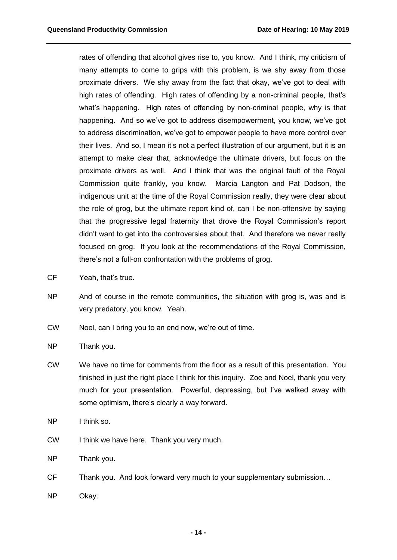rates of offending that alcohol gives rise to, you know. And I think, my criticism of many attempts to come to grips with this problem, is we shy away from those proximate drivers. We shy away from the fact that okay, we've got to deal with high rates of offending. High rates of offending by a non-criminal people, that's what's happening. High rates of offending by non-criminal people, why is that happening. And so we've got to address disempowerment, you know, we've got to address discrimination, we've got to empower people to have more control over their lives. And so, I mean it's not a perfect illustration of our argument, but it is an attempt to make clear that, acknowledge the ultimate drivers, but focus on the proximate drivers as well. And I think that was the original fault of the Royal Commission quite frankly, you know. Marcia Langton and Pat Dodson, the indigenous unit at the time of the Royal Commission really, they were clear about the role of grog, but the ultimate report kind of, can I be non-offensive by saying that the progressive legal fraternity that drove the Royal Commission's report didn't want to get into the controversies about that. And therefore we never really focused on grog. If you look at the recommendations of the Royal Commission, there's not a full-on confrontation with the problems of grog.

- CF Yeah, that's true.
- NP And of course in the remote communities, the situation with grog is, was and is very predatory, you know. Yeah.
- CW Noel, can I bring you to an end now, we're out of time.

NP Thank you.

- CW We have no time for comments from the floor as a result of this presentation. You finished in just the right place I think for this inquiry. Zoe and Noel, thank you very much for your presentation. Powerful, depressing, but I've walked away with some optimism, there's clearly a way forward.
- NP I think so.
- CW I think we have here. Thank you very much.
- NP Thank you.
- CF Thank you. And look forward very much to your supplementary submission...
- NP Okay.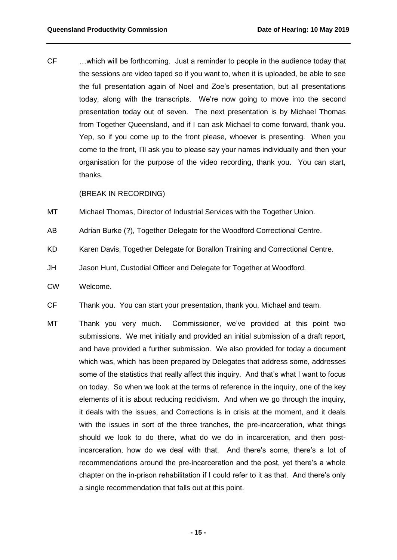CF …which will be forthcoming. Just a reminder to people in the audience today that the sessions are video taped so if you want to, when it is uploaded, be able to see the full presentation again of Noel and Zoe's presentation, but all presentations today, along with the transcripts. We're now going to move into the second presentation today out of seven. The next presentation is by Michael Thomas from Together Queensland, and if I can ask Michael to come forward, thank you. Yep, so if you come up to the front please, whoever is presenting. When you come to the front, I'll ask you to please say your names individually and then your organisation for the purpose of the video recording, thank you. You can start, thanks.

(BREAK IN RECORDING)

- MT Michael Thomas, Director of Industrial Services with the Together Union.
- AB Adrian Burke (?), Together Delegate for the Woodford Correctional Centre.
- KD Karen Davis, Together Delegate for Borallon Training and Correctional Centre.
- JH Jason Hunt, Custodial Officer and Delegate for Together at Woodford.
- CW Welcome.
- CF Thank you. You can start your presentation, thank you, Michael and team.
- MT Thank you very much. Commissioner, we've provided at this point two submissions. We met initially and provided an initial submission of a draft report, and have provided a further submission. We also provided for today a document which was, which has been prepared by Delegates that address some, addresses some of the statistics that really affect this inquiry. And that's what I want to focus on today. So when we look at the terms of reference in the inquiry, one of the key elements of it is about reducing recidivism. And when we go through the inquiry, it deals with the issues, and Corrections is in crisis at the moment, and it deals with the issues in sort of the three tranches, the pre-incarceration, what things should we look to do there, what do we do in incarceration, and then postincarceration, how do we deal with that. And there's some, there's a lot of recommendations around the pre-incarceration and the post, yet there's a whole chapter on the in-prison rehabilitation if I could refer to it as that. And there's only a single recommendation that falls out at this point.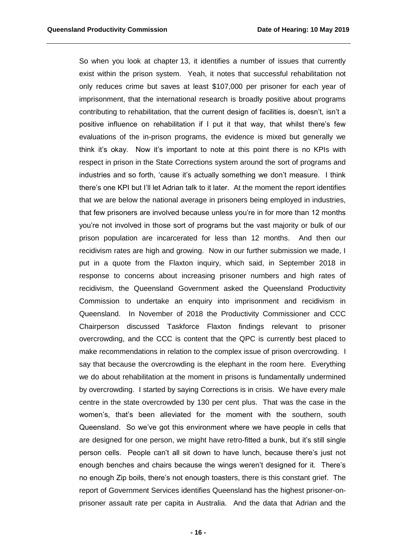So when you look at chapter 13, it identifies a number of issues that currently exist within the prison system. Yeah, it notes that successful rehabilitation not only reduces crime but saves at least \$107,000 per prisoner for each year of imprisonment, that the international research is broadly positive about programs contributing to rehabilitation, that the current design of facilities is, doesn't, isn't a positive influence on rehabilitation if I put it that way, that whilst there's few evaluations of the in-prison programs, the evidence is mixed but generally we think it's okay. Now it's important to note at this point there is no KPIs with respect in prison in the State Corrections system around the sort of programs and industries and so forth, 'cause it's actually something we don't measure. I think there's one KPI but I'll let Adrian talk to it later. At the moment the report identifies that we are below the national average in prisoners being employed in industries, that few prisoners are involved because unless you're in for more than 12 months you're not involved in those sort of programs but the vast majority or bulk of our prison population are incarcerated for less than 12 months. And then our recidivism rates are high and growing. Now in our further submission we made, I put in a quote from the Flaxton inquiry, which said, in September 2018 in response to concerns about increasing prisoner numbers and high rates of recidivism, the Queensland Government asked the Queensland Productivity Commission to undertake an enquiry into imprisonment and recidivism in Queensland. In November of 2018 the Productivity Commissioner and CCC Chairperson discussed Taskforce Flaxton findings relevant to prisoner overcrowding, and the CCC is content that the QPC is currently best placed to make recommendations in relation to the complex issue of prison overcrowding. I say that because the overcrowding is the elephant in the room here. Everything we do about rehabilitation at the moment in prisons is fundamentally undermined by overcrowding. I started by saying Corrections is in crisis. We have every male centre in the state overcrowded by 130 per cent plus. That was the case in the women's, that's been alleviated for the moment with the southern, south Queensland. So we've got this environment where we have people in cells that are designed for one person, we might have retro-fitted a bunk, but it's still single person cells. People can't all sit down to have lunch, because there's just not enough benches and chairs because the wings weren't designed for it. There's no enough Zip boils, there's not enough toasters, there is this constant grief. The report of Government Services identifies Queensland has the highest prisoner-onprisoner assault rate per capita in Australia. And the data that Adrian and the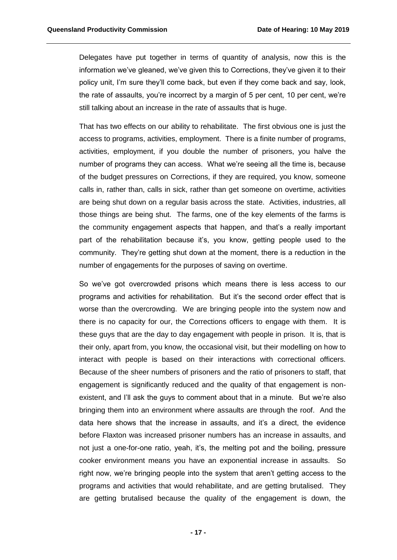Delegates have put together in terms of quantity of analysis, now this is the information we've gleaned, we've given this to Corrections, they've given it to their policy unit, I'm sure they'll come back, but even if they come back and say, look, the rate of assaults, you're incorrect by a margin of 5 per cent, 10 per cent, we're still talking about an increase in the rate of assaults that is huge.

That has two effects on our ability to rehabilitate. The first obvious one is just the access to programs, activities, employment. There is a finite number of programs, activities, employment, if you double the number of prisoners, you halve the number of programs they can access. What we're seeing all the time is, because of the budget pressures on Corrections, if they are required, you know, someone calls in, rather than, calls in sick, rather than get someone on overtime, activities are being shut down on a regular basis across the state. Activities, industries, all those things are being shut. The farms, one of the key elements of the farms is the community engagement aspects that happen, and that's a really important part of the rehabilitation because it's, you know, getting people used to the community. They're getting shut down at the moment, there is a reduction in the number of engagements for the purposes of saving on overtime.

So we've got overcrowded prisons which means there is less access to our programs and activities for rehabilitation. But it's the second order effect that is worse than the overcrowding. We are bringing people into the system now and there is no capacity for our, the Corrections officers to engage with them. It is these guys that are the day to day engagement with people in prison. It is, that is their only, apart from, you know, the occasional visit, but their modelling on how to interact with people is based on their interactions with correctional officers. Because of the sheer numbers of prisoners and the ratio of prisoners to staff, that engagement is significantly reduced and the quality of that engagement is nonexistent, and I'll ask the guys to comment about that in a minute. But we're also bringing them into an environment where assaults are through the roof. And the data here shows that the increase in assaults, and it's a direct, the evidence before Flaxton was increased prisoner numbers has an increase in assaults, and not just a one-for-one ratio, yeah, it's, the melting pot and the boiling, pressure cooker environment means you have an exponential increase in assaults. So right now, we're bringing people into the system that aren't getting access to the programs and activities that would rehabilitate, and are getting brutalised. They are getting brutalised because the quality of the engagement is down, the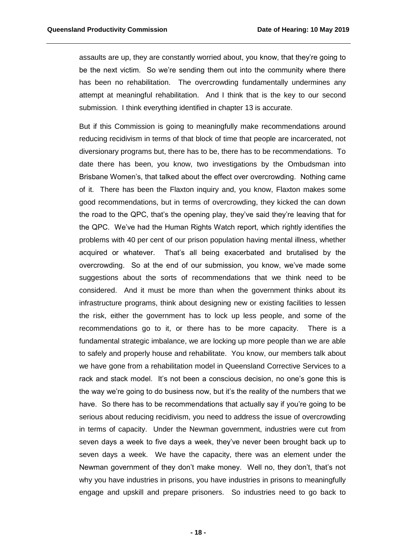assaults are up, they are constantly worried about, you know, that they're going to be the next victim. So we're sending them out into the community where there has been no rehabilitation. The overcrowding fundamentally undermines any attempt at meaningful rehabilitation. And I think that is the key to our second submission. I think everything identified in chapter 13 is accurate.

But if this Commission is going to meaningfully make recommendations around reducing recidivism in terms of that block of time that people are incarcerated, not diversionary programs but, there has to be, there has to be recommendations. To date there has been, you know, two investigations by the Ombudsman into Brisbane Women's, that talked about the effect over overcrowding. Nothing came of it. There has been the Flaxton inquiry and, you know, Flaxton makes some good recommendations, but in terms of overcrowding, they kicked the can down the road to the QPC, that's the opening play, they've said they're leaving that for the QPC. We've had the Human Rights Watch report, which rightly identifies the problems with 40 per cent of our prison population having mental illness, whether acquired or whatever. That's all being exacerbated and brutalised by the overcrowding. So at the end of our submission, you know, we've made some suggestions about the sorts of recommendations that we think need to be considered. And it must be more than when the government thinks about its infrastructure programs, think about designing new or existing facilities to lessen the risk, either the government has to lock up less people, and some of the recommendations go to it, or there has to be more capacity. There is a fundamental strategic imbalance, we are locking up more people than we are able to safely and properly house and rehabilitate. You know, our members talk about we have gone from a rehabilitation model in Queensland Corrective Services to a rack and stack model. It's not been a conscious decision, no one's gone this is the way we're going to do business now, but it's the reality of the numbers that we have. So there has to be recommendations that actually say if you're going to be serious about reducing recidivism, you need to address the issue of overcrowding in terms of capacity. Under the Newman government, industries were cut from seven days a week to five days a week, they've never been brought back up to seven days a week. We have the capacity, there was an element under the Newman government of they don't make money. Well no, they don't, that's not why you have industries in prisons, you have industries in prisons to meaningfully engage and upskill and prepare prisoners. So industries need to go back to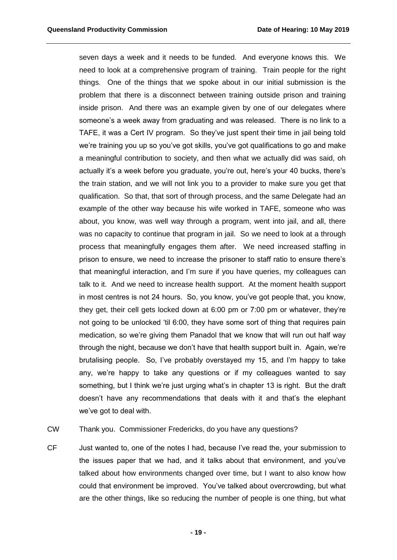seven days a week and it needs to be funded. And everyone knows this. We need to look at a comprehensive program of training. Train people for the right things. One of the things that we spoke about in our initial submission is the problem that there is a disconnect between training outside prison and training inside prison. And there was an example given by one of our delegates where someone's a week away from graduating and was released. There is no link to a TAFE, it was a Cert IV program. So they've just spent their time in jail being told we're training you up so you've got skills, you've got qualifications to go and make a meaningful contribution to society, and then what we actually did was said, oh actually it's a week before you graduate, you're out, here's your 40 bucks, there's the train station, and we will not link you to a provider to make sure you get that qualification. So that, that sort of through process, and the same Delegate had an example of the other way because his wife worked in TAFE, someone who was about, you know, was well way through a program, went into jail, and all, there was no capacity to continue that program in jail. So we need to look at a through process that meaningfully engages them after. We need increased staffing in prison to ensure, we need to increase the prisoner to staff ratio to ensure there's that meaningful interaction, and I'm sure if you have queries, my colleagues can talk to it. And we need to increase health support. At the moment health support in most centres is not 24 hours. So, you know, you've got people that, you know, they get, their cell gets locked down at 6:00 pm or 7:00 pm or whatever, they're not going to be unlocked 'til 6:00, they have some sort of thing that requires pain medication, so we're giving them Panadol that we know that will run out half way through the night, because we don't have that health support built in. Again, we're brutalising people. So, I've probably overstayed my 15, and I'm happy to take any, we're happy to take any questions or if my colleagues wanted to say something, but I think we're just urging what's in chapter 13 is right. But the draft doesn't have any recommendations that deals with it and that's the elephant we've got to deal with.

CW Thank you. Commissioner Fredericks, do you have any questions?

CF Just wanted to, one of the notes I had, because I've read the, your submission to the issues paper that we had, and it talks about that environment, and you've talked about how environments changed over time, but I want to also know how could that environment be improved. You've talked about overcrowding, but what are the other things, like so reducing the number of people is one thing, but what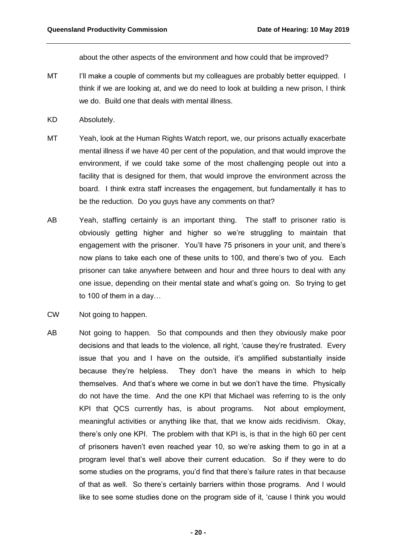about the other aspects of the environment and how could that be improved?

- MT I'll make a couple of comments but my colleagues are probably better equipped. I think if we are looking at, and we do need to look at building a new prison, I think we do. Build one that deals with mental illness.
- KD Absolutely.
- MT Yeah, look at the Human Rights Watch report, we, our prisons actually exacerbate mental illness if we have 40 per cent of the population, and that would improve the environment, if we could take some of the most challenging people out into a facility that is designed for them, that would improve the environment across the board. I think extra staff increases the engagement, but fundamentally it has to be the reduction. Do you guys have any comments on that?
- AB Yeah, staffing certainly is an important thing. The staff to prisoner ratio is obviously getting higher and higher so we're struggling to maintain that engagement with the prisoner. You'll have 75 prisoners in your unit, and there's now plans to take each one of these units to 100, and there's two of you. Each prisoner can take anywhere between and hour and three hours to deal with any one issue, depending on their mental state and what's going on. So trying to get to 100 of them in a day…
- CW Not going to happen.
- AB Not going to happen. So that compounds and then they obviously make poor decisions and that leads to the violence, all right, 'cause they're frustrated. Every issue that you and I have on the outside, it's amplified substantially inside because they're helpless. They don't have the means in which to help themselves. And that's where we come in but we don't have the time. Physically do not have the time. And the one KPI that Michael was referring to is the only KPI that QCS currently has, is about programs. Not about employment, meaningful activities or anything like that, that we know aids recidivism. Okay, there's only one KPI. The problem with that KPI is, is that in the high 60 per cent of prisoners haven't even reached year 10, so we're asking them to go in at a program level that's well above their current education. So if they were to do some studies on the programs, you'd find that there's failure rates in that because of that as well. So there's certainly barriers within those programs. And I would like to see some studies done on the program side of it, 'cause I think you would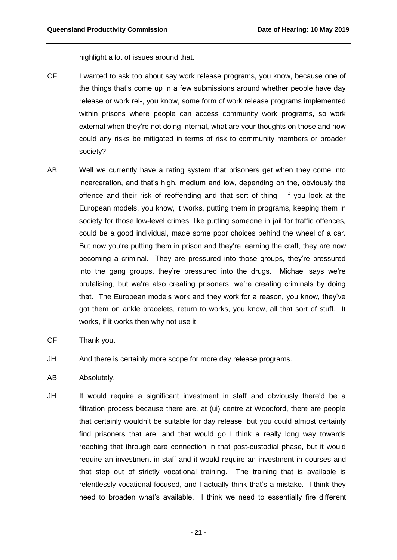highlight a lot of issues around that.

- CF I wanted to ask too about say work release programs, you know, because one of the things that's come up in a few submissions around whether people have day release or work rel-, you know, some form of work release programs implemented within prisons where people can access community work programs, so work external when they're not doing internal, what are your thoughts on those and how could any risks be mitigated in terms of risk to community members or broader society?
- AB Well we currently have a rating system that prisoners get when they come into incarceration, and that's high, medium and low, depending on the, obviously the offence and their risk of reoffending and that sort of thing. If you look at the European models, you know, it works, putting them in programs, keeping them in society for those low-level crimes, like putting someone in jail for traffic offences, could be a good individual, made some poor choices behind the wheel of a car. But now you're putting them in prison and they're learning the craft, they are now becoming a criminal. They are pressured into those groups, they're pressured into the gang groups, they're pressured into the drugs. Michael says we're brutalising, but we're also creating prisoners, we're creating criminals by doing that. The European models work and they work for a reason, you know, they've got them on ankle bracelets, return to works, you know, all that sort of stuff. It works, if it works then why not use it.
- CF Thank you.
- JH And there is certainly more scope for more day release programs.
- AB Absolutely.
- JH It would require a significant investment in staff and obviously there'd be a filtration process because there are, at (ui) centre at Woodford, there are people that certainly wouldn't be suitable for day release, but you could almost certainly find prisoners that are, and that would go I think a really long way towards reaching that through care connection in that post-custodial phase, but it would require an investment in staff and it would require an investment in courses and that step out of strictly vocational training. The training that is available is relentlessly vocational-focused, and I actually think that's a mistake. I think they need to broaden what's available. I think we need to essentially fire different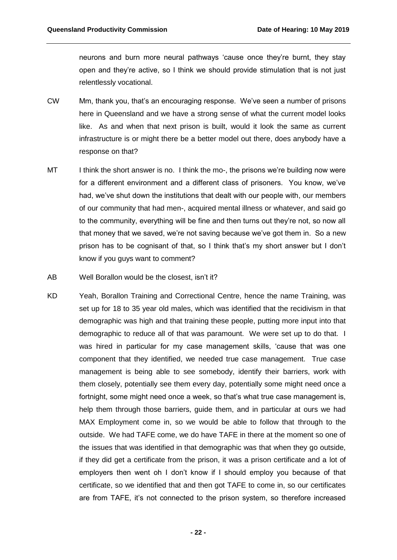neurons and burn more neural pathways 'cause once they're burnt, they stay open and they're active, so I think we should provide stimulation that is not just relentlessly vocational.

- CW Mm, thank you, that's an encouraging response. We've seen a number of prisons here in Queensland and we have a strong sense of what the current model looks like. As and when that next prison is built, would it look the same as current infrastructure is or might there be a better model out there, does anybody have a response on that?
- MT I think the short answer is no. I think the mo-, the prisons we're building now were for a different environment and a different class of prisoners. You know, we've had, we've shut down the institutions that dealt with our people with, our members of our community that had men-, acquired mental illness or whatever, and said go to the community, everything will be fine and then turns out they're not, so now all that money that we saved, we're not saving because we've got them in. So a new prison has to be cognisant of that, so I think that's my short answer but I don't know if you guys want to comment?
- AB Well Borallon would be the closest, isn't it?
- KD Yeah, Borallon Training and Correctional Centre, hence the name Training, was set up for 18 to 35 year old males, which was identified that the recidivism in that demographic was high and that training these people, putting more input into that demographic to reduce all of that was paramount. We were set up to do that. I was hired in particular for my case management skills, 'cause that was one component that they identified, we needed true case management. True case management is being able to see somebody, identify their barriers, work with them closely, potentially see them every day, potentially some might need once a fortnight, some might need once a week, so that's what true case management is, help them through those barriers, guide them, and in particular at ours we had MAX Employment come in, so we would be able to follow that through to the outside. We had TAFE come, we do have TAFE in there at the moment so one of the issues that was identified in that demographic was that when they go outside, if they did get a certificate from the prison, it was a prison certificate and a lot of employers then went oh I don't know if I should employ you because of that certificate, so we identified that and then got TAFE to come in, so our certificates are from TAFE, it's not connected to the prison system, so therefore increased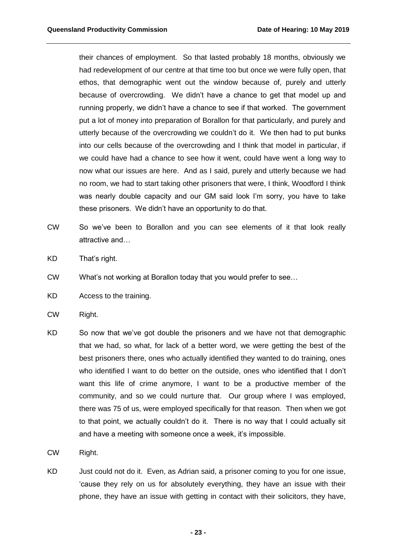their chances of employment. So that lasted probably 18 months, obviously we had redevelopment of our centre at that time too but once we were fully open, that ethos, that demographic went out the window because of, purely and utterly because of overcrowding. We didn't have a chance to get that model up and running properly, we didn't have a chance to see if that worked. The government put a lot of money into preparation of Borallon for that particularly, and purely and utterly because of the overcrowding we couldn't do it. We then had to put bunks into our cells because of the overcrowding and I think that model in particular, if we could have had a chance to see how it went, could have went a long way to now what our issues are here. And as I said, purely and utterly because we had no room, we had to start taking other prisoners that were, I think, Woodford I think was nearly double capacity and our GM said look I'm sorry, you have to take these prisoners. We didn't have an opportunity to do that.

- CW So we've been to Borallon and you can see elements of it that look really attractive and…
- KD That's right.
- CW What's not working at Borallon today that you would prefer to see…
- KD Access to the training.
- CW Right.
- KD So now that we've got double the prisoners and we have not that demographic that we had, so what, for lack of a better word, we were getting the best of the best prisoners there, ones who actually identified they wanted to do training, ones who identified I want to do better on the outside, ones who identified that I don't want this life of crime anymore, I want to be a productive member of the community, and so we could nurture that. Our group where I was employed, there was 75 of us, were employed specifically for that reason. Then when we got to that point, we actually couldn't do it. There is no way that I could actually sit and have a meeting with someone once a week, it's impossible.
- CW Right.
- KD Just could not do it. Even, as Adrian said, a prisoner coming to you for one issue, 'cause they rely on us for absolutely everything, they have an issue with their phone, they have an issue with getting in contact with their solicitors, they have,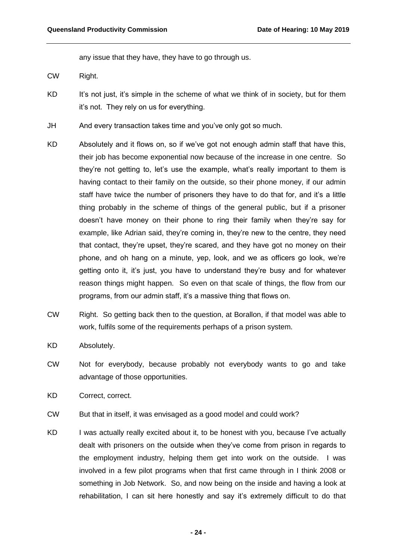any issue that they have, they have to go through us.

- CW Right.
- KD It's not just, it's simple in the scheme of what we think of in society, but for them it's not. They rely on us for everything.
- JH And every transaction takes time and you've only got so much.
- KD Absolutely and it flows on, so if we've got not enough admin staff that have this, their job has become exponential now because of the increase in one centre. So they're not getting to, let's use the example, what's really important to them is having contact to their family on the outside, so their phone money, if our admin staff have twice the number of prisoners they have to do that for, and it's a little thing probably in the scheme of things of the general public, but if a prisoner doesn't have money on their phone to ring their family when they're say for example, like Adrian said, they're coming in, they're new to the centre, they need that contact, they're upset, they're scared, and they have got no money on their phone, and oh hang on a minute, yep, look, and we as officers go look, we're getting onto it, it's just, you have to understand they're busy and for whatever reason things might happen. So even on that scale of things, the flow from our programs, from our admin staff, it's a massive thing that flows on.
- CW Right. So getting back then to the question, at Borallon, if that model was able to work, fulfils some of the requirements perhaps of a prison system.
- KD Absolutely.
- CW Not for everybody, because probably not everybody wants to go and take advantage of those opportunities.
- KD Correct, correct.
- CW But that in itself, it was envisaged as a good model and could work?
- KD I was actually really excited about it, to be honest with you, because I've actually dealt with prisoners on the outside when they've come from prison in regards to the employment industry, helping them get into work on the outside. I was involved in a few pilot programs when that first came through in I think 2008 or something in Job Network. So, and now being on the inside and having a look at rehabilitation, I can sit here honestly and say it's extremely difficult to do that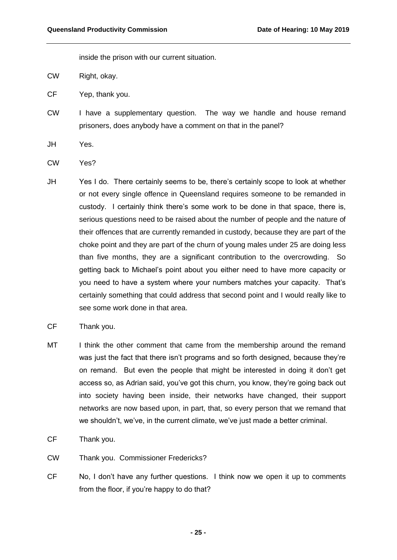inside the prison with our current situation.

- CW Right, okay.
- CF Yep, thank you.
- CW I have a supplementary question. The way we handle and house remand prisoners, does anybody have a comment on that in the panel?
- JH Yes.
- CW Yes?
- JH Yes I do. There certainly seems to be, there's certainly scope to look at whether or not every single offence in Queensland requires someone to be remanded in custody. I certainly think there's some work to be done in that space, there is, serious questions need to be raised about the number of people and the nature of their offences that are currently remanded in custody, because they are part of the choke point and they are part of the churn of young males under 25 are doing less than five months, they are a significant contribution to the overcrowding. So getting back to Michael's point about you either need to have more capacity or you need to have a system where your numbers matches your capacity. That's certainly something that could address that second point and I would really like to see some work done in that area.
- CF Thank you.
- MT I think the other comment that came from the membership around the remand was just the fact that there isn't programs and so forth designed, because they're on remand. But even the people that might be interested in doing it don't get access so, as Adrian said, you've got this churn, you know, they're going back out into society having been inside, their networks have changed, their support networks are now based upon, in part, that, so every person that we remand that we shouldn't, we've, in the current climate, we've just made a better criminal.
- CF Thank you.
- CW Thank you. Commissioner Fredericks?
- CF No, I don't have any further questions. I think now we open it up to comments from the floor, if you're happy to do that?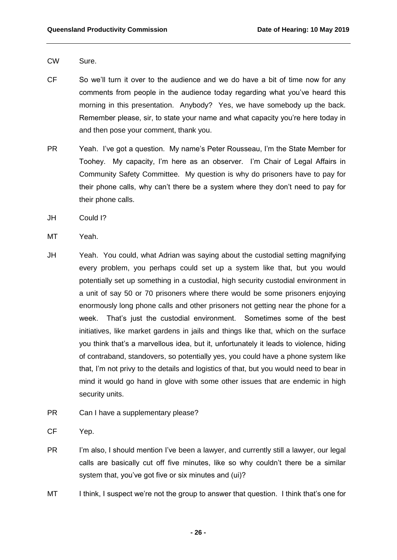- CW Sure.
- CF So we'll turn it over to the audience and we do have a bit of time now for any comments from people in the audience today regarding what you've heard this morning in this presentation. Anybody? Yes, we have somebody up the back. Remember please, sir, to state your name and what capacity you're here today in and then pose your comment, thank you.
- PR Yeah. I've got a question. My name's Peter Rousseau, I'm the State Member for Toohey. My capacity, I'm here as an observer. I'm Chair of Legal Affairs in Community Safety Committee. My question is why do prisoners have to pay for their phone calls, why can't there be a system where they don't need to pay for their phone calls.
- JH Could I?
- MT Yeah.
- JH Yeah. You could, what Adrian was saying about the custodial setting magnifying every problem, you perhaps could set up a system like that, but you would potentially set up something in a custodial, high security custodial environment in a unit of say 50 or 70 prisoners where there would be some prisoners enjoying enormously long phone calls and other prisoners not getting near the phone for a week. That's just the custodial environment. Sometimes some of the best initiatives, like market gardens in jails and things like that, which on the surface you think that's a marvellous idea, but it, unfortunately it leads to violence, hiding of contraband, standovers, so potentially yes, you could have a phone system like that, I'm not privy to the details and logistics of that, but you would need to bear in mind it would go hand in glove with some other issues that are endemic in high security units.
- PR Can I have a supplementary please?
- CF Yep.
- PR I'm also, I should mention I've been a lawyer, and currently still a lawyer, our legal calls are basically cut off five minutes, like so why couldn't there be a similar system that, you've got five or six minutes and (ui)?
- MT I think, I suspect we're not the group to answer that question. I think that's one for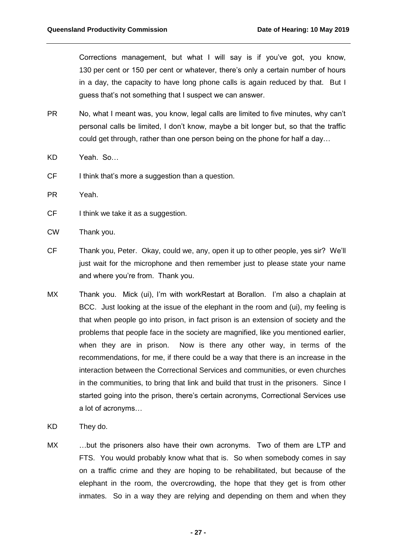Corrections management, but what I will say is if you've got, you know, 130 per cent or 150 per cent or whatever, there's only a certain number of hours in a day, the capacity to have long phone calls is again reduced by that. But I guess that's not something that I suspect we can answer.

- PR No, what I meant was, you know, legal calls are limited to five minutes, why can't personal calls be limited, I don't know, maybe a bit longer but, so that the traffic could get through, rather than one person being on the phone for half a day…
- KD Yeah. So…
- CF I think that's more a suggestion than a question.
- PR Yeah.
- CF I think we take it as a suggestion.
- CW Thank you.
- CF Thank you, Peter. Okay, could we, any, open it up to other people, yes sir? We'll just wait for the microphone and then remember just to please state your name and where you're from. Thank you.
- MX Thank you. Mick (ui), I'm with workRestart at Borallon. I'm also a chaplain at BCC. Just looking at the issue of the elephant in the room and (ui), my feeling is that when people go into prison, in fact prison is an extension of society and the problems that people face in the society are magnified, like you mentioned earlier, when they are in prison. Now is there any other way, in terms of the recommendations, for me, if there could be a way that there is an increase in the interaction between the Correctional Services and communities, or even churches in the communities, to bring that link and build that trust in the prisoners. Since I started going into the prison, there's certain acronyms, Correctional Services use a lot of acronyms…
- KD They do.
- MX ...but the prisoners also have their own acronyms. Two of them are LTP and FTS. You would probably know what that is. So when somebody comes in say on a traffic crime and they are hoping to be rehabilitated, but because of the elephant in the room, the overcrowding, the hope that they get is from other inmates. So in a way they are relying and depending on them and when they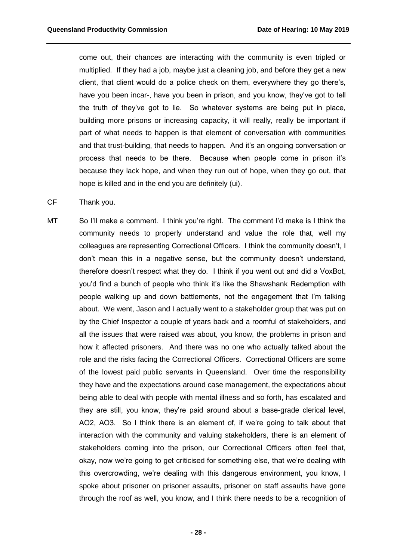come out, their chances are interacting with the community is even tripled or multiplied. If they had a job, maybe just a cleaning job, and before they get a new client, that client would do a police check on them, everywhere they go there's, have you been incar-, have you been in prison, and you know, they've got to tell the truth of they've got to lie. So whatever systems are being put in place, building more prisons or increasing capacity, it will really, really be important if part of what needs to happen is that element of conversation with communities and that trust-building, that needs to happen. And it's an ongoing conversation or process that needs to be there. Because when people come in prison it's because they lack hope, and when they run out of hope, when they go out, that hope is killed and in the end you are definitely (ui).

- CF Thank you.
- MT So I'll make a comment. I think you're right. The comment I'd make is I think the community needs to properly understand and value the role that, well my colleagues are representing Correctional Officers. I think the community doesn't, I don't mean this in a negative sense, but the community doesn't understand, therefore doesn't respect what they do. I think if you went out and did a VoxBot, you'd find a bunch of people who think it's like the Shawshank Redemption with people walking up and down battlements, not the engagement that I'm talking about. We went, Jason and I actually went to a stakeholder group that was put on by the Chief Inspector a couple of years back and a roomful of stakeholders, and all the issues that were raised was about, you know, the problems in prison and how it affected prisoners. And there was no one who actually talked about the role and the risks facing the Correctional Officers. Correctional Officers are some of the lowest paid public servants in Queensland. Over time the responsibility they have and the expectations around case management, the expectations about being able to deal with people with mental illness and so forth, has escalated and they are still, you know, they're paid around about a base-grade clerical level, AO2, AO3. So I think there is an element of, if we're going to talk about that interaction with the community and valuing stakeholders, there is an element of stakeholders coming into the prison, our Correctional Officers often feel that, okay, now we're going to get criticised for something else, that we're dealing with this overcrowding, we're dealing with this dangerous environment, you know, I spoke about prisoner on prisoner assaults, prisoner on staff assaults have gone through the roof as well, you know, and I think there needs to be a recognition of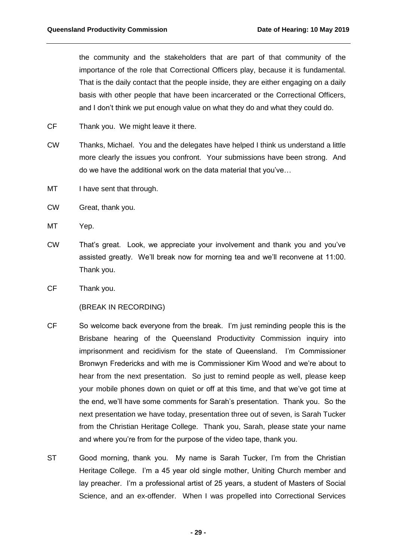the community and the stakeholders that are part of that community of the importance of the role that Correctional Officers play, because it is fundamental. That is the daily contact that the people inside, they are either engaging on a daily basis with other people that have been incarcerated or the Correctional Officers, and I don't think we put enough value on what they do and what they could do.

- CF Thank you. We might leave it there.
- CW Thanks, Michael. You and the delegates have helped I think us understand a little more clearly the issues you confront. Your submissions have been strong. And do we have the additional work on the data material that you've…
- MT I have sent that through.
- CW Great, thank you.
- MT Yep.
- CW That's great. Look, we appreciate your involvement and thank you and you've assisted greatly. We'll break now for morning tea and we'll reconvene at 11:00. Thank you.
- CF Thank you.

## (BREAK IN RECORDING)

- CF So welcome back everyone from the break. I'm just reminding people this is the Brisbane hearing of the Queensland Productivity Commission inquiry into imprisonment and recidivism for the state of Queensland. I'm Commissioner Bronwyn Fredericks and with me is Commissioner Kim Wood and we're about to hear from the next presentation. So just to remind people as well, please keep your mobile phones down on quiet or off at this time, and that we've got time at the end, we'll have some comments for Sarah's presentation. Thank you. So the next presentation we have today, presentation three out of seven, is Sarah Tucker from the Christian Heritage College. Thank you, Sarah, please state your name and where you're from for the purpose of the video tape, thank you.
- ST Good morning, thank you. My name is Sarah Tucker, I'm from the Christian Heritage College. I'm a 45 year old single mother, Uniting Church member and lay preacher. I'm a professional artist of 25 years, a student of Masters of Social Science, and an ex-offender. When I was propelled into Correctional Services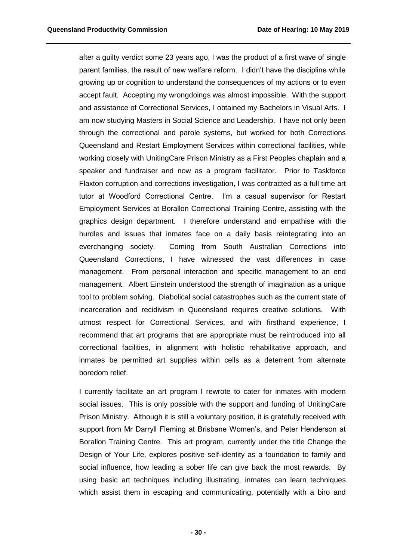after a guilty verdict some 23 years ago, I was the product of a first wave of single parent families, the result of new welfare reform. I didn't have the discipline while growing up or cognition to understand the consequences of my actions or to even accept fault. Accepting my wrongdoings was almost impossible. With the support and assistance of Correctional Services, I obtained my Bachelors in Visual Arts. I am now studying Masters in Social Science and Leadership. I have not only been through the correctional and parole systems, but worked for both Corrections Queensland and Restart Employment Services within correctional facilities, while working closely with UnitingCare Prison Ministry as a First Peoples chaplain and a speaker and fundraiser and now as a program facilitator. Prior to Taskforce Flaxton corruption and corrections investigation, I was contracted as a full time art tutor at Woodford Correctional Centre. I'm a casual supervisor for Restart Employment Services at Borallon Correctional Training Centre, assisting with the graphics design department. I therefore understand and empathise with the hurdles and issues that inmates face on a daily basis reintegrating into an everchanging society. Coming from South Australian Corrections into Queensland Corrections, I have witnessed the vast differences in case management. From personal interaction and specific management to an end management. Albert Einstein understood the strength of imagination as a unique tool to problem solving. Diabolical social catastrophes such as the current state of incarceration and recidivism in Queensland requires creative solutions. With utmost respect for Correctional Services, and with firsthand experience, I recommend that art programs that are appropriate must be reintroduced into all correctional facilities, in alignment with holistic rehabilitative approach, and inmates be permitted art supplies within cells as a deterrent from alternate boredom relief.

I currently facilitate an art program I rewrote to cater for inmates with modern social issues. This is only possible with the support and funding of UnitingCare Prison Ministry. Although it is still a voluntary position, it is gratefully received with support from Mr Darryll Fleming at Brisbane Women's, and Peter Henderson at Borallon Training Centre. This art program, currently under the title Change the Design of Your Life, explores positive self-identity as a foundation to family and social influence, how leading a sober life can give back the most rewards. By using basic art techniques including illustrating, inmates can learn techniques which assist them in escaping and communicating, potentially with a biro and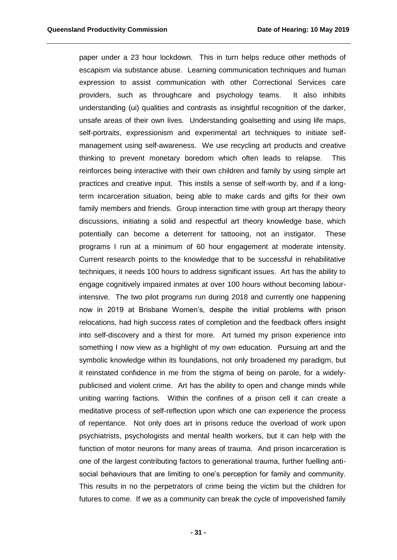paper under a 23 hour lockdown. This in turn helps reduce other methods of escapism via substance abuse. Learning communication techniques and human expression to assist communication with other Correctional Services care providers, such as throughcare and psychology teams. It also inhibits understanding (ui) qualities and contrasts as insightful recognition of the darker, unsafe areas of their own lives. Understanding goalsetting and using life maps, self-portraits, expressionism and experimental art techniques to initiate selfmanagement using self-awareness. We use recycling art products and creative thinking to prevent monetary boredom which often leads to relapse. This reinforces being interactive with their own children and family by using simple art practices and creative input. This instils a sense of self-worth by, and if a longterm incarceration situation, being able to make cards and gifts for their own family members and friends. Group interaction time with group art therapy theory discussions, initiating a solid and respectful art theory knowledge base, which potentially can become a deterrent for tattooing, not an instigator. These programs I run at a minimum of 60 hour engagement at moderate intensity. Current research points to the knowledge that to be successful in rehabilitative techniques, it needs 100 hours to address significant issues. Art has the ability to engage cognitively impaired inmates at over 100 hours without becoming labourintensive. The two pilot programs run during 2018 and currently one happening now in 2019 at Brisbane Women's, despite the initial problems with prison relocations, had high success rates of completion and the feedback offers insight into self-discovery and a thirst for more. Art turned my prison experience into something I now view as a highlight of my own education. Pursuing art and the symbolic knowledge within its foundations, not only broadened my paradigm, but it reinstated confidence in me from the stigma of being on parole, for a widelypublicised and violent crime. Art has the ability to open and change minds while uniting warring factions. Within the confines of a prison cell it can create a meditative process of self-reflection upon which one can experience the process of repentance. Not only does art in prisons reduce the overload of work upon psychiatrists, psychologists and mental health workers, but it can help with the function of motor neurons for many areas of trauma. And prison incarceration is one of the largest contributing factors to generational trauma, further fuelling antisocial behaviours that are limiting to one's perception for family and community. This results in no the perpetrators of crime being the victim but the children for futures to come. If we as a community can break the cycle of impoverished family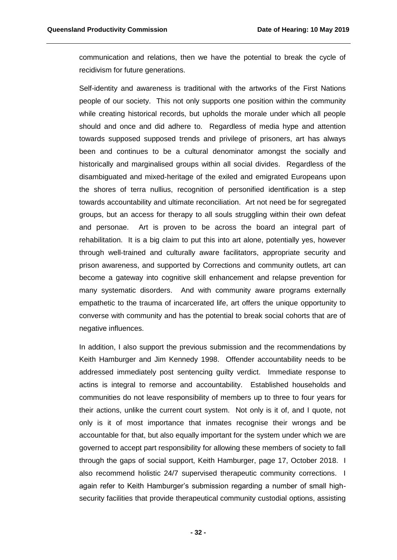communication and relations, then we have the potential to break the cycle of recidivism for future generations.

Self-identity and awareness is traditional with the artworks of the First Nations people of our society. This not only supports one position within the community while creating historical records, but upholds the morale under which all people should and once and did adhere to. Regardless of media hype and attention towards supposed supposed trends and privilege of prisoners, art has always been and continues to be a cultural denominator amongst the socially and historically and marginalised groups within all social divides. Regardless of the disambiguated and mixed-heritage of the exiled and emigrated Europeans upon the shores of terra nullius, recognition of personified identification is a step towards accountability and ultimate reconciliation. Art not need be for segregated groups, but an access for therapy to all souls struggling within their own defeat and personae. Art is proven to be across the board an integral part of rehabilitation. It is a big claim to put this into art alone, potentially yes, however through well-trained and culturally aware facilitators, appropriate security and prison awareness, and supported by Corrections and community outlets, art can become a gateway into cognitive skill enhancement and relapse prevention for many systematic disorders. And with community aware programs externally empathetic to the trauma of incarcerated life, art offers the unique opportunity to converse with community and has the potential to break social cohorts that are of negative influences.

In addition, I also support the previous submission and the recommendations by Keith Hamburger and Jim Kennedy 1998. Offender accountability needs to be addressed immediately post sentencing guilty verdict. Immediate response to actins is integral to remorse and accountability. Established households and communities do not leave responsibility of members up to three to four years for their actions, unlike the current court system. Not only is it of, and I quote, not only is it of most importance that inmates recognise their wrongs and be accountable for that, but also equally important for the system under which we are governed to accept part responsibility for allowing these members of society to fall through the gaps of social support, Keith Hamburger, page 17, October 2018. I also recommend holistic 24/7 supervised therapeutic community corrections. I again refer to Keith Hamburger's submission regarding a number of small highsecurity facilities that provide therapeutical community custodial options, assisting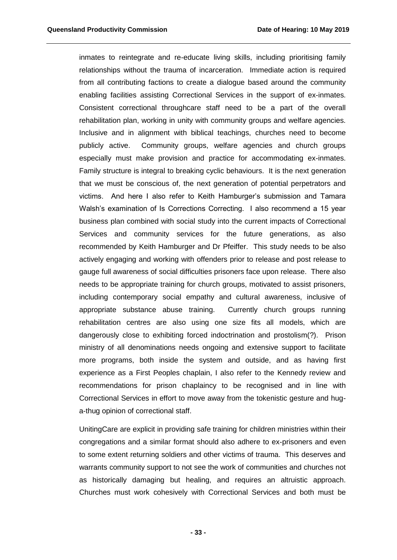inmates to reintegrate and re-educate living skills, including prioritising family relationships without the trauma of incarceration. Immediate action is required from all contributing factions to create a dialogue based around the community enabling facilities assisting Correctional Services in the support of ex-inmates. Consistent correctional throughcare staff need to be a part of the overall rehabilitation plan, working in unity with community groups and welfare agencies. Inclusive and in alignment with biblical teachings, churches need to become publicly active. Community groups, welfare agencies and church groups especially must make provision and practice for accommodating ex-inmates. Family structure is integral to breaking cyclic behaviours. It is the next generation that we must be conscious of, the next generation of potential perpetrators and victims. And here I also refer to Keith Hamburger's submission and Tamara Walsh's examination of Is Corrections Correcting. I also recommend a 15 year business plan combined with social study into the current impacts of Correctional Services and community services for the future generations, as also recommended by Keith Hamburger and Dr Pfeiffer. This study needs to be also actively engaging and working with offenders prior to release and post release to gauge full awareness of social difficulties prisoners face upon release. There also needs to be appropriate training for church groups, motivated to assist prisoners, including contemporary social empathy and cultural awareness, inclusive of appropriate substance abuse training. Currently church groups running rehabilitation centres are also using one size fits all models, which are dangerously close to exhibiting forced indoctrination and prostolism(?). Prison ministry of all denominations needs ongoing and extensive support to facilitate more programs, both inside the system and outside, and as having first experience as a First Peoples chaplain, I also refer to the Kennedy review and recommendations for prison chaplaincy to be recognised and in line with Correctional Services in effort to move away from the tokenistic gesture and huga-thug opinion of correctional staff.

UnitingCare are explicit in providing safe training for children ministries within their congregations and a similar format should also adhere to ex-prisoners and even to some extent returning soldiers and other victims of trauma. This deserves and warrants community support to not see the work of communities and churches not as historically damaging but healing, and requires an altruistic approach. Churches must work cohesively with Correctional Services and both must be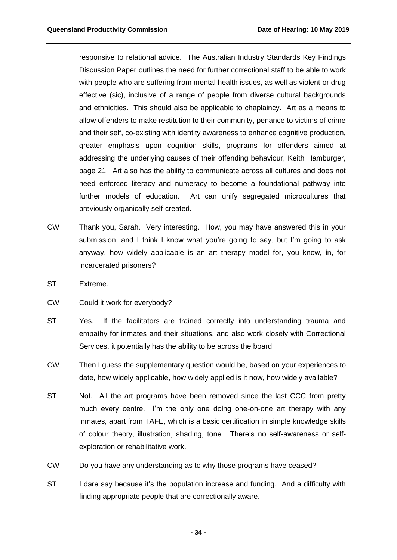responsive to relational advice. The Australian Industry Standards Key Findings Discussion Paper outlines the need for further correctional staff to be able to work with people who are suffering from mental health issues, as well as violent or drug effective (sic), inclusive of a range of people from diverse cultural backgrounds and ethnicities. This should also be applicable to chaplaincy. Art as a means to allow offenders to make restitution to their community, penance to victims of crime and their self, co-existing with identity awareness to enhance cognitive production, greater emphasis upon cognition skills, programs for offenders aimed at addressing the underlying causes of their offending behaviour, Keith Hamburger, page 21. Art also has the ability to communicate across all cultures and does not need enforced literacy and numeracy to become a foundational pathway into further models of education. Art can unify segregated microcultures that previously organically self-created.

- CW Thank you, Sarah. Very interesting. How, you may have answered this in your submission, and I think I know what you're going to say, but I'm going to ask anyway, how widely applicable is an art therapy model for, you know, in, for incarcerated prisoners?
- ST Extreme.
- CW Could it work for everybody?
- ST Yes. If the facilitators are trained correctly into understanding trauma and empathy for inmates and their situations, and also work closely with Correctional Services, it potentially has the ability to be across the board.
- CW Then I guess the supplementary question would be, based on your experiences to date, how widely applicable, how widely applied is it now, how widely available?
- ST Not. All the art programs have been removed since the last CCC from pretty much every centre. I'm the only one doing one-on-one art therapy with any inmates, apart from TAFE, which is a basic certification in simple knowledge skills of colour theory, illustration, shading, tone. There's no self-awareness or selfexploration or rehabilitative work.
- CW Do you have any understanding as to why those programs have ceased?
- ST I dare say because it's the population increase and funding. And a difficulty with finding appropriate people that are correctionally aware.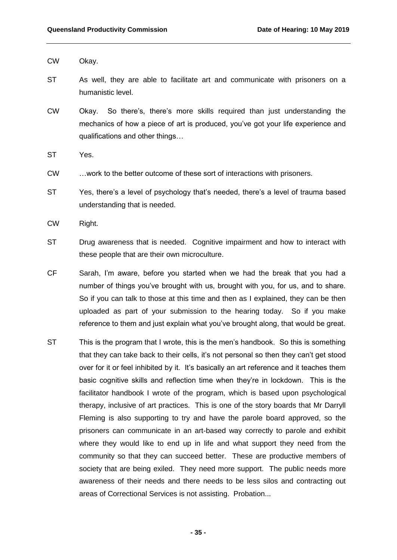CW Okay.

- ST As well, they are able to facilitate art and communicate with prisoners on a humanistic level.
- CW Okay. So there's, there's more skills required than just understanding the mechanics of how a piece of art is produced, you've got your life experience and qualifications and other things…
- ST Yes.
- CW …work to the better outcome of these sort of interactions with prisoners.
- ST Yes, there's a level of psychology that's needed, there's a level of trauma based understanding that is needed.
- CW Right.
- ST Drug awareness that is needed. Cognitive impairment and how to interact with these people that are their own microculture.
- CF Sarah, I'm aware, before you started when we had the break that you had a number of things you've brought with us, brought with you, for us, and to share. So if you can talk to those at this time and then as I explained, they can be then uploaded as part of your submission to the hearing today. So if you make reference to them and just explain what you've brought along, that would be great.
- ST This is the program that I wrote, this is the men's handbook. So this is something that they can take back to their cells, it's not personal so then they can't get stood over for it or feel inhibited by it. It's basically an art reference and it teaches them basic cognitive skills and reflection time when they're in lockdown. This is the facilitator handbook I wrote of the program, which is based upon psychological therapy, inclusive of art practices. This is one of the story boards that Mr Darryll Fleming is also supporting to try and have the parole board approved, so the prisoners can communicate in an art-based way correctly to parole and exhibit where they would like to end up in life and what support they need from the community so that they can succeed better. These are productive members of society that are being exiled. They need more support. The public needs more awareness of their needs and there needs to be less silos and contracting out areas of Correctional Services is not assisting. Probation...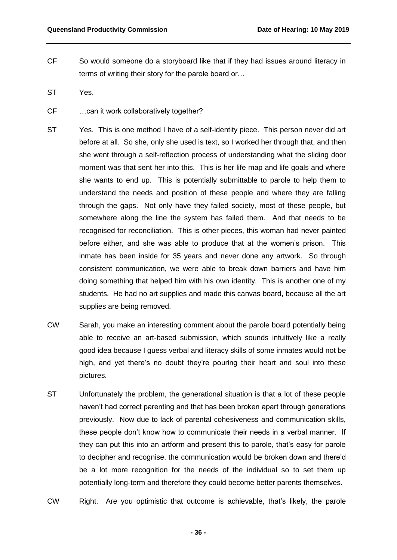- CF So would someone do a storyboard like that if they had issues around literacy in terms of writing their story for the parole board or…
- ST Yes.
- CF …can it work collaboratively together?
- ST Yes. This is one method I have of a self-identity piece. This person never did art before at all. So she, only she used is text, so I worked her through that, and then she went through a self-reflection process of understanding what the sliding door moment was that sent her into this. This is her life map and life goals and where she wants to end up. This is potentially submittable to parole to help them to understand the needs and position of these people and where they are falling through the gaps. Not only have they failed society, most of these people, but somewhere along the line the system has failed them. And that needs to be recognised for reconciliation. This is other pieces, this woman had never painted before either, and she was able to produce that at the women's prison. This inmate has been inside for 35 years and never done any artwork. So through consistent communication, we were able to break down barriers and have him doing something that helped him with his own identity. This is another one of my students. He had no art supplies and made this canvas board, because all the art supplies are being removed.
- CW Sarah, you make an interesting comment about the parole board potentially being able to receive an art-based submission, which sounds intuitively like a really good idea because I guess verbal and literacy skills of some inmates would not be high, and yet there's no doubt they're pouring their heart and soul into these pictures.
- ST Unfortunately the problem, the generational situation is that a lot of these people haven't had correct parenting and that has been broken apart through generations previously. Now due to lack of parental cohesiveness and communication skills, these people don't know how to communicate their needs in a verbal manner. If they can put this into an artform and present this to parole, that's easy for parole to decipher and recognise, the communication would be broken down and there'd be a lot more recognition for the needs of the individual so to set them up potentially long-term and therefore they could become better parents themselves.
- CW Right. Are you optimistic that outcome is achievable, that's likely, the parole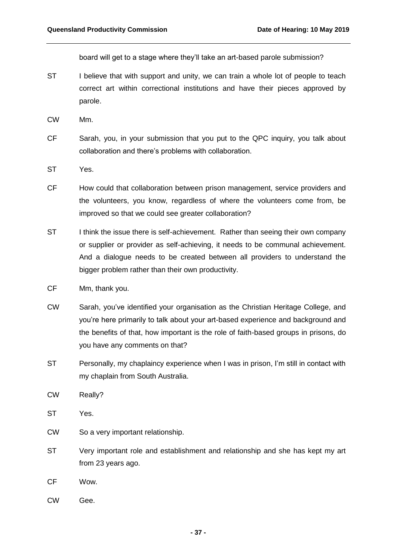board will get to a stage where they'll take an art-based parole submission?

- ST I believe that with support and unity, we can train a whole lot of people to teach correct art within correctional institutions and have their pieces approved by parole.
- CW Mm.
- CF Sarah, you, in your submission that you put to the QPC inquiry, you talk about collaboration and there's problems with collaboration.
- ST Yes.
- CF How could that collaboration between prison management, service providers and the volunteers, you know, regardless of where the volunteers come from, be improved so that we could see greater collaboration?
- ST I think the issue there is self-achievement. Rather than seeing their own company or supplier or provider as self-achieving, it needs to be communal achievement. And a dialogue needs to be created between all providers to understand the bigger problem rather than their own productivity.
- CF Mm, thank you.
- CW Sarah, you've identified your organisation as the Christian Heritage College, and you're here primarily to talk about your art-based experience and background and the benefits of that, how important is the role of faith-based groups in prisons, do you have any comments on that?
- ST Personally, my chaplaincy experience when I was in prison, I'm still in contact with my chaplain from South Australia.
- CW Really?
- ST Yes.
- CW So a very important relationship.
- ST Very important role and establishment and relationship and she has kept my art from 23 years ago.
- CF Wow.
- CW Gee.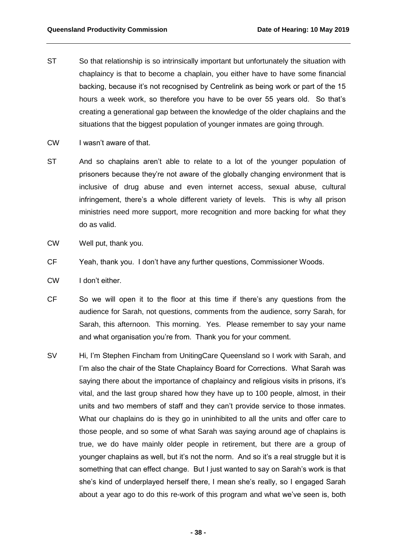- ST So that relationship is so intrinsically important but unfortunately the situation with chaplaincy is that to become a chaplain, you either have to have some financial backing, because it's not recognised by Centrelink as being work or part of the 15 hours a week work, so therefore you have to be over 55 years old. So that's creating a generational gap between the knowledge of the older chaplains and the situations that the biggest population of younger inmates are going through.
- CW I wasn't aware of that.
- ST And so chaplains aren't able to relate to a lot of the younger population of prisoners because they're not aware of the globally changing environment that is inclusive of drug abuse and even internet access, sexual abuse, cultural infringement, there's a whole different variety of levels. This is why all prison ministries need more support, more recognition and more backing for what they do as valid.
- CW Well put, thank you.
- CF Yeah, thank you. I don't have any further questions, Commissioner Woods.
- CW I don't either.
- CF So we will open it to the floor at this time if there's any questions from the audience for Sarah, not questions, comments from the audience, sorry Sarah, for Sarah, this afternoon. This morning. Yes. Please remember to say your name and what organisation you're from. Thank you for your comment.
- SV Hi, I'm Stephen Fincham from UnitingCare Queensland so I work with Sarah, and I'm also the chair of the State Chaplaincy Board for Corrections. What Sarah was saying there about the importance of chaplaincy and religious visits in prisons, it's vital, and the last group shared how they have up to 100 people, almost, in their units and two members of staff and they can't provide service to those inmates. What our chaplains do is they go in uninhibited to all the units and offer care to those people, and so some of what Sarah was saying around age of chaplains is true, we do have mainly older people in retirement, but there are a group of younger chaplains as well, but it's not the norm. And so it's a real struggle but it is something that can effect change. But I just wanted to say on Sarah's work is that she's kind of underplayed herself there, I mean she's really, so I engaged Sarah about a year ago to do this re-work of this program and what we've seen is, both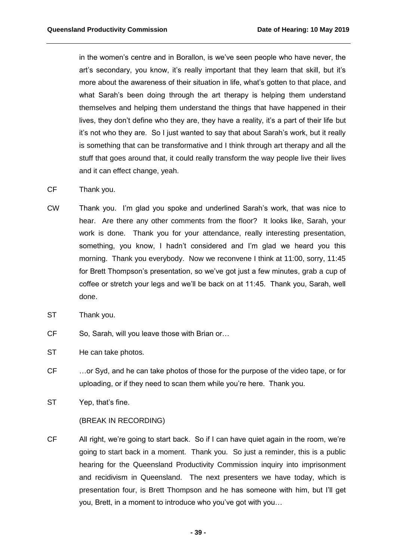in the women's centre and in Borallon, is we've seen people who have never, the art's secondary, you know, it's really important that they learn that skill, but it's more about the awareness of their situation in life, what's gotten to that place, and what Sarah's been doing through the art therapy is helping them understand themselves and helping them understand the things that have happened in their lives, they don't define who they are, they have a reality, it's a part of their life but it's not who they are. So I just wanted to say that about Sarah's work, but it really is something that can be transformative and I think through art therapy and all the stuff that goes around that, it could really transform the way people live their lives and it can effect change, yeah.

- CF Thank you.
- CW Thank you. I'm glad you spoke and underlined Sarah's work, that was nice to hear. Are there any other comments from the floor? It looks like, Sarah, your work is done. Thank you for your attendance, really interesting presentation, something, you know, I hadn't considered and I'm glad we heard you this morning. Thank you everybody. Now we reconvene I think at 11:00, sorry, 11:45 for Brett Thompson's presentation, so we've got just a few minutes, grab a cup of coffee or stretch your legs and we'll be back on at 11:45. Thank you, Sarah, well done.
- ST Thank you.
- CF So, Sarah, will you leave those with Brian or…
- ST He can take photos.
- CF …or Syd, and he can take photos of those for the purpose of the video tape, or for uploading, or if they need to scan them while you're here. Thank you.
- ST Yep, that's fine.

## (BREAK IN RECORDING)

CF All right, we're going to start back. So if I can have quiet again in the room, we're going to start back in a moment. Thank you. So just a reminder, this is a public hearing for the Queensland Productivity Commission inquiry into imprisonment and recidivism in Queensland. The next presenters we have today, which is presentation four, is Brett Thompson and he has someone with him, but I'll get you, Brett, in a moment to introduce who you've got with you…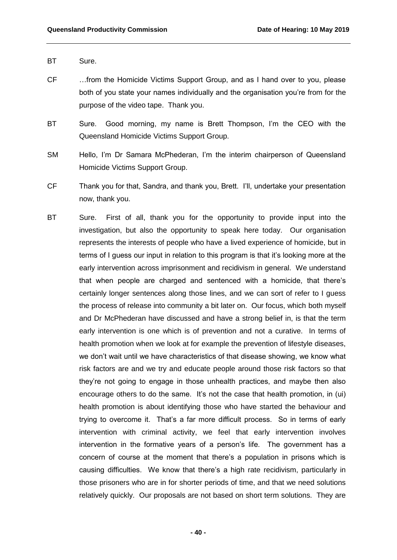- BT Sure.
- CF …from the Homicide Victims Support Group, and as I hand over to you, please both of you state your names individually and the organisation you're from for the purpose of the video tape. Thank you.
- BT Sure. Good morning, my name is Brett Thompson, I'm the CEO with the Queensland Homicide Victims Support Group.
- SM Hello, I'm Dr Samara McPhederan, I'm the interim chairperson of Queensland Homicide Victims Support Group.
- CF Thank you for that, Sandra, and thank you, Brett. I'll, undertake your presentation now, thank you.
- BT Sure. First of all, thank you for the opportunity to provide input into the investigation, but also the opportunity to speak here today. Our organisation represents the interests of people who have a lived experience of homicide, but in terms of I guess our input in relation to this program is that it's looking more at the early intervention across imprisonment and recidivism in general. We understand that when people are charged and sentenced with a homicide, that there's certainly longer sentences along those lines, and we can sort of refer to I guess the process of release into community a bit later on. Our focus, which both myself and Dr McPhederan have discussed and have a strong belief in, is that the term early intervention is one which is of prevention and not a curative. In terms of health promotion when we look at for example the prevention of lifestyle diseases, we don't wait until we have characteristics of that disease showing, we know what risk factors are and we try and educate people around those risk factors so that they're not going to engage in those unhealth practices, and maybe then also encourage others to do the same. It's not the case that health promotion, in (ui) health promotion is about identifying those who have started the behaviour and trying to overcome it. That's a far more difficult process. So in terms of early intervention with criminal activity, we feel that early intervention involves intervention in the formative years of a person's life. The government has a concern of course at the moment that there's a population in prisons which is causing difficulties. We know that there's a high rate recidivism, particularly in those prisoners who are in for shorter periods of time, and that we need solutions relatively quickly. Our proposals are not based on short term solutions. They are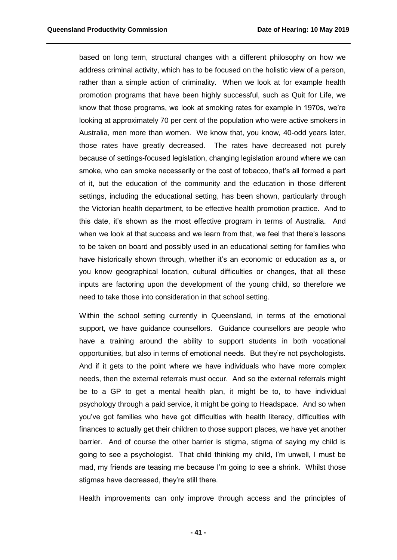based on long term, structural changes with a different philosophy on how we address criminal activity, which has to be focused on the holistic view of a person, rather than a simple action of criminality. When we look at for example health promotion programs that have been highly successful, such as Quit for Life, we know that those programs, we look at smoking rates for example in 1970s, we're looking at approximately 70 per cent of the population who were active smokers in Australia, men more than women. We know that, you know, 40-odd years later, those rates have greatly decreased. The rates have decreased not purely because of settings-focused legislation, changing legislation around where we can smoke, who can smoke necessarily or the cost of tobacco, that's all formed a part of it, but the education of the community and the education in those different settings, including the educational setting, has been shown, particularly through the Victorian health department, to be effective health promotion practice. And to this date, it's shown as the most effective program in terms of Australia. And when we look at that success and we learn from that, we feel that there's lessons to be taken on board and possibly used in an educational setting for families who have historically shown through, whether it's an economic or education as a, or you know geographical location, cultural difficulties or changes, that all these inputs are factoring upon the development of the young child, so therefore we need to take those into consideration in that school setting.

Within the school setting currently in Queensland, in terms of the emotional support, we have guidance counsellors. Guidance counsellors are people who have a training around the ability to support students in both vocational opportunities, but also in terms of emotional needs. But they're not psychologists. And if it gets to the point where we have individuals who have more complex needs, then the external referrals must occur. And so the external referrals might be to a GP to get a mental health plan, it might be to, to have individual psychology through a paid service, it might be going to Headspace. And so when you've got families who have got difficulties with health literacy, difficulties with finances to actually get their children to those support places, we have yet another barrier. And of course the other barrier is stigma, stigma of saying my child is going to see a psychologist. That child thinking my child, I'm unwell, I must be mad, my friends are teasing me because I'm going to see a shrink. Whilst those stigmas have decreased, they're still there.

Health improvements can only improve through access and the principles of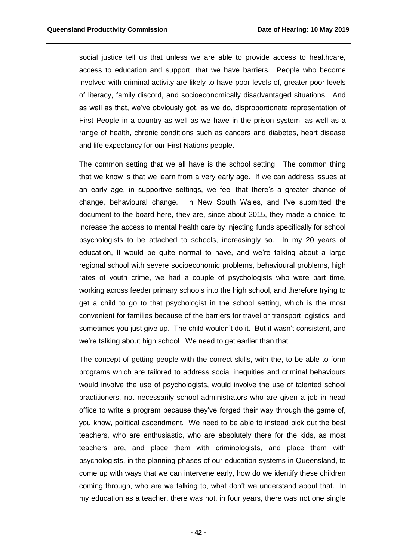social justice tell us that unless we are able to provide access to healthcare, access to education and support, that we have barriers. People who become involved with criminal activity are likely to have poor levels of, greater poor levels of literacy, family discord, and socioeconomically disadvantaged situations. And as well as that, we've obviously got, as we do, disproportionate representation of First People in a country as well as we have in the prison system, as well as a range of health, chronic conditions such as cancers and diabetes, heart disease and life expectancy for our First Nations people.

The common setting that we all have is the school setting. The common thing that we know is that we learn from a very early age. If we can address issues at an early age, in supportive settings, we feel that there's a greater chance of change, behavioural change. In New South Wales, and I've submitted the document to the board here, they are, since about 2015, they made a choice, to increase the access to mental health care by injecting funds specifically for school psychologists to be attached to schools, increasingly so. In my 20 years of education, it would be quite normal to have, and we're talking about a large regional school with severe socioeconomic problems, behavioural problems, high rates of youth crime, we had a couple of psychologists who were part time, working across feeder primary schools into the high school, and therefore trying to get a child to go to that psychologist in the school setting, which is the most convenient for families because of the barriers for travel or transport logistics, and sometimes you just give up. The child wouldn't do it. But it wasn't consistent, and we're talking about high school. We need to get earlier than that.

The concept of getting people with the correct skills, with the, to be able to form programs which are tailored to address social inequities and criminal behaviours would involve the use of psychologists, would involve the use of talented school practitioners, not necessarily school administrators who are given a job in head office to write a program because they've forged their way through the game of, you know, political ascendment. We need to be able to instead pick out the best teachers, who are enthusiastic, who are absolutely there for the kids, as most teachers are, and place them with criminologists, and place them with psychologists, in the planning phases of our education systems in Queensland, to come up with ways that we can intervene early, how do we identify these children coming through, who are we talking to, what don't we understand about that. In my education as a teacher, there was not, in four years, there was not one single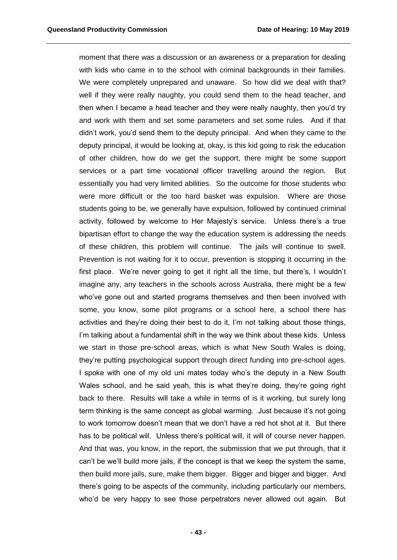moment that there was a discussion or an awareness or a preparation for dealing with kids who came in to the school with criminal backgrounds in their families. We were completely unprepared and unaware. So how did we deal with that? well if they were really naughty, you could send them to the head teacher, and then when I became a head teacher and they were really naughty, then you'd try and work with them and set some parameters and set some rules. And if that didn't work, you'd send them to the deputy principal. And when they came to the deputy principal, it would be looking at, okay, is this kid going to risk the education of other children, how do we get the support, there might be some support services or a part time vocational officer travelling around the region. But essentially you had very limited abilities. So the outcome for those students who were more difficult or the too hard basket was expulsion. Where are those students going to be, we generally have expulsion, followed by continued criminal activity, followed by welcome to Her Majesty's service. Unless there's a true bipartisan effort to change the way the education system is addressing the needs of these children, this problem will continue. The jails will continue to swell. Prevention is not waiting for it to occur, prevention is stopping it occurring in the first place. We're never going to get it right all the time, but there's, I wouldn't imagine any, any teachers in the schools across Australia, there might be a few who've gone out and started programs themselves and then been involved with some, you know, some pilot programs or a school here, a school there has activities and they're doing their best to do it, I'm not talking about those things, I'm talking about a fundamental shift in the way we think about these kids. Unless we start in those pre-school areas, which is what New South Wales is doing, they're putting psychological support through direct funding into pre-school ages. I spoke with one of my old uni mates today who's the deputy in a New South Wales school, and he said yeah, this is what they're doing, they're going right back to there. Results will take a while in terms of is it working, but surely long term thinking is the same concept as global warming. Just because it's not going to work tomorrow doesn't mean that we don't have a red hot shot at it. But there has to be political will. Unless there's political will, it will of course never happen. And that was, you know, in the report, the submission that we put through, that it can't be we'll build more jails, if the concept is that we keep the system the same, then build more jails, sure, make them bigger. Bigger and bigger and bigger. And there's going to be aspects of the community, including particularly our members, who'd be very happy to see those perpetrators never allowed out again. But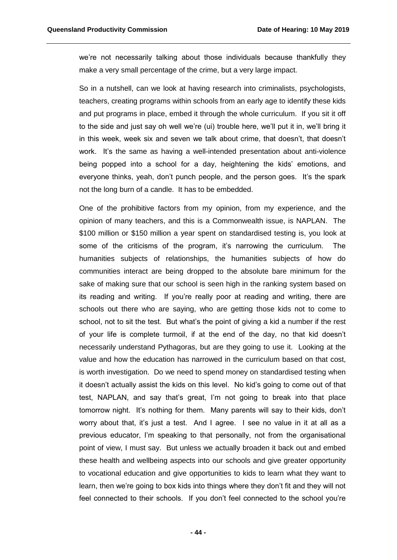we're not necessarily talking about those individuals because thankfully they make a very small percentage of the crime, but a very large impact.

So in a nutshell, can we look at having research into criminalists, psychologists, teachers, creating programs within schools from an early age to identify these kids and put programs in place, embed it through the whole curriculum. If you sit it off to the side and just say oh well we're (ui) trouble here, we'll put it in, we'll bring it in this week, week six and seven we talk about crime, that doesn't, that doesn't work. It's the same as having a well-intended presentation about anti-violence being popped into a school for a day, heightening the kids' emotions, and everyone thinks, yeah, don't punch people, and the person goes. It's the spark not the long burn of a candle. It has to be embedded.

One of the prohibitive factors from my opinion, from my experience, and the opinion of many teachers, and this is a Commonwealth issue, is NAPLAN. The \$100 million or \$150 million a year spent on standardised testing is, you look at some of the criticisms of the program, it's narrowing the curriculum. The humanities subjects of relationships, the humanities subjects of how do communities interact are being dropped to the absolute bare minimum for the sake of making sure that our school is seen high in the ranking system based on its reading and writing. If you're really poor at reading and writing, there are schools out there who are saying, who are getting those kids not to come to school, not to sit the test. But what's the point of giving a kid a number if the rest of your life is complete turmoil, if at the end of the day, no that kid doesn't necessarily understand Pythagoras, but are they going to use it. Looking at the value and how the education has narrowed in the curriculum based on that cost, is worth investigation. Do we need to spend money on standardised testing when it doesn't actually assist the kids on this level. No kid's going to come out of that test, NAPLAN, and say that's great, I'm not going to break into that place tomorrow night. It's nothing for them. Many parents will say to their kids, don't worry about that, it's just a test. And I agree. I see no value in it at all as a previous educator, I'm speaking to that personally, not from the organisational point of view, I must say. But unless we actually broaden it back out and embed these health and wellbeing aspects into our schools and give greater opportunity to vocational education and give opportunities to kids to learn what they want to learn, then we're going to box kids into things where they don't fit and they will not feel connected to their schools. If you don't feel connected to the school you're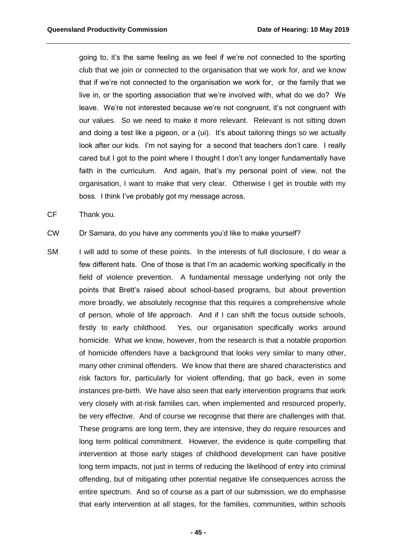going to, it's the same feeling as we feel if we're not connected to the sporting club that we join or connected to the organisation that we work for, and we know that if we're not connected to the organisation we work for, or the family that we live in, or the sporting association that we're involved with, what do we do? We leave. We're not interested because we're not congruent, it's not congruent with our values. So we need to make it more relevant. Relevant is not sitting down and doing a test like a pigeon, or a (ui). It's about tailoring things so we actually look after our kids. I'm not saying for a second that teachers don't care. I really cared but I got to the point where I thought I don't any longer fundamentally have faith in the curriculum. And again, that's my personal point of view, not the organisation, I want to make that very clear. Otherwise I get in trouble with my boss. I think I've probably got my message across.

CF Thank you.

CW Dr Samara, do you have any comments you'd like to make yourself?

SM I will add to some of these points. In the interests of full disclosure, I do wear a few different hats. One of those is that I'm an academic working specifically in the field of violence prevention. A fundamental message underlying not only the points that Brett's raised about school-based programs, but about prevention more broadly, we absolutely recognise that this requires a comprehensive whole of person, whole of life approach. And if I can shift the focus outside schools, firstly to early childhood. Yes, our organisation specifically works around homicide. What we know, however, from the research is that a notable proportion of homicide offenders have a background that looks very similar to many other, many other criminal offenders. We know that there are shared characteristics and risk factors for, particularly for violent offending, that go back, even in some instances pre-birth. We have also seen that early intervention programs that work very closely with at-risk families can, when implemented and resourced properly, be very effective. And of course we recognise that there are challenges with that. These programs are long term, they are intensive, they do require resources and long term political commitment. However, the evidence is quite compelling that intervention at those early stages of childhood development can have positive long term impacts, not just in terms of reducing the likelihood of entry into criminal offending, but of mitigating other potential negative life consequences across the entire spectrum. And so of course as a part of our submission, we do emphasise that early intervention at all stages, for the families, communities, within schools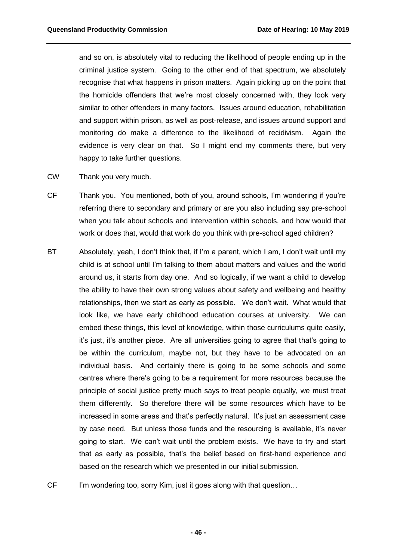and so on, is absolutely vital to reducing the likelihood of people ending up in the criminal justice system. Going to the other end of that spectrum, we absolutely recognise that what happens in prison matters. Again picking up on the point that the homicide offenders that we're most closely concerned with, they look very similar to other offenders in many factors. Issues around education, rehabilitation and support within prison, as well as post-release, and issues around support and monitoring do make a difference to the likelihood of recidivism. Again the evidence is very clear on that. So I might end my comments there, but very happy to take further questions.

- CW Thank you very much.
- CF Thank you. You mentioned, both of you, around schools, I'm wondering if you're referring there to secondary and primary or are you also including say pre-school when you talk about schools and intervention within schools, and how would that work or does that, would that work do you think with pre-school aged children?
- BT Absolutely, yeah, I don't think that, if I'm a parent, which I am, I don't wait until my child is at school until I'm talking to them about matters and values and the world around us, it starts from day one. And so logically, if we want a child to develop the ability to have their own strong values about safety and wellbeing and healthy relationships, then we start as early as possible. We don't wait. What would that look like, we have early childhood education courses at university. We can embed these things, this level of knowledge, within those curriculums quite easily, it's just, it's another piece. Are all universities going to agree that that's going to be within the curriculum, maybe not, but they have to be advocated on an individual basis. And certainly there is going to be some schools and some centres where there's going to be a requirement for more resources because the principle of social justice pretty much says to treat people equally, we must treat them differently. So therefore there will be some resources which have to be increased in some areas and that's perfectly natural. It's just an assessment case by case need. But unless those funds and the resourcing is available, it's never going to start. We can't wait until the problem exists. We have to try and start that as early as possible, that's the belief based on first-hand experience and based on the research which we presented in our initial submission.
- CF I'm wondering too, sorry Kim, just it goes along with that question...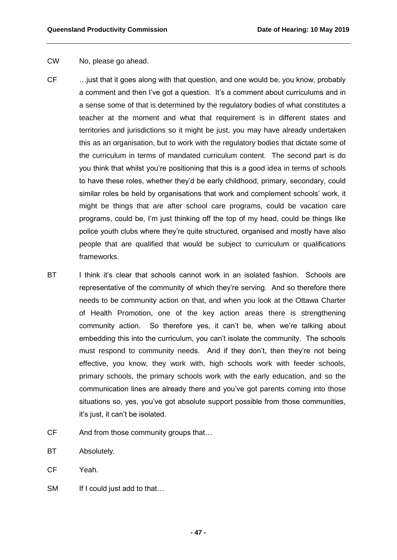## CW No, please go ahead.

- CF …just that it goes along with that question, and one would be, you know, probably a comment and then I've got a question. It's a comment about curriculums and in a sense some of that is determined by the regulatory bodies of what constitutes a teacher at the moment and what that requirement is in different states and territories and jurisdictions so it might be just, you may have already undertaken this as an organisation, but to work with the regulatory bodies that dictate some of the curriculum in terms of mandated curriculum content. The second part is do you think that whilst you're positioning that this is a good idea in terms of schools to have these roles, whether they'd be early childhood, primary, secondary, could similar roles be held by organisations that work and complement schools' work, it might be things that are after school care programs, could be vacation care programs, could be, I'm just thinking off the top of my head, could be things like police youth clubs where they're quite structured, organised and mostly have also people that are qualified that would be subject to curriculum or qualifications frameworks.
- BT I think it's clear that schools cannot work in an isolated fashion. Schools are representative of the community of which they're serving. And so therefore there needs to be community action on that, and when you look at the Ottawa Charter of Health Promotion, one of the key action areas there is strengthening community action. So therefore yes, it can't be, when we're talking about embedding this into the curriculum, you can't isolate the community. The schools must respond to community needs. And if they don't, then they're not being effective, you know, they work with, high schools work with feeder schools, primary schools, the primary schools work with the early education, and so the communication lines are already there and you've got parents coming into those situations so, yes, you've got absolute support possible from those communities, it's just, it can't be isolated.
- CF And from those community groups that…
- BT Absolutely.
- CF Yeah.
- SM If I could just add to that...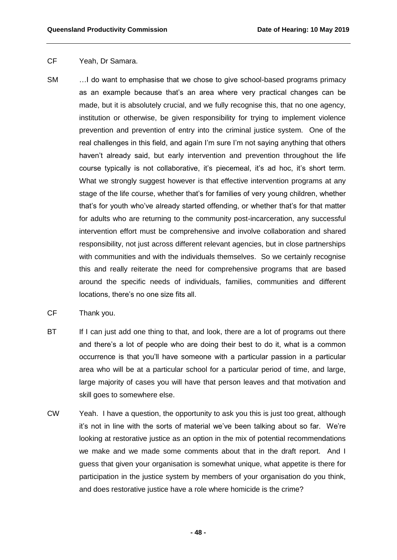## CF Yeah, Dr Samara.

- SM …I do want to emphasise that we chose to give school-based programs primacy as an example because that's an area where very practical changes can be made, but it is absolutely crucial, and we fully recognise this, that no one agency, institution or otherwise, be given responsibility for trying to implement violence prevention and prevention of entry into the criminal justice system. One of the real challenges in this field, and again I'm sure I'm not saying anything that others haven't already said, but early intervention and prevention throughout the life course typically is not collaborative, it's piecemeal, it's ad hoc, it's short term. What we strongly suggest however is that effective intervention programs at any stage of the life course, whether that's for families of very young children, whether that's for youth who've already started offending, or whether that's for that matter for adults who are returning to the community post-incarceration, any successful intervention effort must be comprehensive and involve collaboration and shared responsibility, not just across different relevant agencies, but in close partnerships with communities and with the individuals themselves. So we certainly recognise this and really reiterate the need for comprehensive programs that are based around the specific needs of individuals, families, communities and different locations, there's no one size fits all.
- CF Thank you.
- BT If I can just add one thing to that, and look, there are a lot of programs out there and there's a lot of people who are doing their best to do it, what is a common occurrence is that you'll have someone with a particular passion in a particular area who will be at a particular school for a particular period of time, and large, large majority of cases you will have that person leaves and that motivation and skill goes to somewhere else.
- CW Yeah. I have a question, the opportunity to ask you this is just too great, although it's not in line with the sorts of material we've been talking about so far. We're looking at restorative justice as an option in the mix of potential recommendations we make and we made some comments about that in the draft report. And I guess that given your organisation is somewhat unique, what appetite is there for participation in the justice system by members of your organisation do you think, and does restorative justice have a role where homicide is the crime?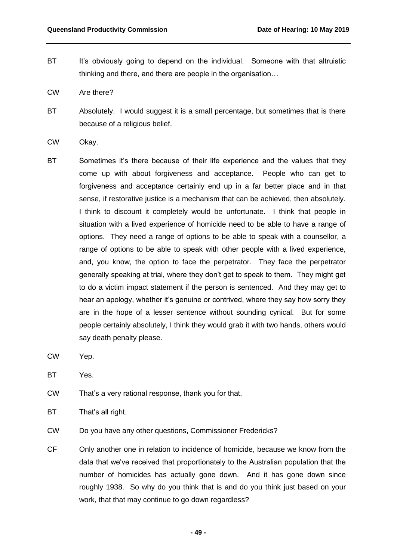- BT It's obviously going to depend on the individual. Someone with that altruistic thinking and there, and there are people in the organisation…
- CW Are there?
- BT Absolutely. I would suggest it is a small percentage, but sometimes that is there because of a religious belief.
- CW Okay.
- BT Sometimes it's there because of their life experience and the values that they come up with about forgiveness and acceptance. People who can get to forgiveness and acceptance certainly end up in a far better place and in that sense, if restorative justice is a mechanism that can be achieved, then absolutely. I think to discount it completely would be unfortunate. I think that people in situation with a lived experience of homicide need to be able to have a range of options. They need a range of options to be able to speak with a counsellor, a range of options to be able to speak with other people with a lived experience, and, you know, the option to face the perpetrator. They face the perpetrator generally speaking at trial, where they don't get to speak to them. They might get to do a victim impact statement if the person is sentenced. And they may get to hear an apology, whether it's genuine or contrived, where they say how sorry they are in the hope of a lesser sentence without sounding cynical. But for some people certainly absolutely, I think they would grab it with two hands, others would say death penalty please.
- CW Yep.
- BT Yes.
- CW That's a very rational response, thank you for that.
- BT That's all right.
- CW Do you have any other questions, Commissioner Fredericks?
- CF Only another one in relation to incidence of homicide, because we know from the data that we've received that proportionately to the Australian population that the number of homicides has actually gone down. And it has gone down since roughly 1938. So why do you think that is and do you think just based on your work, that that may continue to go down regardless?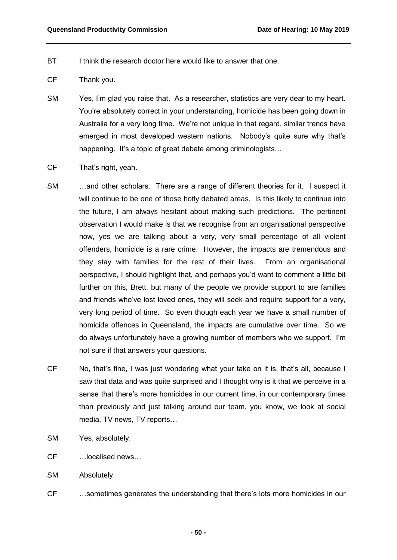- BT I think the research doctor here would like to answer that one.
- CF Thank you.
- SM Yes, I'm glad you raise that. As a researcher, statistics are very dear to my heart. You're absolutely correct in your understanding, homicide has been going down in Australia for a very long time. We're not unique in that regard, similar trends have emerged in most developed western nations. Nobody's quite sure why that's happening. It's a topic of great debate among criminologists...
- CF That's right, yeah.
- SM …and other scholars. There are a range of different theories for it. I suspect it will continue to be one of those hotly debated areas. Is this likely to continue into the future, I am always hesitant about making such predictions. The pertinent observation I would make is that we recognise from an organisational perspective now, yes we are talking about a very, very small percentage of all violent offenders, homicide is a rare crime. However, the impacts are tremendous and they stay with families for the rest of their lives. From an organisational perspective, I should highlight that, and perhaps you'd want to comment a little bit further on this, Brett, but many of the people we provide support to are families and friends who've lost loved ones, they will seek and require support for a very, very long period of time. So even though each year we have a small number of homicide offences in Queensland, the impacts are cumulative over time. So we do always unfortunately have a growing number of members who we support. I'm not sure if that answers your questions.
- CF No, that's fine, I was just wondering what your take on it is, that's all, because I saw that data and was quite surprised and I thought why is it that we perceive in a sense that there's more homicides in our current time, in our contemporary times than previously and just talking around our team, you know, we look at social media, TV news, TV reports…
- SM Yes, absolutely.
- CF …localised news…
- SM Absolutely.
- CF …sometimes generates the understanding that there's lots more homicides in our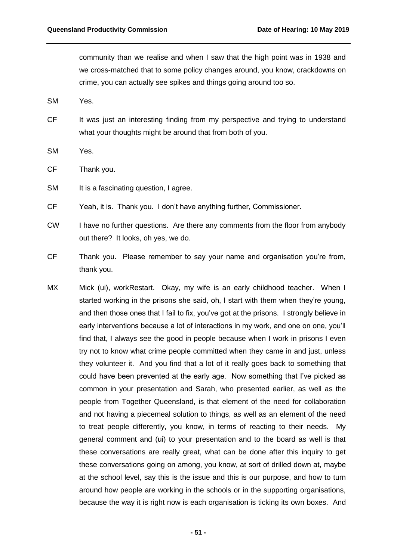community than we realise and when I saw that the high point was in 1938 and we cross-matched that to some policy changes around, you know, crackdowns on crime, you can actually see spikes and things going around too so.

- SM Yes.
- CF It was just an interesting finding from my perspective and trying to understand what your thoughts might be around that from both of you.
- SM Yes.
- CF Thank you.
- SM It is a fascinating question, I agree.
- CF Yeah, it is. Thank you. I don't have anything further, Commissioner.
- CW I have no further questions. Are there any comments from the floor from anybody out there? It looks, oh yes, we do.
- CF Thank you. Please remember to say your name and organisation you're from, thank you.
- MX Mick (ui), workRestart. Okay, my wife is an early childhood teacher. When I started working in the prisons she said, oh, I start with them when they're young, and then those ones that I fail to fix, you've got at the prisons. I strongly believe in early interventions because a lot of interactions in my work, and one on one, you'll find that, I always see the good in people because when I work in prisons I even try not to know what crime people committed when they came in and just, unless they volunteer it. And you find that a lot of it really goes back to something that could have been prevented at the early age. Now something that I've picked as common in your presentation and Sarah, who presented earlier, as well as the people from Together Queensland, is that element of the need for collaboration and not having a piecemeal solution to things, as well as an element of the need to treat people differently, you know, in terms of reacting to their needs. My general comment and (ui) to your presentation and to the board as well is that these conversations are really great, what can be done after this inquiry to get these conversations going on among, you know, at sort of drilled down at, maybe at the school level, say this is the issue and this is our purpose, and how to turn around how people are working in the schools or in the supporting organisations, because the way it is right now is each organisation is ticking its own boxes. And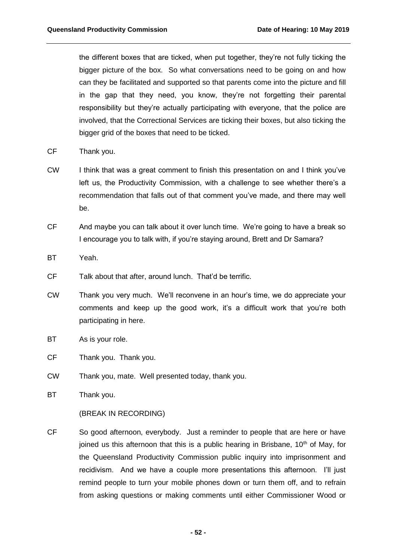the different boxes that are ticked, when put together, they're not fully ticking the bigger picture of the box. So what conversations need to be going on and how can they be facilitated and supported so that parents come into the picture and fill in the gap that they need, you know, they're not forgetting their parental responsibility but they're actually participating with everyone, that the police are involved, that the Correctional Services are ticking their boxes, but also ticking the bigger grid of the boxes that need to be ticked.

- CF Thank you.
- CW I think that was a great comment to finish this presentation on and I think you've left us, the Productivity Commission, with a challenge to see whether there's a recommendation that falls out of that comment you've made, and there may well be.
- CF And maybe you can talk about it over lunch time. We're going to have a break so I encourage you to talk with, if you're staying around, Brett and Dr Samara?
- BT Yeah.
- CF Talk about that after, around lunch. That'd be terrific.
- CW Thank you very much. We'll reconvene in an hour's time, we do appreciate your comments and keep up the good work, it's a difficult work that you're both participating in here.
- BT As is your role.
- CF Thank you. Thank you.
- CW Thank you, mate. Well presented today, thank you.
- BT Thank you.

(BREAK IN RECORDING)

CF So good afternoon, everybody. Just a reminder to people that are here or have joined us this afternoon that this is a public hearing in Brisbane,  $10<sup>th</sup>$  of May, for the Queensland Productivity Commission public inquiry into imprisonment and recidivism. And we have a couple more presentations this afternoon. I'll just remind people to turn your mobile phones down or turn them off, and to refrain from asking questions or making comments until either Commissioner Wood or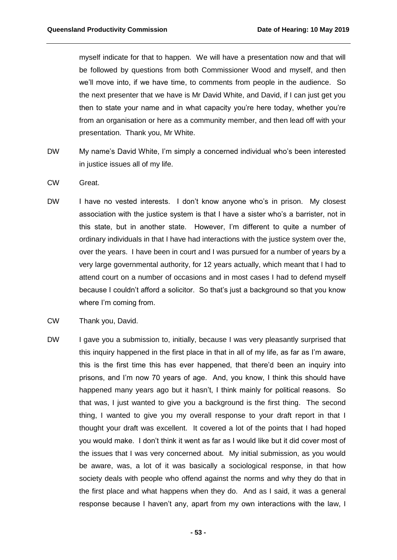myself indicate for that to happen. We will have a presentation now and that will be followed by questions from both Commissioner Wood and myself, and then we'll move into, if we have time, to comments from people in the audience. So the next presenter that we have is Mr David White, and David, if I can just get you then to state your name and in what capacity you're here today, whether you're from an organisation or here as a community member, and then lead off with your presentation. Thank you, Mr White.

- DW My name's David White, I'm simply a concerned individual who's been interested in justice issues all of my life.
- CW Great.
- DW I have no vested interests. I don't know anyone who's in prison. My closest association with the justice system is that I have a sister who's a barrister, not in this state, but in another state. However, I'm different to quite a number of ordinary individuals in that I have had interactions with the justice system over the, over the years. I have been in court and I was pursued for a number of years by a very large governmental authority, for 12 years actually, which meant that I had to attend court on a number of occasions and in most cases I had to defend myself because I couldn't afford a solicitor. So that's just a background so that you know where I'm coming from.
- CW Thank you, David.
- DW I gave you a submission to, initially, because I was very pleasantly surprised that this inquiry happened in the first place in that in all of my life, as far as I'm aware, this is the first time this has ever happened, that there'd been an inquiry into prisons, and I'm now 70 years of age. And, you know, I think this should have happened many years ago but it hasn't, I think mainly for political reasons. So that was, I just wanted to give you a background is the first thing. The second thing, I wanted to give you my overall response to your draft report in that I thought your draft was excellent. It covered a lot of the points that I had hoped you would make. I don't think it went as far as I would like but it did cover most of the issues that I was very concerned about. My initial submission, as you would be aware, was, a lot of it was basically a sociological response, in that how society deals with people who offend against the norms and why they do that in the first place and what happens when they do. And as I said, it was a general response because I haven't any, apart from my own interactions with the law, I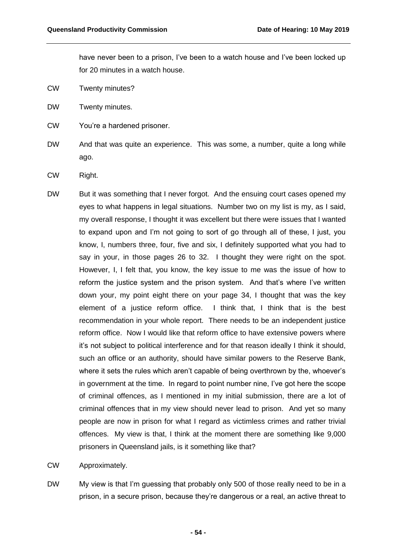have never been to a prison, I've been to a watch house and I've been locked up for 20 minutes in a watch house.

- CW Twenty minutes?
- DW Twenty minutes.
- CW You're a hardened prisoner.
- DW And that was quite an experience. This was some, a number, quite a long while ago.
- CW Right.
- DW But it was something that I never forgot. And the ensuing court cases opened my eyes to what happens in legal situations. Number two on my list is my, as I said, my overall response, I thought it was excellent but there were issues that I wanted to expand upon and I'm not going to sort of go through all of these, I just, you know, I, numbers three, four, five and six, I definitely supported what you had to say in your, in those pages 26 to 32. I thought they were right on the spot. However, I, I felt that, you know, the key issue to me was the issue of how to reform the justice system and the prison system. And that's where I've written down your, my point eight there on your page 34, I thought that was the key element of a justice reform office. I think that, I think that is the best recommendation in your whole report. There needs to be an independent justice reform office. Now I would like that reform office to have extensive powers where it's not subject to political interference and for that reason ideally I think it should, such an office or an authority, should have similar powers to the Reserve Bank, where it sets the rules which aren't capable of being overthrown by the, whoever's in government at the time. In regard to point number nine, I've got here the scope of criminal offences, as I mentioned in my initial submission, there are a lot of criminal offences that in my view should never lead to prison. And yet so many people are now in prison for what I regard as victimless crimes and rather trivial offences. My view is that, I think at the moment there are something like 9,000 prisoners in Queensland jails, is it something like that?
- CW Approximately.
- DW My view is that I'm guessing that probably only 500 of those really need to be in a prison, in a secure prison, because they're dangerous or a real, an active threat to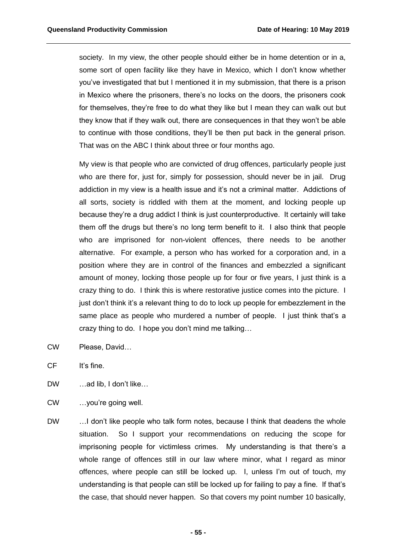society. In my view, the other people should either be in home detention or in a, some sort of open facility like they have in Mexico, which I don't know whether you've investigated that but I mentioned it in my submission, that there is a prison in Mexico where the prisoners, there's no locks on the doors, the prisoners cook for themselves, they're free to do what they like but I mean they can walk out but they know that if they walk out, there are consequences in that they won't be able to continue with those conditions, they'll be then put back in the general prison. That was on the ABC I think about three or four months ago.

My view is that people who are convicted of drug offences, particularly people just who are there for, just for, simply for possession, should never be in jail. Drug addiction in my view is a health issue and it's not a criminal matter. Addictions of all sorts, society is riddled with them at the moment, and locking people up because they're a drug addict I think is just counterproductive. It certainly will take them off the drugs but there's no long term benefit to it. I also think that people who are imprisoned for non-violent offences, there needs to be another alternative. For example, a person who has worked for a corporation and, in a position where they are in control of the finances and embezzled a significant amount of money, locking those people up for four or five years, I just think is a crazy thing to do. I think this is where restorative justice comes into the picture. I just don't think it's a relevant thing to do to lock up people for embezzlement in the same place as people who murdered a number of people. I just think that's a crazy thing to do. I hope you don't mind me talking…

- CW Please, David…
- CF It's fine.
- DW …ad lib, I don't like…
- CW …you're going well.
- DW …I don't like people who talk form notes, because I think that deadens the whole situation. So I support your recommendations on reducing the scope for imprisoning people for victimless crimes. My understanding is that there's a whole range of offences still in our law where minor, what I regard as minor offences, where people can still be locked up. I, unless I'm out of touch, my understanding is that people can still be locked up for failing to pay a fine. If that's the case, that should never happen. So that covers my point number 10 basically,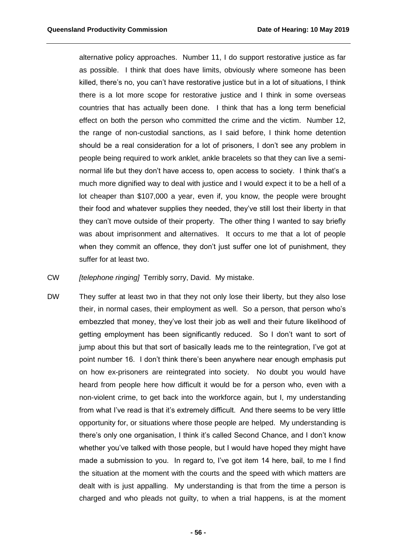alternative policy approaches. Number 11, I do support restorative justice as far as possible. I think that does have limits, obviously where someone has been killed, there's no, you can't have restorative justice but in a lot of situations, I think there is a lot more scope for restorative justice and I think in some overseas countries that has actually been done. I think that has a long term beneficial effect on both the person who committed the crime and the victim. Number 12, the range of non-custodial sanctions, as I said before, I think home detention should be a real consideration for a lot of prisoners, I don't see any problem in people being required to work anklet, ankle bracelets so that they can live a seminormal life but they don't have access to, open access to society. I think that's a much more dignified way to deal with justice and I would expect it to be a hell of a lot cheaper than \$107,000 a year, even if, you know, the people were brought their food and whatever supplies they needed, they've still lost their liberty in that they can't move outside of their property. The other thing I wanted to say briefly was about imprisonment and alternatives. It occurs to me that a lot of people when they commit an offence, they don't just suffer one lot of punishment, they suffer for at least two.

CW *[telephone ringing]* Terribly sorry, David. My mistake.

DW They suffer at least two in that they not only lose their liberty, but they also lose their, in normal cases, their employment as well. So a person, that person who's embezzled that money, they've lost their job as well and their future likelihood of getting employment has been significantly reduced. So I don't want to sort of jump about this but that sort of basically leads me to the reintegration, I've got at point number 16. I don't think there's been anywhere near enough emphasis put on how ex-prisoners are reintegrated into society. No doubt you would have heard from people here how difficult it would be for a person who, even with a non-violent crime, to get back into the workforce again, but I, my understanding from what I've read is that it's extremely difficult. And there seems to be very little opportunity for, or situations where those people are helped. My understanding is there's only one organisation, I think it's called Second Chance, and I don't know whether you've talked with those people, but I would have hoped they might have made a submission to you. In regard to, I've got item 14 here, bail, to me I find the situation at the moment with the courts and the speed with which matters are dealt with is just appalling. My understanding is that from the time a person is charged and who pleads not guilty, to when a trial happens, is at the moment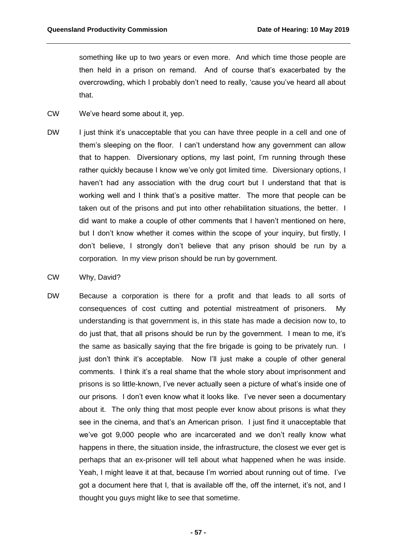something like up to two years or even more. And which time those people are then held in a prison on remand. And of course that's exacerbated by the overcrowding, which I probably don't need to really, 'cause you've heard all about that.

- CW We've heard some about it, yep.
- DW I just think it's unacceptable that you can have three people in a cell and one of them's sleeping on the floor. I can't understand how any government can allow that to happen. Diversionary options, my last point, I'm running through these rather quickly because I know we've only got limited time. Diversionary options, I haven't had any association with the drug court but I understand that that is working well and I think that's a positive matter. The more that people can be taken out of the prisons and put into other rehabilitation situations, the better. I did want to make a couple of other comments that I haven't mentioned on here, but I don't know whether it comes within the scope of your inquiry, but firstly, I don't believe, I strongly don't believe that any prison should be run by a corporation. In my view prison should be run by government.
- CW Why, David?
- DW Because a corporation is there for a profit and that leads to all sorts of consequences of cost cutting and potential mistreatment of prisoners. My understanding is that government is, in this state has made a decision now to, to do just that, that all prisons should be run by the government. I mean to me, it's the same as basically saying that the fire brigade is going to be privately run. I just don't think it's acceptable. Now I'll just make a couple of other general comments. I think it's a real shame that the whole story about imprisonment and prisons is so little-known, I've never actually seen a picture of what's inside one of our prisons. I don't even know what it looks like. I've never seen a documentary about it. The only thing that most people ever know about prisons is what they see in the cinema, and that's an American prison. I just find it unacceptable that we've got 9,000 people who are incarcerated and we don't really know what happens in there, the situation inside, the infrastructure, the closest we ever get is perhaps that an ex-prisoner will tell about what happened when he was inside. Yeah, I might leave it at that, because I'm worried about running out of time. I've got a document here that I, that is available off the, off the internet, it's not, and I thought you guys might like to see that sometime.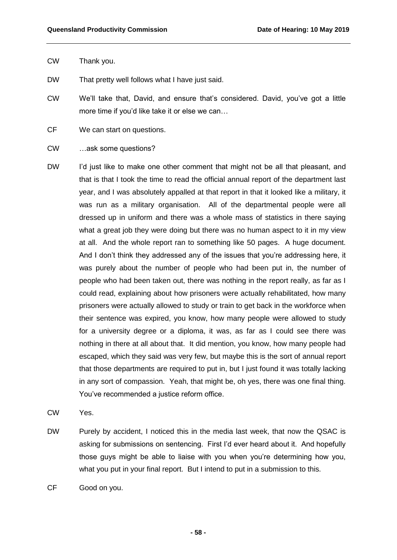- CW Thank you.
- DW That pretty well follows what I have just said.
- CW We'll take that, David, and ensure that's considered. David, you've got a little more time if you'd like take it or else we can…
- CF We can start on questions.
- CW …ask some questions?
- DW I'd just like to make one other comment that might not be all that pleasant, and that is that I took the time to read the official annual report of the department last year, and I was absolutely appalled at that report in that it looked like a military, it was run as a military organisation. All of the departmental people were all dressed up in uniform and there was a whole mass of statistics in there saying what a great job they were doing but there was no human aspect to it in my view at all. And the whole report ran to something like 50 pages. A huge document. And I don't think they addressed any of the issues that you're addressing here, it was purely about the number of people who had been put in, the number of people who had been taken out, there was nothing in the report really, as far as I could read, explaining about how prisoners were actually rehabilitated, how many prisoners were actually allowed to study or train to get back in the workforce when their sentence was expired, you know, how many people were allowed to study for a university degree or a diploma, it was, as far as I could see there was nothing in there at all about that. It did mention, you know, how many people had escaped, which they said was very few, but maybe this is the sort of annual report that those departments are required to put in, but I just found it was totally lacking in any sort of compassion. Yeah, that might be, oh yes, there was one final thing. You've recommended a justice reform office.
- CW Yes.
- DW Purely by accident, I noticed this in the media last week, that now the QSAC is asking for submissions on sentencing. First I'd ever heard about it. And hopefully those guys might be able to liaise with you when you're determining how you, what you put in your final report. But I intend to put in a submission to this.
- CF Good on you.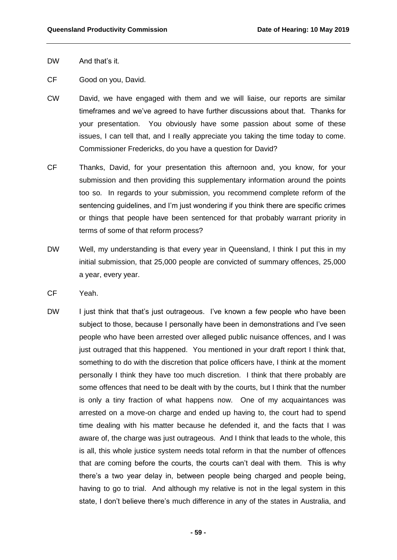- DW And that's it.
- CF Good on you, David.
- CW David, we have engaged with them and we will liaise, our reports are similar timeframes and we've agreed to have further discussions about that. Thanks for your presentation. You obviously have some passion about some of these issues, I can tell that, and I really appreciate you taking the time today to come. Commissioner Fredericks, do you have a question for David?
- CF Thanks, David, for your presentation this afternoon and, you know, for your submission and then providing this supplementary information around the points too so. In regards to your submission, you recommend complete reform of the sentencing guidelines, and I'm just wondering if you think there are specific crimes or things that people have been sentenced for that probably warrant priority in terms of some of that reform process?
- DW Well, my understanding is that every year in Queensland, I think I put this in my initial submission, that 25,000 people are convicted of summary offences, 25,000 a year, every year.
- CF Yeah.
- DW I just think that that's just outrageous. I've known a few people who have been subject to those, because I personally have been in demonstrations and I've seen people who have been arrested over alleged public nuisance offences, and I was just outraged that this happened. You mentioned in your draft report I think that, something to do with the discretion that police officers have, I think at the moment personally I think they have too much discretion. I think that there probably are some offences that need to be dealt with by the courts, but I think that the number is only a tiny fraction of what happens now. One of my acquaintances was arrested on a move-on charge and ended up having to, the court had to spend time dealing with his matter because he defended it, and the facts that I was aware of, the charge was just outrageous. And I think that leads to the whole, this is all, this whole justice system needs total reform in that the number of offences that are coming before the courts, the courts can't deal with them. This is why there's a two year delay in, between people being charged and people being, having to go to trial. And although my relative is not in the legal system in this state, I don't believe there's much difference in any of the states in Australia, and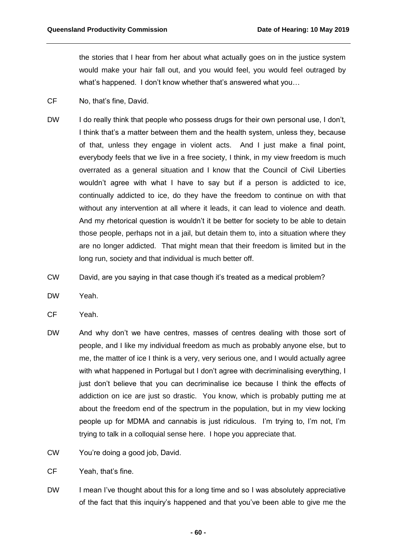the stories that I hear from her about what actually goes on in the justice system would make your hair fall out, and you would feel, you would feel outraged by what's happened. I don't know whether that's answered what you…

- CF No, that's fine, David.
- DW I do really think that people who possess drugs for their own personal use, I don't, I think that's a matter between them and the health system, unless they, because of that, unless they engage in violent acts. And I just make a final point, everybody feels that we live in a free society, I think, in my view freedom is much overrated as a general situation and I know that the Council of Civil Liberties wouldn't agree with what I have to say but if a person is addicted to ice, continually addicted to ice, do they have the freedom to continue on with that without any intervention at all where it leads, it can lead to violence and death. And my rhetorical question is wouldn't it be better for society to be able to detain those people, perhaps not in a jail, but detain them to, into a situation where they are no longer addicted. That might mean that their freedom is limited but in the long run, society and that individual is much better off.
- CW David, are you saying in that case though it's treated as a medical problem?
- DW Yeah.
- CF Yeah.
- DW And why don't we have centres, masses of centres dealing with those sort of people, and I like my individual freedom as much as probably anyone else, but to me, the matter of ice I think is a very, very serious one, and I would actually agree with what happened in Portugal but I don't agree with decriminalising everything, I just don't believe that you can decriminalise ice because I think the effects of addiction on ice are just so drastic. You know, which is probably putting me at about the freedom end of the spectrum in the population, but in my view locking people up for MDMA and cannabis is just ridiculous. I'm trying to, I'm not, I'm trying to talk in a colloquial sense here. I hope you appreciate that.
- CW You're doing a good job, David.
- CF Yeah, that's fine.
- DW I mean I've thought about this for a long time and so I was absolutely appreciative of the fact that this inquiry's happened and that you've been able to give me the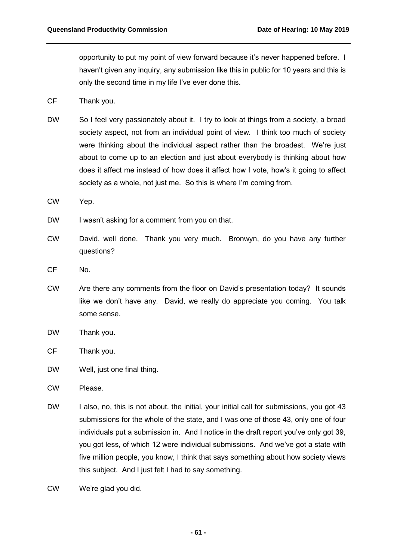opportunity to put my point of view forward because it's never happened before. I haven't given any inquiry, any submission like this in public for 10 years and this is only the second time in my life I've ever done this.

- CF Thank you.
- DW So I feel very passionately about it. I try to look at things from a society, a broad society aspect, not from an individual point of view. I think too much of society were thinking about the individual aspect rather than the broadest. We're just about to come up to an election and just about everybody is thinking about how does it affect me instead of how does it affect how I vote, how's it going to affect society as a whole, not just me. So this is where I'm coming from.
- CW Yep.
- DW I wasn't asking for a comment from you on that.
- CW David, well done. Thank you very much. Bronwyn, do you have any further questions?
- CF No.
- CW Are there any comments from the floor on David's presentation today? It sounds like we don't have any. David, we really do appreciate you coming. You talk some sense.
- DW Thank you.
- CF Thank you.
- DW Well, just one final thing.
- CW Please.
- DW I also, no, this is not about, the initial, your initial call for submissions, you got 43 submissions for the whole of the state, and I was one of those 43, only one of four individuals put a submission in. And I notice in the draft report you've only got 39, you got less, of which 12 were individual submissions. And we've got a state with five million people, you know, I think that says something about how society views this subject. And I just felt I had to say something.
- CW We're glad you did.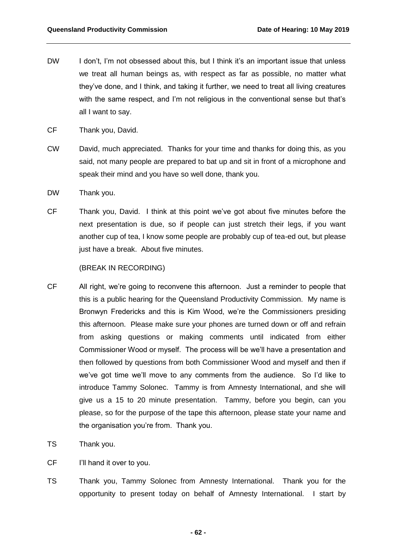- DW I don't, I'm not obsessed about this, but I think it's an important issue that unless we treat all human beings as, with respect as far as possible, no matter what they've done, and I think, and taking it further, we need to treat all living creatures with the same respect, and I'm not religious in the conventional sense but that's all I want to say.
- CF Thank you, David.
- CW David, much appreciated. Thanks for your time and thanks for doing this, as you said, not many people are prepared to bat up and sit in front of a microphone and speak their mind and you have so well done, thank you.
- DW Thank you.
- CF Thank you, David. I think at this point we've got about five minutes before the next presentation is due, so if people can just stretch their legs, if you want another cup of tea, I know some people are probably cup of tea-ed out, but please just have a break. About five minutes.

## (BREAK IN RECORDING)

- CF All right, we're going to reconvene this afternoon. Just a reminder to people that this is a public hearing for the Queensland Productivity Commission. My name is Bronwyn Fredericks and this is Kim Wood, we're the Commissioners presiding this afternoon. Please make sure your phones are turned down or off and refrain from asking questions or making comments until indicated from either Commissioner Wood or myself. The process will be we'll have a presentation and then followed by questions from both Commissioner Wood and myself and then if we've got time we'll move to any comments from the audience. So I'd like to introduce Tammy Solonec. Tammy is from Amnesty International, and she will give us a 15 to 20 minute presentation. Tammy, before you begin, can you please, so for the purpose of the tape this afternoon, please state your name and the organisation you're from. Thank you.
- TS Thank you.
- CF I'll hand it over to you.
- TS Thank you, Tammy Solonec from Amnesty International. Thank you for the opportunity to present today on behalf of Amnesty International. I start by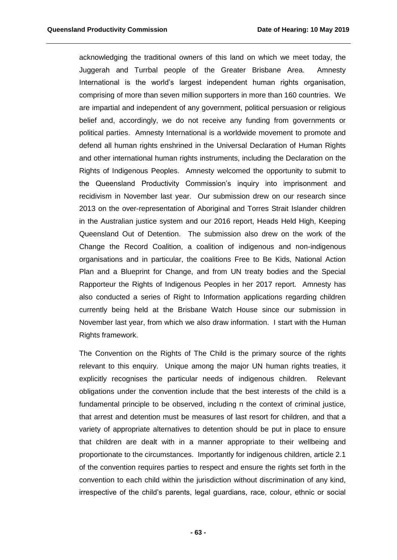acknowledging the traditional owners of this land on which we meet today, the Juggerah and Turrbal people of the Greater Brisbane Area. Amnesty International is the world's largest independent human rights organisation, comprising of more than seven million supporters in more than 160 countries. We are impartial and independent of any government, political persuasion or religious belief and, accordingly, we do not receive any funding from governments or political parties. Amnesty International is a worldwide movement to promote and defend all human rights enshrined in the Universal Declaration of Human Rights and other international human rights instruments, including the Declaration on the Rights of Indigenous Peoples. Amnesty welcomed the opportunity to submit to the Queensland Productivity Commission's inquiry into imprisonment and recidivism in November last year. Our submission drew on our research since 2013 on the over-representation of Aboriginal and Torres Strait Islander children in the Australian justice system and our 2016 report, Heads Held High, Keeping Queensland Out of Detention. The submission also drew on the work of the Change the Record Coalition, a coalition of indigenous and non-indigenous organisations and in particular, the coalitions Free to Be Kids, National Action Plan and a Blueprint for Change, and from UN treaty bodies and the Special Rapporteur the Rights of Indigenous Peoples in her 2017 report. Amnesty has also conducted a series of Right to Information applications regarding children currently being held at the Brisbane Watch House since our submission in November last year, from which we also draw information. I start with the Human Rights framework.

The Convention on the Rights of The Child is the primary source of the rights relevant to this enquiry. Unique among the major UN human rights treaties, it explicitly recognises the particular needs of indigenous children. Relevant obligations under the convention include that the best interests of the child is a fundamental principle to be observed, including n the context of criminal justice, that arrest and detention must be measures of last resort for children, and that a variety of appropriate alternatives to detention should be put in place to ensure that children are dealt with in a manner appropriate to their wellbeing and proportionate to the circumstances. Importantly for indigenous children, article 2.1 of the convention requires parties to respect and ensure the rights set forth in the convention to each child within the jurisdiction without discrimination of any kind, irrespective of the child's parents, legal guardians, race, colour, ethnic or social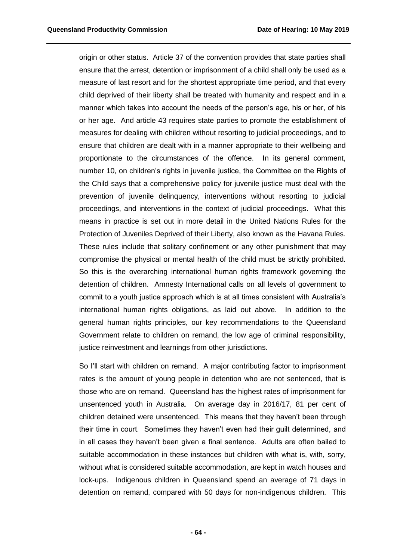origin or other status. Article 37 of the convention provides that state parties shall ensure that the arrest, detention or imprisonment of a child shall only be used as a measure of last resort and for the shortest appropriate time period, and that every child deprived of their liberty shall be treated with humanity and respect and in a manner which takes into account the needs of the person's age, his or her, of his or her age. And article 43 requires state parties to promote the establishment of measures for dealing with children without resorting to judicial proceedings, and to ensure that children are dealt with in a manner appropriate to their wellbeing and proportionate to the circumstances of the offence. In its general comment, number 10, on children's rights in juvenile justice, the Committee on the Rights of the Child says that a comprehensive policy for juvenile justice must deal with the prevention of juvenile delinquency, interventions without resorting to judicial proceedings, and interventions in the context of judicial proceedings. What this means in practice is set out in more detail in the United Nations Rules for the Protection of Juveniles Deprived of their Liberty, also known as the Havana Rules. These rules include that solitary confinement or any other punishment that may compromise the physical or mental health of the child must be strictly prohibited. So this is the overarching international human rights framework governing the detention of children. Amnesty International calls on all levels of government to commit to a youth justice approach which is at all times consistent with Australia's international human rights obligations, as laid out above. In addition to the general human rights principles, our key recommendations to the Queensland Government relate to children on remand, the low age of criminal responsibility, justice reinvestment and learnings from other jurisdictions.

So I'll start with children on remand. A major contributing factor to imprisonment rates is the amount of young people in detention who are not sentenced, that is those who are on remand. Queensland has the highest rates of imprisonment for unsentenced youth in Australia. On average day in 2016/17, 81 per cent of children detained were unsentenced. This means that they haven't been through their time in court. Sometimes they haven't even had their guilt determined, and in all cases they haven't been given a final sentence. Adults are often bailed to suitable accommodation in these instances but children with what is, with, sorry, without what is considered suitable accommodation, are kept in watch houses and lock-ups. Indigenous children in Queensland spend an average of 71 days in detention on remand, compared with 50 days for non-indigenous children. This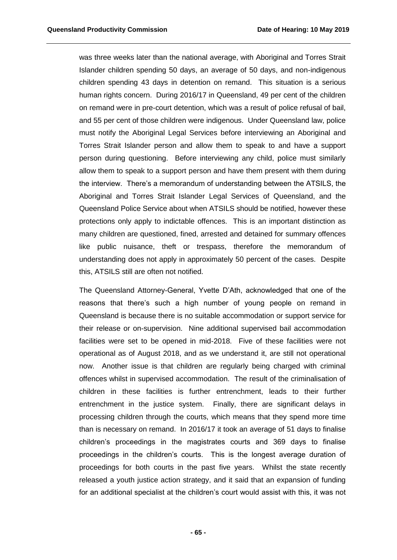was three weeks later than the national average, with Aboriginal and Torres Strait Islander children spending 50 days, an average of 50 days, and non-indigenous children spending 43 days in detention on remand. This situation is a serious human rights concern. During 2016/17 in Queensland, 49 per cent of the children on remand were in pre-court detention, which was a result of police refusal of bail, and 55 per cent of those children were indigenous. Under Queensland law, police must notify the Aboriginal Legal Services before interviewing an Aboriginal and Torres Strait Islander person and allow them to speak to and have a support person during questioning. Before interviewing any child, police must similarly allow them to speak to a support person and have them present with them during the interview. There's a memorandum of understanding between the ATSILS, the Aboriginal and Torres Strait Islander Legal Services of Queensland, and the Queensland Police Service about when ATSILS should be notified, however these protections only apply to indictable offences. This is an important distinction as many children are questioned, fined, arrested and detained for summary offences like public nuisance, theft or trespass, therefore the memorandum of understanding does not apply in approximately 50 percent of the cases. Despite this, ATSILS still are often not notified.

The Queensland Attorney-General, Yvette D'Ath, acknowledged that one of the reasons that there's such a high number of young people on remand in Queensland is because there is no suitable accommodation or support service for their release or on-supervision. Nine additional supervised bail accommodation facilities were set to be opened in mid-2018. Five of these facilities were not operational as of August 2018, and as we understand it, are still not operational now. Another issue is that children are regularly being charged with criminal offences whilst in supervised accommodation. The result of the criminalisation of children in these facilities is further entrenchment, leads to their further entrenchment in the justice system. Finally, there are significant delays in processing children through the courts, which means that they spend more time than is necessary on remand. In 2016/17 it took an average of 51 days to finalise children's proceedings in the magistrates courts and 369 days to finalise proceedings in the children's courts. This is the longest average duration of proceedings for both courts in the past five years. Whilst the state recently released a youth justice action strategy, and it said that an expansion of funding for an additional specialist at the children's court would assist with this, it was not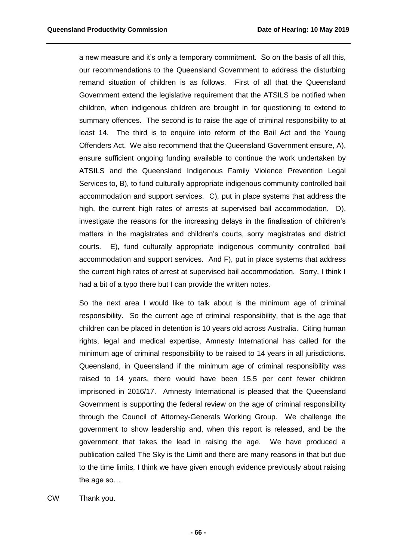a new measure and it's only a temporary commitment. So on the basis of all this, our recommendations to the Queensland Government to address the disturbing remand situation of children is as follows. First of all that the Queensland Government extend the legislative requirement that the ATSILS be notified when children, when indigenous children are brought in for questioning to extend to summary offences. The second is to raise the age of criminal responsibility to at least 14. The third is to enquire into reform of the Bail Act and the Young Offenders Act. We also recommend that the Queensland Government ensure, A), ensure sufficient ongoing funding available to continue the work undertaken by ATSILS and the Queensland Indigenous Family Violence Prevention Legal Services to, B), to fund culturally appropriate indigenous community controlled bail accommodation and support services. C), put in place systems that address the high, the current high rates of arrests at supervised bail accommodation. D), investigate the reasons for the increasing delays in the finalisation of children's matters in the magistrates and children's courts, sorry magistrates and district courts. E), fund culturally appropriate indigenous community controlled bail accommodation and support services. And F), put in place systems that address the current high rates of arrest at supervised bail accommodation. Sorry, I think I had a bit of a typo there but I can provide the written notes.

So the next area I would like to talk about is the minimum age of criminal responsibility. So the current age of criminal responsibility, that is the age that children can be placed in detention is 10 years old across Australia. Citing human rights, legal and medical expertise, Amnesty International has called for the minimum age of criminal responsibility to be raised to 14 years in all jurisdictions. Queensland, in Queensland if the minimum age of criminal responsibility was raised to 14 years, there would have been 15.5 per cent fewer children imprisoned in 2016/17. Amnesty International is pleased that the Queensland Government is supporting the federal review on the age of criminal responsibility through the Council of Attorney-Generals Working Group. We challenge the government to show leadership and, when this report is released, and be the government that takes the lead in raising the age. We have produced a publication called The Sky is the Limit and there are many reasons in that but due to the time limits, I think we have given enough evidence previously about raising the age so…

CW Thank you.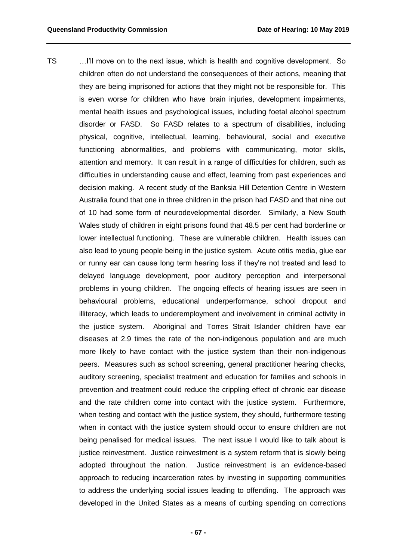TS …I'll move on to the next issue, which is health and cognitive development. So children often do not understand the consequences of their actions, meaning that they are being imprisoned for actions that they might not be responsible for. This is even worse for children who have brain injuries, development impairments, mental health issues and psychological issues, including foetal alcohol spectrum disorder or FASD. So FASD relates to a spectrum of disabilities, including physical, cognitive, intellectual, learning, behavioural, social and executive functioning abnormalities, and problems with communicating, motor skills, attention and memory. It can result in a range of difficulties for children, such as difficulties in understanding cause and effect, learning from past experiences and decision making. A recent study of the Banksia Hill Detention Centre in Western Australia found that one in three children in the prison had FASD and that nine out of 10 had some form of neurodevelopmental disorder. Similarly, a New South Wales study of children in eight prisons found that 48.5 per cent had borderline or lower intellectual functioning. These are vulnerable children. Health issues can also lead to young people being in the justice system. Acute otitis media, glue ear or runny ear can cause long term hearing loss if they're not treated and lead to delayed language development, poor auditory perception and interpersonal problems in young children. The ongoing effects of hearing issues are seen in behavioural problems, educational underperformance, school dropout and illiteracy, which leads to underemployment and involvement in criminal activity in the justice system. Aboriginal and Torres Strait Islander children have ear diseases at 2.9 times the rate of the non-indigenous population and are much more likely to have contact with the justice system than their non-indigenous peers. Measures such as school screening, general practitioner hearing checks, auditory screening, specialist treatment and education for families and schools in prevention and treatment could reduce the crippling effect of chronic ear disease and the rate children come into contact with the justice system. Furthermore, when testing and contact with the justice system, they should, furthermore testing when in contact with the justice system should occur to ensure children are not being penalised for medical issues. The next issue I would like to talk about is justice reinvestment. Justice reinvestment is a system reform that is slowly being adopted throughout the nation. Justice reinvestment is an evidence-based approach to reducing incarceration rates by investing in supporting communities to address the underlying social issues leading to offending. The approach was developed in the United States as a means of curbing spending on corrections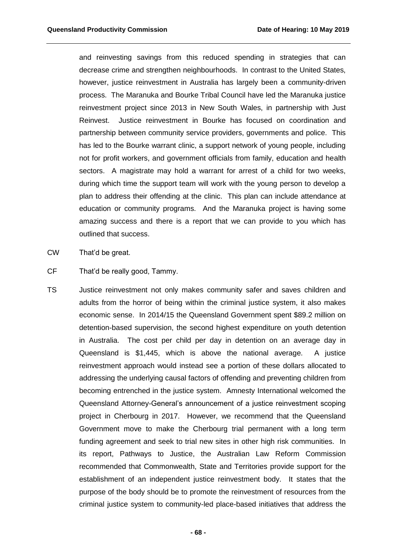and reinvesting savings from this reduced spending in strategies that can decrease crime and strengthen neighbourhoods. In contrast to the United States, however, justice reinvestment in Australia has largely been a community-driven process. The Maranuka and Bourke Tribal Council have led the Maranuka justice reinvestment project since 2013 in New South Wales, in partnership with Just Reinvest. Justice reinvestment in Bourke has focused on coordination and partnership between community service providers, governments and police. This has led to the Bourke warrant clinic, a support network of young people, including not for profit workers, and government officials from family, education and health sectors. A magistrate may hold a warrant for arrest of a child for two weeks, during which time the support team will work with the young person to develop a plan to address their offending at the clinic. This plan can include attendance at education or community programs. And the Maranuka project is having some amazing success and there is a report that we can provide to you which has outlined that success.

- CW That'd be great.
- CF That'd be really good, Tammy.
- TS Justice reinvestment not only makes community safer and saves children and adults from the horror of being within the criminal justice system, it also makes economic sense. In 2014/15 the Queensland Government spent \$89.2 million on detention-based supervision, the second highest expenditure on youth detention in Australia. The cost per child per day in detention on an average day in Queensland is \$1,445, which is above the national average. A justice reinvestment approach would instead see a portion of these dollars allocated to addressing the underlying causal factors of offending and preventing children from becoming entrenched in the justice system. Amnesty International welcomed the Queensland Attorney-General's announcement of a justice reinvestment scoping project in Cherbourg in 2017. However, we recommend that the Queensland Government move to make the Cherbourg trial permanent with a long term funding agreement and seek to trial new sites in other high risk communities. In its report, Pathways to Justice, the Australian Law Reform Commission recommended that Commonwealth, State and Territories provide support for the establishment of an independent justice reinvestment body. It states that the purpose of the body should be to promote the reinvestment of resources from the criminal justice system to community-led place-based initiatives that address the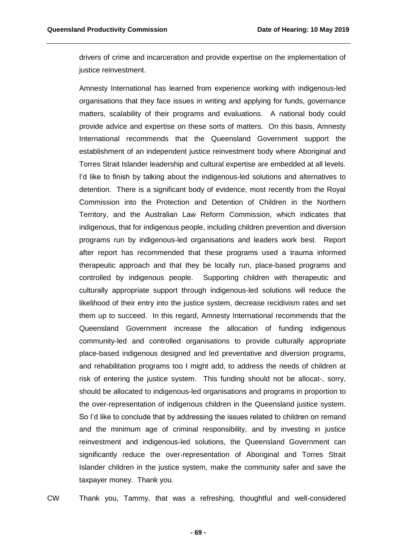drivers of crime and incarceration and provide expertise on the implementation of justice reinvestment.

Amnesty International has learned from experience working with indigenous-led organisations that they face issues in writing and applying for funds, governance matters, scalability of their programs and evaluations. A national body could provide advice and expertise on these sorts of matters. On this basis, Amnesty International recommends that the Queensland Government support the establishment of an independent justice reinvestment body where Aboriginal and Torres Strait Islander leadership and cultural expertise are embedded at all levels. I'd like to finish by talking about the indigenous-led solutions and alternatives to detention. There is a significant body of evidence, most recently from the Royal Commission into the Protection and Detention of Children in the Northern Territory, and the Australian Law Reform Commission, which indicates that indigenous, that for indigenous people, including children prevention and diversion programs run by indigenous-led organisations and leaders work best. Report after report has recommended that these programs used a trauma informed therapeutic approach and that they be locally run, place-based programs and controlled by indigenous people. Supporting children with therapeutic and culturally appropriate support through indigenous-led solutions will reduce the likelihood of their entry into the justice system, decrease recidivism rates and set them up to succeed. In this regard, Amnesty International recommends that the Queensland Government increase the allocation of funding indigenous community-led and controlled organisations to provide culturally appropriate place-based indigenous designed and led preventative and diversion programs, and rehabilitation programs too I might add, to address the needs of children at risk of entering the justice system. This funding should not be allocat-, sorry, should be allocated to indigenous-led organisations and programs in proportion to the over-representation of indigenous children in the Queensland justice system. So I'd like to conclude that by addressing the issues related to children on remand and the minimum age of criminal responsibility, and by investing in justice reinvestment and indigenous-led solutions, the Queensland Government can significantly reduce the over-representation of Aboriginal and Torres Strait Islander children in the justice system, make the community safer and save the taxpayer money. Thank you.

CW Thank you, Tammy, that was a refreshing, thoughtful and well-considered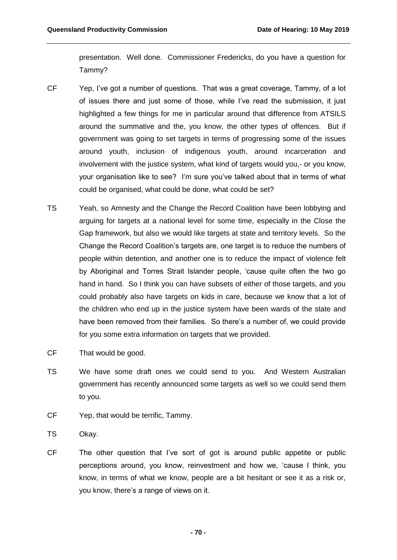presentation. Well done. Commissioner Fredericks, do you have a question for Tammy?

- CF Yep, I've got a number of questions. That was a great coverage, Tammy, of a lot of issues there and just some of those, while I've read the submission, it just highlighted a few things for me in particular around that difference from ATSILS around the summative and the, you know, the other types of offences. But if government was going to set targets in terms of progressing some of the issues around youth, inclusion of indigenous youth, around incarceration and involvement with the justice system, what kind of targets would you,- or you know, your organisation like to see? I'm sure you've talked about that in terms of what could be organised, what could be done, what could be set?
- TS Yeah, so Amnesty and the Change the Record Coalition have been lobbying and arguing for targets at a national level for some time, especially in the Close the Gap framework, but also we would like targets at state and territory levels. So the Change the Record Coalition's targets are, one target is to reduce the numbers of people within detention, and another one is to reduce the impact of violence felt by Aboriginal and Torres Strait Islander people, 'cause quite often the two go hand in hand. So I think you can have subsets of either of those targets, and you could probably also have targets on kids in care, because we know that a lot of the children who end up in the justice system have been wards of the state and have been removed from their families. So there's a number of, we could provide for you some extra information on targets that we provided.
- CF That would be good.
- TS We have some draft ones we could send to you. And Western Australian government has recently announced some targets as well so we could send them to you.
- CF Yep, that would be terrific, Tammy.
- TS Okay.
- CF The other question that I've sort of got is around public appetite or public perceptions around, you know, reinvestment and how we, 'cause I think, you know, in terms of what we know, people are a bit hesitant or see it as a risk or, you know, there's a range of views on it.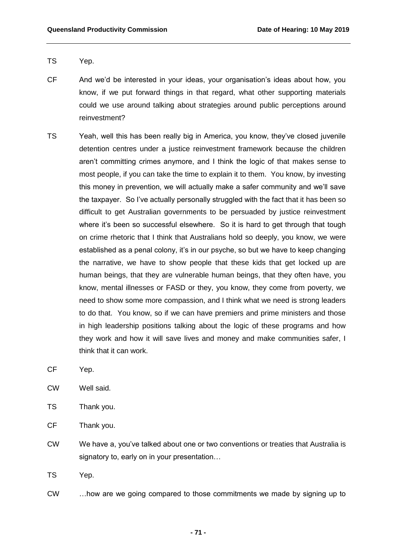- TS Yep.
- CF And we'd be interested in your ideas, your organisation's ideas about how, you know, if we put forward things in that regard, what other supporting materials could we use around talking about strategies around public perceptions around reinvestment?
- TS Yeah, well this has been really big in America, you know, they've closed juvenile detention centres under a justice reinvestment framework because the children aren't committing crimes anymore, and I think the logic of that makes sense to most people, if you can take the time to explain it to them. You know, by investing this money in prevention, we will actually make a safer community and we'll save the taxpayer. So I've actually personally struggled with the fact that it has been so difficult to get Australian governments to be persuaded by justice reinvestment where it's been so successful elsewhere. So it is hard to get through that tough on crime rhetoric that I think that Australians hold so deeply, you know, we were established as a penal colony, it's in our psyche, so but we have to keep changing the narrative, we have to show people that these kids that get locked up are human beings, that they are vulnerable human beings, that they often have, you know, mental illnesses or FASD or they, you know, they come from poverty, we need to show some more compassion, and I think what we need is strong leaders to do that. You know, so if we can have premiers and prime ministers and those in high leadership positions talking about the logic of these programs and how they work and how it will save lives and money and make communities safer, I think that it can work.
- CF Yep.
- CW Well said.
- TS Thank you.
- CF Thank you.
- CW We have a, you've talked about one or two conventions or treaties that Australia is signatory to, early on in your presentation…

TS Yep.

CW …how are we going compared to those commitments we made by signing up to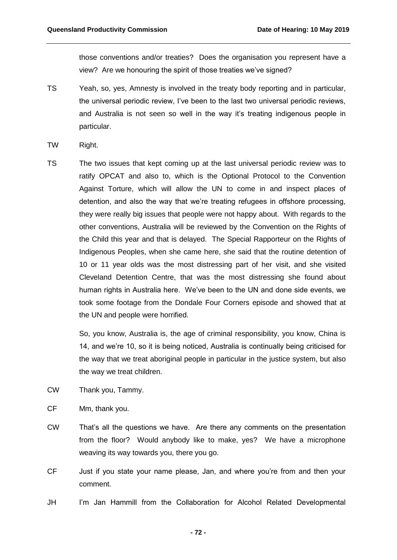those conventions and/or treaties? Does the organisation you represent have a view? Are we honouring the spirit of those treaties we've signed?

- TS Yeah, so, yes, Amnesty is involved in the treaty body reporting and in particular, the universal periodic review, I've been to the last two universal periodic reviews, and Australia is not seen so well in the way it's treating indigenous people in particular.
- TW Right.
- TS The two issues that kept coming up at the last universal periodic review was to ratify OPCAT and also to, which is the Optional Protocol to the Convention Against Torture, which will allow the UN to come in and inspect places of detention, and also the way that we're treating refugees in offshore processing, they were really big issues that people were not happy about. With regards to the other conventions, Australia will be reviewed by the Convention on the Rights of the Child this year and that is delayed. The Special Rapporteur on the Rights of Indigenous Peoples, when she came here, she said that the routine detention of 10 or 11 year olds was the most distressing part of her visit, and she visited Cleveland Detention Centre, that was the most distressing she found about human rights in Australia here. We've been to the UN and done side events, we took some footage from the Dondale Four Corners episode and showed that at the UN and people were horrified.

So, you know, Australia is, the age of criminal responsibility, you know, China is 14, and we're 10, so it is being noticed, Australia is continually being criticised for the way that we treat aboriginal people in particular in the justice system, but also the way we treat children.

- CW Thank you, Tammy.
- CF Mm, thank you.
- CW That's all the questions we have. Are there any comments on the presentation from the floor? Would anybody like to make, yes? We have a microphone weaving its way towards you, there you go.
- CF Just if you state your name please, Jan, and where you're from and then your comment.
- JH I'm Jan Hammill from the Collaboration for Alcohol Related Developmental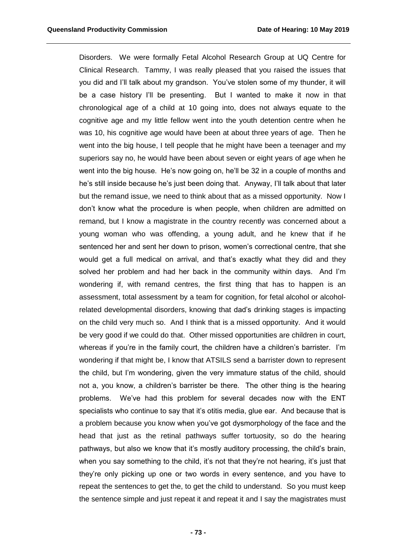Disorders. We were formally Fetal Alcohol Research Group at UQ Centre for Clinical Research. Tammy, I was really pleased that you raised the issues that you did and I'll talk about my grandson. You've stolen some of my thunder, it will be a case history I'll be presenting. But I wanted to make it now in that chronological age of a child at 10 going into, does not always equate to the cognitive age and my little fellow went into the youth detention centre when he was 10, his cognitive age would have been at about three years of age. Then he went into the big house, I tell people that he might have been a teenager and my superiors say no, he would have been about seven or eight years of age when he went into the big house. He's now going on, he'll be 32 in a couple of months and he's still inside because he's just been doing that. Anyway, I'll talk about that later but the remand issue, we need to think about that as a missed opportunity. Now I don't know what the procedure is when people, when children are admitted on remand, but I know a magistrate in the country recently was concerned about a young woman who was offending, a young adult, and he knew that if he sentenced her and sent her down to prison, women's correctional centre, that she would get a full medical on arrival, and that's exactly what they did and they solved her problem and had her back in the community within days. And I'm wondering if, with remand centres, the first thing that has to happen is an assessment, total assessment by a team for cognition, for fetal alcohol or alcoholrelated developmental disorders, knowing that dad's drinking stages is impacting on the child very much so. And I think that is a missed opportunity. And it would be very good if we could do that. Other missed opportunities are children in court, whereas if you're in the family court, the children have a children's barrister. I'm wondering if that might be, I know that ATSILS send a barrister down to represent the child, but I'm wondering, given the very immature status of the child, should not a, you know, a children's barrister be there. The other thing is the hearing problems. We've had this problem for several decades now with the ENT specialists who continue to say that it's otitis media, glue ear. And because that is a problem because you know when you've got dysmorphology of the face and the head that just as the retinal pathways suffer tortuosity, so do the hearing pathways, but also we know that it's mostly auditory processing, the child's brain, when you say something to the child, it's not that they're not hearing, it's just that they're only picking up one or two words in every sentence, and you have to repeat the sentences to get the, to get the child to understand. So you must keep the sentence simple and just repeat it and repeat it and I say the magistrates must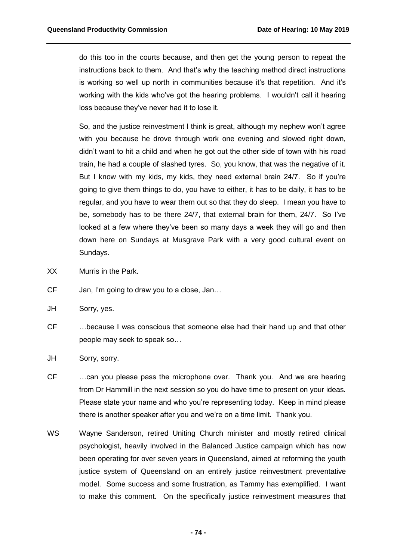do this too in the courts because, and then get the young person to repeat the instructions back to them. And that's why the teaching method direct instructions is working so well up north in communities because it's that repetition. And it's working with the kids who've got the hearing problems. I wouldn't call it hearing loss because they've never had it to lose it.

So, and the justice reinvestment I think is great, although my nephew won't agree with you because he drove through work one evening and slowed right down, didn't want to hit a child and when he got out the other side of town with his road train, he had a couple of slashed tyres. So, you know, that was the negative of it. But I know with my kids, my kids, they need external brain 24/7. So if you're going to give them things to do, you have to either, it has to be daily, it has to be regular, and you have to wear them out so that they do sleep. I mean you have to be, somebody has to be there 24/7, that external brain for them, 24/7. So I've looked at a few where they've been so many days a week they will go and then down here on Sundays at Musgrave Park with a very good cultural event on Sundays.

- XX Murris in the Park.
- CF Jan, I'm going to draw you to a close, Jan…
- JH Sorry, yes.
- CF …because I was conscious that someone else had their hand up and that other people may seek to speak so…
- JH Sorry, sorry.
- CF …can you please pass the microphone over. Thank you. And we are hearing from Dr Hammill in the next session so you do have time to present on your ideas. Please state your name and who you're representing today. Keep in mind please there is another speaker after you and we're on a time limit. Thank you.
- WS Wayne Sanderson, retired Uniting Church minister and mostly retired clinical psychologist, heavily involved in the Balanced Justice campaign which has now been operating for over seven years in Queensland, aimed at reforming the youth justice system of Queensland on an entirely justice reinvestment preventative model. Some success and some frustration, as Tammy has exemplified. I want to make this comment. On the specifically justice reinvestment measures that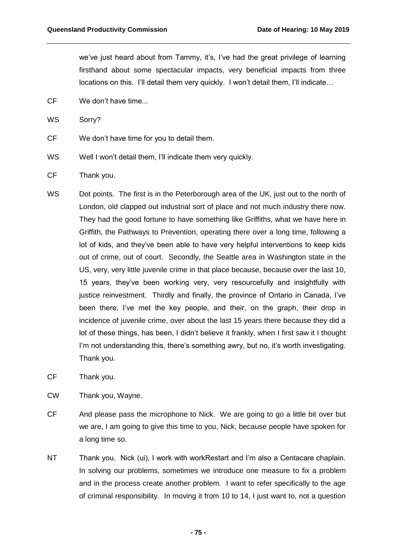we've just heard about from Tammy, it's, I've had the great privilege of learning firsthand about some spectacular impacts, very beneficial impacts from three locations on this. I'll detail them very quickly. I won't detail them, I'll indicate…

CF We don't have time...

WS Sorry?

- CF We don't have time for you to detail them.
- WS Well I won't detail them. I'll indicate them very quickly.
- CF Thank you.
- WS Dot points. The first is in the Peterborough area of the UK, just out to the north of London, old clapped out industrial sort of place and not much industry there now. They had the good fortune to have something like Griffiths, what we have here in Griffith, the Pathways to Prevention, operating there over a long time, following a lot of kids, and they've been able to have very helpful interventions to keep kids out of crime, out of court. Secondly, the Seattle area in Washington state in the US, very, very little juvenile crime in that place because, because over the last 10, 15 years, they've been working very, very resourcefully and insightfully with justice reinvestment. Thirdly and finally, the province of Ontario in Canada, I've been there, I've met the key people, and their, on the graph, their drop in incidence of juvenile crime, over about the last 15 years there because they did a lot of these things, has been, I didn't believe it frankly, when I first saw it I thought I'm not understanding this, there's something awry, but no, it's worth investigating. Thank you.
- CF Thank you.
- CW Thank you, Wayne.
- CF And please pass the microphone to Nick. We are going to go a little bit over but we are, I am going to give this time to you, Nick, because people have spoken for a long time so.
- NT Thank you. Nick (ui), I work with workRestart and I'm also a Centacare chaplain. In solving our problems, sometimes we introduce one measure to fix a problem and in the process create another problem. I want to refer specifically to the age of criminal responsibility. In moving it from 10 to 14, I just want to, not a question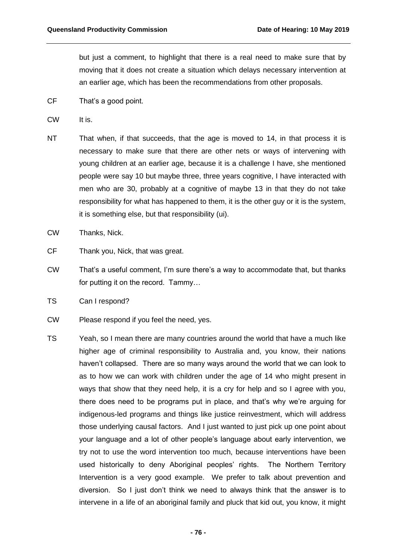but just a comment, to highlight that there is a real need to make sure that by moving that it does not create a situation which delays necessary intervention at an earlier age, which has been the recommendations from other proposals.

- CF That's a good point.
- CW It is.
- NT That when, if that succeeds, that the age is moved to 14, in that process it is necessary to make sure that there are other nets or ways of intervening with young children at an earlier age, because it is a challenge I have, she mentioned people were say 10 but maybe three, three years cognitive, I have interacted with men who are 30, probably at a cognitive of maybe 13 in that they do not take responsibility for what has happened to them, it is the other guy or it is the system, it is something else, but that responsibility (ui).
- CW Thanks, Nick.
- CF Thank you, Nick, that was great.
- CW That's a useful comment, I'm sure there's a way to accommodate that, but thanks for putting it on the record. Tammy…
- TS Can I respond?
- CW Please respond if you feel the need, yes.
- TS Yeah, so I mean there are many countries around the world that have a much like higher age of criminal responsibility to Australia and, you know, their nations haven't collapsed. There are so many ways around the world that we can look to as to how we can work with children under the age of 14 who might present in ways that show that they need help, it is a cry for help and so I agree with you, there does need to be programs put in place, and that's why we're arguing for indigenous-led programs and things like justice reinvestment, which will address those underlying causal factors. And I just wanted to just pick up one point about your language and a lot of other people's language about early intervention, we try not to use the word intervention too much, because interventions have been used historically to deny Aboriginal peoples' rights. The Northern Territory Intervention is a very good example. We prefer to talk about prevention and diversion. So I just don't think we need to always think that the answer is to intervene in a life of an aboriginal family and pluck that kid out, you know, it might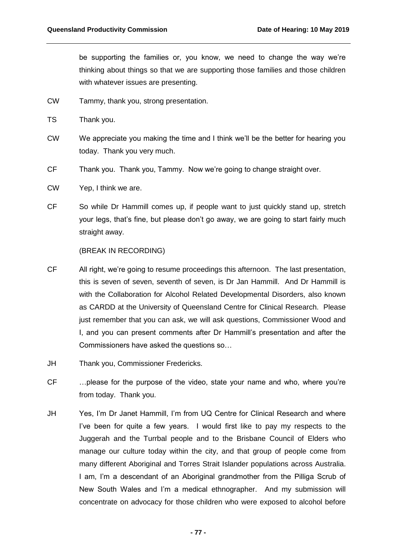be supporting the families or, you know, we need to change the way we're thinking about things so that we are supporting those families and those children with whatever issues are presenting.

- CW Tammy, thank you, strong presentation.
- TS Thank you.
- CW We appreciate you making the time and I think we'll be the better for hearing you today. Thank you very much.
- CF Thank you. Thank you, Tammy. Now we're going to change straight over.
- CW Yep, I think we are.
- CF So while Dr Hammill comes up, if people want to just quickly stand up, stretch your legs, that's fine, but please don't go away, we are going to start fairly much straight away.

## (BREAK IN RECORDING)

- CF All right, we're going to resume proceedings this afternoon. The last presentation, this is seven of seven, seventh of seven, is Dr Jan Hammill. And Dr Hammill is with the Collaboration for Alcohol Related Developmental Disorders, also known as CARDD at the University of Queensland Centre for Clinical Research. Please just remember that you can ask, we will ask questions, Commissioner Wood and I, and you can present comments after Dr Hammill's presentation and after the Commissioners have asked the questions so…
- JH Thank you, Commissioner Fredericks.
- CF …please for the purpose of the video, state your name and who, where you're from today. Thank you.
- JH Yes, I'm Dr Janet Hammill, I'm from UQ Centre for Clinical Research and where I've been for quite a few years. I would first like to pay my respects to the Juggerah and the Turrbal people and to the Brisbane Council of Elders who manage our culture today within the city, and that group of people come from many different Aboriginal and Torres Strait Islander populations across Australia. I am, I'm a descendant of an Aboriginal grandmother from the Pilliga Scrub of New South Wales and I'm a medical ethnographer. And my submission will concentrate on advocacy for those children who were exposed to alcohol before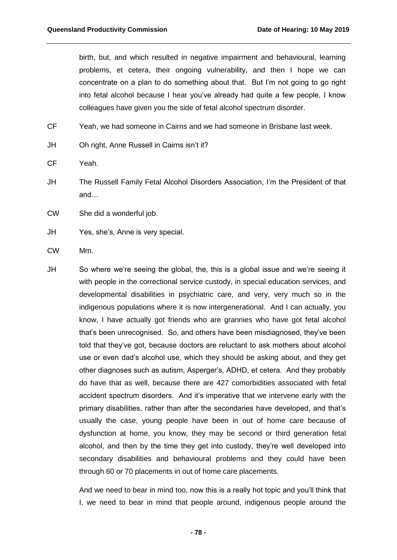birth, but, and which resulted in negative impairment and behavioural, learning problems, et cetera, their ongoing vulnerability, and then I hope we can concentrate on a plan to do something about that. But I'm not going to go right into fetal alcohol because I hear you've already had quite a few people, I know colleagues have given you the side of fetal alcohol spectrum disorder.

CF Yeah, we had someone in Cairns and we had someone in Brisbane last week.

- JH Oh right, Anne Russell in Cairns isn't it?
- CF Yeah.
- JH The Russell Family Fetal Alcohol Disorders Association, I'm the President of that and…
- CW She did a wonderful job.
- JH Yes, she's, Anne is very special.
- CW Mm.
- JH So where we're seeing the global, the, this is a global issue and we're seeing it with people in the correctional service custody, in special education services, and developmental disabilities in psychiatric care, and very, very much so in the indigenous populations where it is now intergenerational. And I can actually, you know, I have actually got friends who are grannies who have got fetal alcohol that's been unrecognised. So, and others have been misdiagnosed, they've been told that they've got, because doctors are reluctant to ask mothers about alcohol use or even dad's alcohol use, which they should be asking about, and they get other diagnoses such as autism, Asperger's, ADHD, et cetera. And they probably do have that as well, because there are 427 comorbidities associated with fetal accident spectrum disorders. And it's imperative that we intervene early with the primary disabilities, rather than after the secondaries have developed, and that's usually the case, young people have been in out of home care because of dysfunction at home, you know, they may be second or third generation fetal alcohol, and then by the time they get into custody, they're well developed into secondary disabilities and behavioural problems and they could have been through 60 or 70 placements in out of home care placements.

And we need to bear in mind too, now this is a really hot topic and you'll think that I, we need to bear in mind that people around, indigenous people around the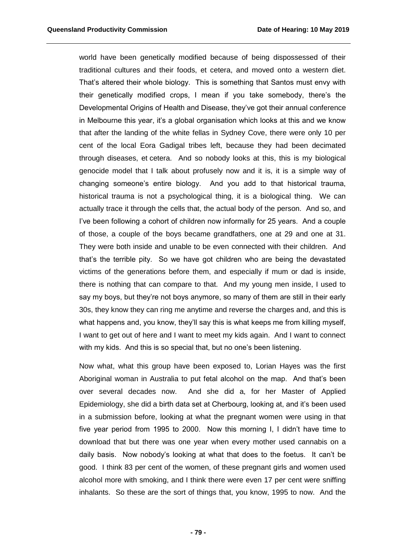world have been genetically modified because of being dispossessed of their traditional cultures and their foods, et cetera, and moved onto a western diet. That's altered their whole biology. This is something that Santos must envy with their genetically modified crops, I mean if you take somebody, there's the Developmental Origins of Health and Disease, they've got their annual conference in Melbourne this year, it's a global organisation which looks at this and we know that after the landing of the white fellas in Sydney Cove, there were only 10 per cent of the local Eora Gadigal tribes left, because they had been decimated through diseases, et cetera. And so nobody looks at this, this is my biological genocide model that I talk about profusely now and it is, it is a simple way of changing someone's entire biology. And you add to that historical trauma, historical trauma is not a psychological thing, it is a biological thing. We can actually trace it through the cells that, the actual body of the person. And so, and I've been following a cohort of children now informally for 25 years. And a couple of those, a couple of the boys became grandfathers, one at 29 and one at 31. They were both inside and unable to be even connected with their children. And that's the terrible pity. So we have got children who are being the devastated victims of the generations before them, and especially if mum or dad is inside, there is nothing that can compare to that. And my young men inside, I used to say my boys, but they're not boys anymore, so many of them are still in their early 30s, they know they can ring me anytime and reverse the charges and, and this is what happens and, you know, they'll say this is what keeps me from killing myself, I want to get out of here and I want to meet my kids again. And I want to connect with my kids. And this is so special that, but no one's been listening.

Now what, what this group have been exposed to, Lorian Hayes was the first Aboriginal woman in Australia to put fetal alcohol on the map. And that's been over several decades now. And she did a, for her Master of Applied Epidemiology, she did a birth data set at Cherbourg, looking at, and it's been used in a submission before, looking at what the pregnant women were using in that five year period from 1995 to 2000. Now this morning I, I didn't have time to download that but there was one year when every mother used cannabis on a daily basis. Now nobody's looking at what that does to the foetus. It can't be good. I think 83 per cent of the women, of these pregnant girls and women used alcohol more with smoking, and I think there were even 17 per cent were sniffing inhalants. So these are the sort of things that, you know, 1995 to now. And the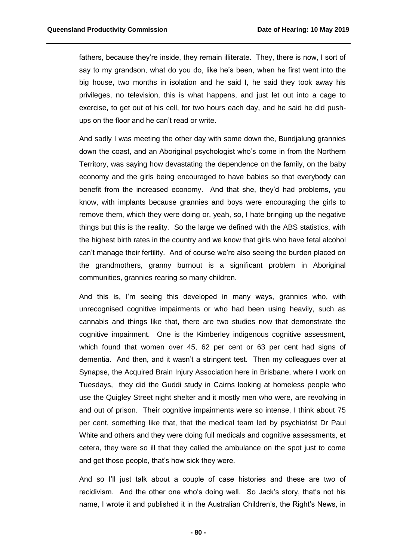fathers, because they're inside, they remain illiterate. They, there is now, I sort of say to my grandson, what do you do, like he's been, when he first went into the big house, two months in isolation and he said I, he said they took away his privileges, no television, this is what happens, and just let out into a cage to exercise, to get out of his cell, for two hours each day, and he said he did pushups on the floor and he can't read or write.

And sadly I was meeting the other day with some down the, Bundjalung grannies down the coast, and an Aboriginal psychologist who's come in from the Northern Territory, was saying how devastating the dependence on the family, on the baby economy and the girls being encouraged to have babies so that everybody can benefit from the increased economy. And that she, they'd had problems, you know, with implants because grannies and boys were encouraging the girls to remove them, which they were doing or, yeah, so, I hate bringing up the negative things but this is the reality. So the large we defined with the ABS statistics, with the highest birth rates in the country and we know that girls who have fetal alcohol can't manage their fertility. And of course we're also seeing the burden placed on the grandmothers, granny burnout is a significant problem in Aboriginal communities, grannies rearing so many children.

And this is, I'm seeing this developed in many ways, grannies who, with unrecognised cognitive impairments or who had been using heavily, such as cannabis and things like that, there are two studies now that demonstrate the cognitive impairment. One is the Kimberley indigenous cognitive assessment, which found that women over 45, 62 per cent or 63 per cent had signs of dementia. And then, and it wasn't a stringent test. Then my colleagues over at Synapse, the Acquired Brain Injury Association here in Brisbane, where I work on Tuesdays, they did the Guddi study in Cairns looking at homeless people who use the Quigley Street night shelter and it mostly men who were, are revolving in and out of prison. Their cognitive impairments were so intense, I think about 75 per cent, something like that, that the medical team led by psychiatrist Dr Paul White and others and they were doing full medicals and cognitive assessments, et cetera, they were so ill that they called the ambulance on the spot just to come and get those people, that's how sick they were.

And so I'll just talk about a couple of case histories and these are two of recidivism. And the other one who's doing well. So Jack's story, that's not his name, I wrote it and published it in the Australian Children's, the Right's News, in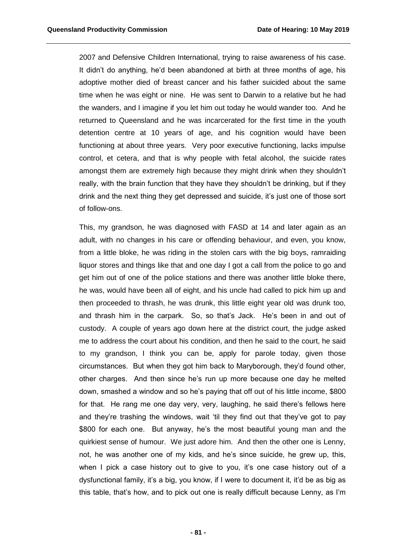2007 and Defensive Children International, trying to raise awareness of his case. It didn't do anything, he'd been abandoned at birth at three months of age, his adoptive mother died of breast cancer and his father suicided about the same time when he was eight or nine. He was sent to Darwin to a relative but he had the wanders, and I imagine if you let him out today he would wander too. And he returned to Queensland and he was incarcerated for the first time in the youth detention centre at 10 years of age, and his cognition would have been functioning at about three years. Very poor executive functioning, lacks impulse control, et cetera, and that is why people with fetal alcohol, the suicide rates amongst them are extremely high because they might drink when they shouldn't really, with the brain function that they have they shouldn't be drinking, but if they drink and the next thing they get depressed and suicide, it's just one of those sort of follow-ons.

This, my grandson, he was diagnosed with FASD at 14 and later again as an adult, with no changes in his care or offending behaviour, and even, you know, from a little bloke, he was riding in the stolen cars with the big boys, ramraiding liquor stores and things like that and one day I got a call from the police to go and get him out of one of the police stations and there was another little bloke there, he was, would have been all of eight, and his uncle had called to pick him up and then proceeded to thrash, he was drunk, this little eight year old was drunk too, and thrash him in the carpark. So, so that's Jack. He's been in and out of custody. A couple of years ago down here at the district court, the judge asked me to address the court about his condition, and then he said to the court, he said to my grandson, I think you can be, apply for parole today, given those circumstances. But when they got him back to Maryborough, they'd found other, other charges. And then since he's run up more because one day he melted down, smashed a window and so he's paying that off out of his little income, \$800 for that. He rang me one day very, very, laughing, he said there's fellows here and they're trashing the windows, wait 'til they find out that they've got to pay \$800 for each one. But anyway, he's the most beautiful young man and the quirkiest sense of humour. We just adore him. And then the other one is Lenny, not, he was another one of my kids, and he's since suicide, he grew up, this, when I pick a case history out to give to you, it's one case history out of a dysfunctional family, it's a big, you know, if I were to document it, it'd be as big as this table, that's how, and to pick out one is really difficult because Lenny, as I'm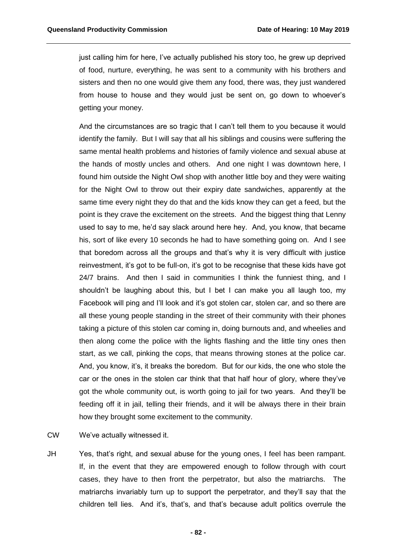just calling him for here, I've actually published his story too, he grew up deprived of food, nurture, everything, he was sent to a community with his brothers and sisters and then no one would give them any food, there was, they just wandered from house to house and they would just be sent on, go down to whoever's getting your money.

And the circumstances are so tragic that I can't tell them to you because it would identify the family. But I will say that all his siblings and cousins were suffering the same mental health problems and histories of family violence and sexual abuse at the hands of mostly uncles and others. And one night I was downtown here, I found him outside the Night Owl shop with another little boy and they were waiting for the Night Owl to throw out their expiry date sandwiches, apparently at the same time every night they do that and the kids know they can get a feed, but the point is they crave the excitement on the streets. And the biggest thing that Lenny used to say to me, he'd say slack around here hey. And, you know, that became his, sort of like every 10 seconds he had to have something going on. And I see that boredom across all the groups and that's why it is very difficult with justice reinvestment, it's got to be full-on, it's got to be recognise that these kids have got 24/7 brains. And then I said in communities I think the funniest thing, and I shouldn't be laughing about this, but I bet I can make you all laugh too, my Facebook will ping and I'll look and it's got stolen car, stolen car, and so there are all these young people standing in the street of their community with their phones taking a picture of this stolen car coming in, doing burnouts and, and wheelies and then along come the police with the lights flashing and the little tiny ones then start, as we call, pinking the cops, that means throwing stones at the police car. And, you know, it's, it breaks the boredom. But for our kids, the one who stole the car or the ones in the stolen car think that that half hour of glory, where they've got the whole community out, is worth going to jail for two years. And they'll be feeding off it in jail, telling their friends, and it will be always there in their brain how they brought some excitement to the community.

CW We've actually witnessed it.

JH Yes, that's right, and sexual abuse for the young ones, I feel has been rampant. If, in the event that they are empowered enough to follow through with court cases, they have to then front the perpetrator, but also the matriarchs. The matriarchs invariably turn up to support the perpetrator, and they'll say that the children tell lies. And it's, that's, and that's because adult politics overrule the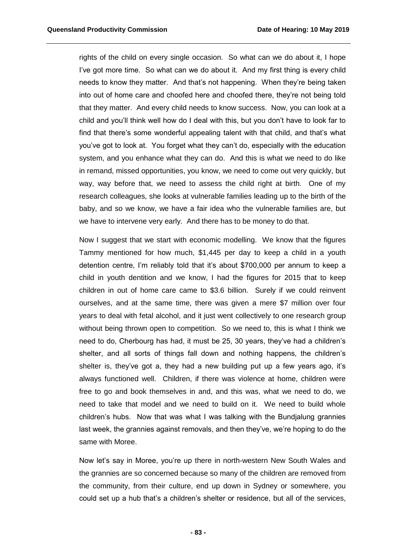rights of the child on every single occasion. So what can we do about it, I hope I've got more time. So what can we do about it. And my first thing is every child needs to know they matter. And that's not happening. When they're being taken into out of home care and choofed here and choofed there, they're not being told that they matter. And every child needs to know success. Now, you can look at a child and you'll think well how do I deal with this, but you don't have to look far to find that there's some wonderful appealing talent with that child, and that's what you've got to look at. You forget what they can't do, especially with the education system, and you enhance what they can do. And this is what we need to do like in remand, missed opportunities, you know, we need to come out very quickly, but way, way before that, we need to assess the child right at birth. One of my research colleagues, she looks at vulnerable families leading up to the birth of the baby, and so we know, we have a fair idea who the vulnerable families are, but we have to intervene very early. And there has to be money to do that.

Now I suggest that we start with economic modelling. We know that the figures Tammy mentioned for how much, \$1,445 per day to keep a child in a youth detention centre, I'm reliably told that it's about \$700,000 per annum to keep a child in youth dentition and we know, I had the figures for 2015 that to keep children in out of home care came to \$3.6 billion. Surely if we could reinvent ourselves, and at the same time, there was given a mere \$7 million over four years to deal with fetal alcohol, and it just went collectively to one research group without being thrown open to competition. So we need to, this is what I think we need to do, Cherbourg has had, it must be 25, 30 years, they've had a children's shelter, and all sorts of things fall down and nothing happens, the children's shelter is, they've got a, they had a new building put up a few years ago, it's always functioned well. Children, if there was violence at home, children were free to go and book themselves in and, and this was, what we need to do, we need to take that model and we need to build on it. We need to build whole children's hubs. Now that was what I was talking with the Bundjalung grannies last week, the grannies against removals, and then they've, we're hoping to do the same with Moree.

Now let's say in Moree, you're up there in north-western New South Wales and the grannies are so concerned because so many of the children are removed from the community, from their culture, end up down in Sydney or somewhere, you could set up a hub that's a children's shelter or residence, but all of the services,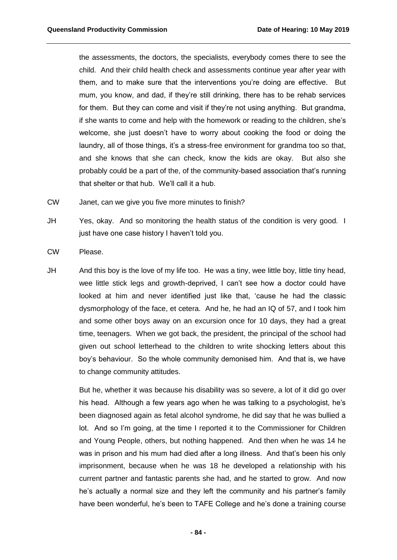the assessments, the doctors, the specialists, everybody comes there to see the child. And their child health check and assessments continue year after year with them, and to make sure that the interventions you're doing are effective. But mum, you know, and dad, if they're still drinking, there has to be rehab services for them. But they can come and visit if they're not using anything. But grandma, if she wants to come and help with the homework or reading to the children, she's welcome, she just doesn't have to worry about cooking the food or doing the laundry, all of those things, it's a stress-free environment for grandma too so that, and she knows that she can check, know the kids are okay. But also she probably could be a part of the, of the community-based association that's running that shelter or that hub. We'll call it a hub.

- CW Janet, can we give you five more minutes to finish?
- JH Yes, okay. And so monitoring the health status of the condition is very good. I just have one case history I haven't told you.
- CW Please.
- JH And this boy is the love of my life too. He was a tiny, wee little boy, little tiny head, wee little stick legs and growth-deprived, I can't see how a doctor could have looked at him and never identified just like that, 'cause he had the classic dysmorphology of the face, et cetera. And he, he had an IQ of 57, and I took him and some other boys away on an excursion once for 10 days, they had a great time, teenagers. When we got back, the president, the principal of the school had given out school letterhead to the children to write shocking letters about this boy's behaviour. So the whole community demonised him. And that is, we have to change community attitudes.

But he, whether it was because his disability was so severe, a lot of it did go over his head. Although a few years ago when he was talking to a psychologist, he's been diagnosed again as fetal alcohol syndrome, he did say that he was bullied a lot. And so I'm going, at the time I reported it to the Commissioner for Children and Young People, others, but nothing happened. And then when he was 14 he was in prison and his mum had died after a long illness. And that's been his only imprisonment, because when he was 18 he developed a relationship with his current partner and fantastic parents she had, and he started to grow. And now he's actually a normal size and they left the community and his partner's family have been wonderful, he's been to TAFE College and he's done a training course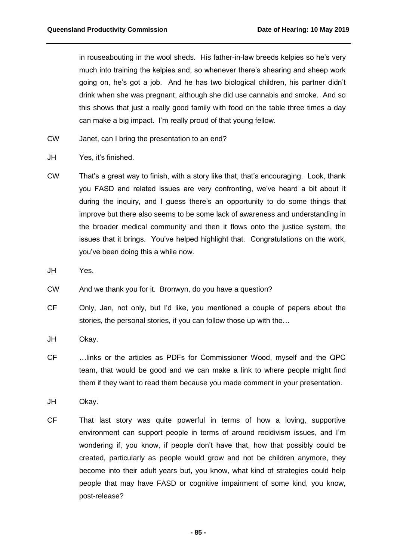in rouseabouting in the wool sheds. His father-in-law breeds kelpies so he's very much into training the kelpies and, so whenever there's shearing and sheep work going on, he's got a job. And he has two biological children, his partner didn't drink when she was pregnant, although she did use cannabis and smoke. And so this shows that just a really good family with food on the table three times a day can make a big impact. I'm really proud of that young fellow.

- CW Janet, can I bring the presentation to an end?
- JH Yes, it's finished.
- CW That's a great way to finish, with a story like that, that's encouraging. Look, thank you FASD and related issues are very confronting, we've heard a bit about it during the inquiry, and I guess there's an opportunity to do some things that improve but there also seems to be some lack of awareness and understanding in the broader medical community and then it flows onto the justice system, the issues that it brings. You've helped highlight that. Congratulations on the work, you've been doing this a while now.
- JH Yes.
- CW And we thank you for it. Bronwyn, do you have a question?
- CF Only, Jan, not only, but I'd like, you mentioned a couple of papers about the stories, the personal stories, if you can follow those up with the…
- JH Okay.
- CF …links or the articles as PDFs for Commissioner Wood, myself and the QPC team, that would be good and we can make a link to where people might find them if they want to read them because you made comment in your presentation.
- JH Okay.
- CF That last story was quite powerful in terms of how a loving, supportive environment can support people in terms of around recidivism issues, and I'm wondering if, you know, if people don't have that, how that possibly could be created, particularly as people would grow and not be children anymore, they become into their adult years but, you know, what kind of strategies could help people that may have FASD or cognitive impairment of some kind, you know, post-release?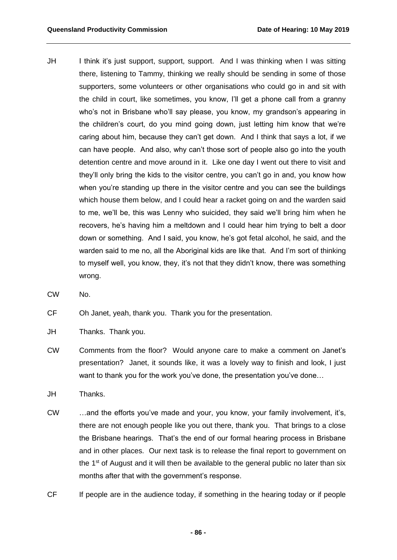- JH I think it's just support, support, support. And I was thinking when I was sitting there, listening to Tammy, thinking we really should be sending in some of those supporters, some volunteers or other organisations who could go in and sit with the child in court, like sometimes, you know, I'll get a phone call from a granny who's not in Brisbane who'll say please, you know, my grandson's appearing in the children's court, do you mind going down, just letting him know that we're caring about him, because they can't get down. And I think that says a lot, if we can have people. And also, why can't those sort of people also go into the youth detention centre and move around in it. Like one day I went out there to visit and they'll only bring the kids to the visitor centre, you can't go in and, you know how when you're standing up there in the visitor centre and you can see the buildings which house them below, and I could hear a racket going on and the warden said to me, we'll be, this was Lenny who suicided, they said we'll bring him when he recovers, he's having him a meltdown and I could hear him trying to belt a door down or something. And I said, you know, he's got fetal alcohol, he said, and the warden said to me no, all the Aboriginal kids are like that. And I'm sort of thinking to myself well, you know, they, it's not that they didn't know, there was something wrong.
- CW No.

CF Oh Janet, yeah, thank you. Thank you for the presentation.

- JH Thanks. Thank you.
- CW Comments from the floor? Would anyone care to make a comment on Janet's presentation? Janet, it sounds like, it was a lovely way to finish and look, I just want to thank you for the work you've done, the presentation you've done...
- JH Thanks.
- CW …and the efforts you've made and your, you know, your family involvement, it's, there are not enough people like you out there, thank you. That brings to a close the Brisbane hearings. That's the end of our formal hearing process in Brisbane and in other places. Our next task is to release the final report to government on the  $1<sup>st</sup>$  of August and it will then be available to the general public no later than six months after that with the government's response.
- CF If people are in the audience today, if something in the hearing today or if people